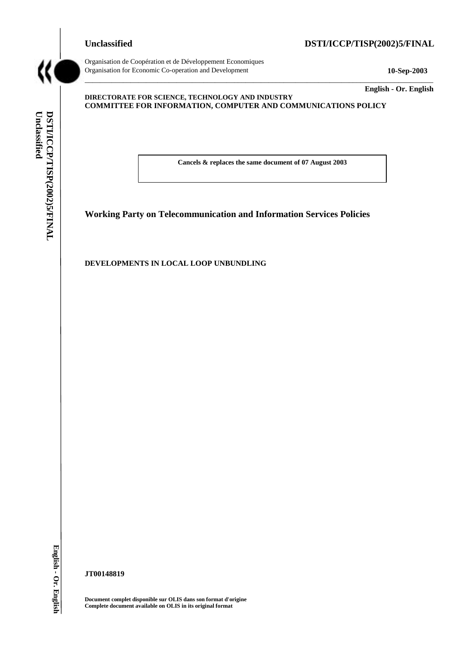# **Unclassified DSTI/ICCP/TISP(2002)5/FINAL**



**Unclassified** 

DSTI/ICCP/TISP(2002)5/FINAL

Unclassified

Organisation de Coopération et de Développement Economiques Organisation for Economic Co-operation and Development **10-Sep-2003** 

**English - Or. English** 

### **DIRECTORATE FOR SCIENCE, TECHNOLOGY AND INDUSTRY COMMITTEE FOR INFORMATION, COMPUTER AND COMMUNICATIONS POLICY**

**Cancels & replaces the same document of 07 August 2003** 

\_\_\_\_\_\_\_\_\_\_\_\_\_\_\_\_\_\_\_\_\_\_\_\_\_\_\_\_\_\_\_\_\_\_\_\_\_\_\_\_\_\_\_\_\_\_\_\_\_\_\_\_\_\_\_\_\_\_\_\_\_\_\_\_\_\_\_\_\_\_\_\_\_\_\_\_\_\_\_\_\_\_\_\_\_\_\_\_\_\_\_

**Working Party on Telecommunication and Information Services Policies** 

**DEVELOPMENTS IN LOCAL LOOP UNBUNDLING** 

**JT00148819** 

**Document complet disponible sur OLIS dans son format d'origine Complete document available on OLIS in its original format**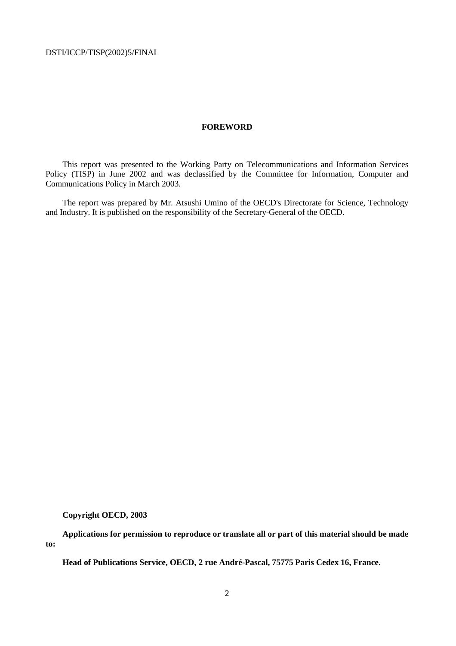### **FOREWORD**

This report was presented to the Working Party on Telecommunications and Information Services Policy (TISP) in June 2002 and was declassified by the Committee for Information, Computer and Communications Policy in March 2003.

The report was prepared by Mr. Atsushi Umino of the OECD's Directorate for Science, Technology and Industry. It is published on the responsibility of the Secretary-General of the OECD.

**Copyright OECD, 2003** 

**Applications for permission to reproduce or translate all or part of this material should be made to:** 

**Head of Publications Service, OECD, 2 rue André-Pascal, 75775 Paris Cedex 16, France.**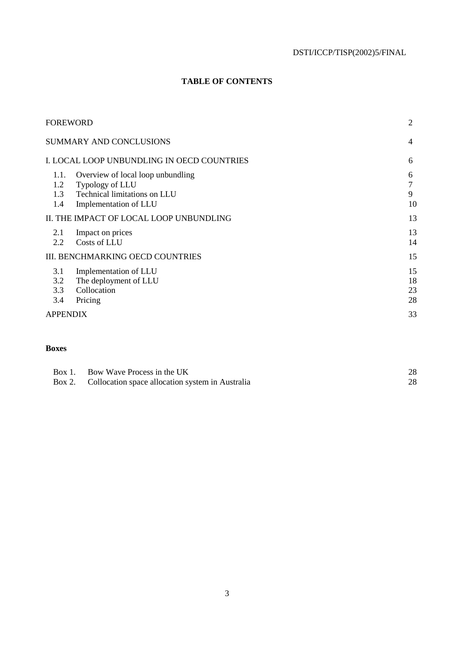# **TABLE OF CONTENTS**

|                           | <b>FOREWORD</b>                                                                                               | 2                    |
|---------------------------|---------------------------------------------------------------------------------------------------------------|----------------------|
|                           | <b>SUMMARY AND CONCLUSIONS</b>                                                                                | $\overline{4}$       |
|                           | I. LOCAL LOOP UNBUNDLING IN OECD COUNTRIES                                                                    | 6                    |
| 1.1.<br>1.2<br>1.3<br>1.4 | Overview of local loop unbundling<br>Typology of LLU<br>Technical limitations on LLU<br>Implementation of LLU | 6<br>7<br>9<br>10    |
|                           | II. THE IMPACT OF LOCAL LOOP UNBUNDLING                                                                       | 13                   |
| 2.1<br>2.2                | Impact on prices<br>Costs of LLU                                                                              | 13<br>14             |
|                           | III. BENCHMARKING OECD COUNTRIES                                                                              | 15                   |
| 3.1<br>3.2<br>3.3<br>3.4  | Implementation of LLU<br>The deployment of LLU<br>Collocation<br>Pricing                                      | 15<br>18<br>23<br>28 |
| <b>APPENDIX</b>           |                                                                                                               | 33                   |
|                           |                                                                                                               |                      |

# **Boxes**

| Box 1. Bow Wave Process in the UK                       | 28  |
|---------------------------------------------------------|-----|
| Box 2. Collocation space allocation system in Australia | 28. |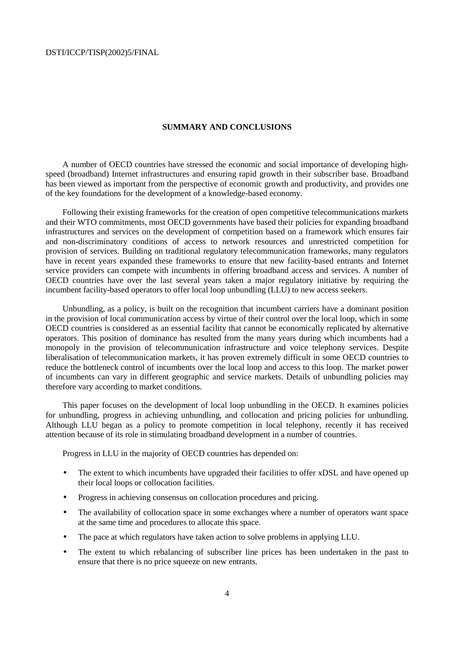### **SUMMARY AND CONCLUSIONS**

A number of OECD countries have stressed the economic and social importance of developing highspeed (broadband) Internet infrastructures and ensuring rapid growth in their subscriber base. Broadband has been viewed as important from the perspective of economic growth and productivity, and provides one of the key foundations for the development of a knowledge-based economy.

Following their existing frameworks for the creation of open competitive telecommunications markets and their WTO commitments, most OECD governments have based their policies for expanding broadband infrastructures and services on the development of competition based on a framework which ensures fair and non-discriminatory conditions of access to network resources and unrestricted competition for provision of services. Building on traditional regulatory telecommunication frameworks, many regulators have in recent years expanded these frameworks to ensure that new facility-based entrants and Internet service providers can compete with incumbents in offering broadband access and services. A number of OECD countries have over the last several years taken a major regulatory initiative by requiring the incumbent facility-based operators to offer local loop unbundling (LLU) to new access seekers.

Unbundling, as a policy, is built on the recognition that incumbent carriers have a dominant position in the provision of local communication access by virtue of their control over the local loop, which in some OECD countries is considered as an essential facility that cannot be economically replicated by alternative operators. This position of dominance has resulted from the many years during which incumbents had a monopoly in the provision of telecommunication infrastructure and voice telephony services. Despite liberalisation of telecommunication markets, it has proven extremely difficult in some OECD countries to reduce the bottleneck control of incumbents over the local loop and access to this loop. The market power of incumbents can vary in different geographic and service markets. Details of unbundling policies may therefore vary according to market conditions.

This paper focuses on the development of local loop unbundling in the OECD. It examines policies for unbundling, progress in achieving unbundling, and collocation and pricing policies for unbundling. Although LLU began as a policy to promote competition in local telephony, recently it has received attention because of its role in stimulating broadband development in a number of countries.

Progress in LLU in the majority of OECD countries has depended on:

- The extent to which incumbents have upgraded their facilities to offer xDSL and have opened up their local loops or collocation facilities.
- Progress in achieving consensus on collocation procedures and pricing.
- The availability of collocation space in some exchanges where a number of operators want space at the same time and procedures to allocate this space.
- The pace at which regulators have taken action to solve problems in applying LLU.
- The extent to which rebalancing of subscriber line prices has been undertaken in the past to ensure that there is no price squeeze on new entrants.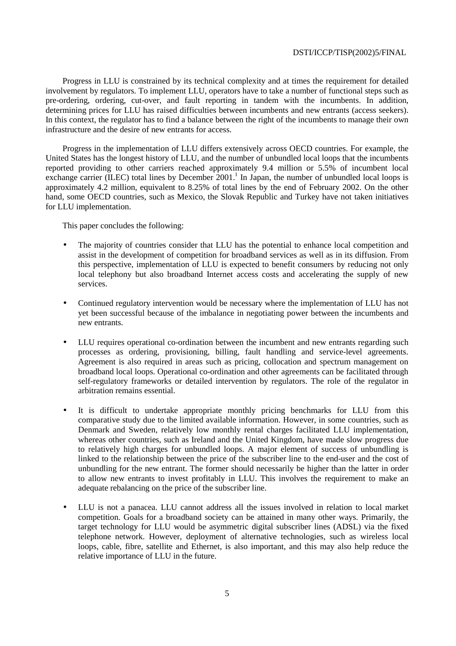Progress in LLU is constrained by its technical complexity and at times the requirement for detailed involvement by regulators. To implement LLU, operators have to take a number of functional steps such as pre-ordering, ordering, cut-over, and fault reporting in tandem with the incumbents. In addition, determining prices for LLU has raised difficulties between incumbents and new entrants (access seekers). In this context, the regulator has to find a balance between the right of the incumbents to manage their own infrastructure and the desire of new entrants for access.

Progress in the implementation of LLU differs extensively across OECD countries. For example, the United States has the longest history of LLU, and the number of unbundled local loops that the incumbents reported providing to other carriers reached approximately 9.4 million or 5.5% of incumbent local exchange carrier (ILEC) total lines by December  $2001$ .<sup>1</sup> In Japan, the number of unbundled local loops is approximately 4.2 million, equivalent to 8.25% of total lines by the end of February 2002. On the other hand, some OECD countries, such as Mexico, the Slovak Republic and Turkey have not taken initiatives for LLU implementation.

This paper concludes the following:

- The majority of countries consider that LLU has the potential to enhance local competition and assist in the development of competition for broadband services as well as in its diffusion. From this perspective, implementation of LLU is expected to benefit consumers by reducing not only local telephony but also broadband Internet access costs and accelerating the supply of new services.
- Continued regulatory intervention would be necessary where the implementation of LLU has not yet been successful because of the imbalance in negotiating power between the incumbents and new entrants.
- LLU requires operational co-ordination between the incumbent and new entrants regarding such processes as ordering, provisioning, billing, fault handling and service-level agreements. Agreement is also required in areas such as pricing, collocation and spectrum management on broadband local loops. Operational co-ordination and other agreements can be facilitated through self-regulatory frameworks or detailed intervention by regulators. The role of the regulator in arbitration remains essential.
- It is difficult to undertake appropriate monthly pricing benchmarks for LLU from this comparative study due to the limited available information. However, in some countries, such as Denmark and Sweden, relatively low monthly rental charges facilitated LLU implementation, whereas other countries, such as Ireland and the United Kingdom, have made slow progress due to relatively high charges for unbundled loops. A major element of success of unbundling is linked to the relationship between the price of the subscriber line to the end-user and the cost of unbundling for the new entrant. The former should necessarily be higher than the latter in order to allow new entrants to invest profitably in LLU. This involves the requirement to make an adequate rebalancing on the price of the subscriber line.
- LLU is not a panacea. LLU cannot address all the issues involved in relation to local market competition. Goals for a broadband society can be attained in many other ways. Primarily, the target technology for LLU would be asymmetric digital subscriber lines (ADSL) via the fixed telephone network. However, deployment of alternative technologies, such as wireless local loops, cable, fibre, satellite and Ethernet, is also important, and this may also help reduce the relative importance of LLU in the future.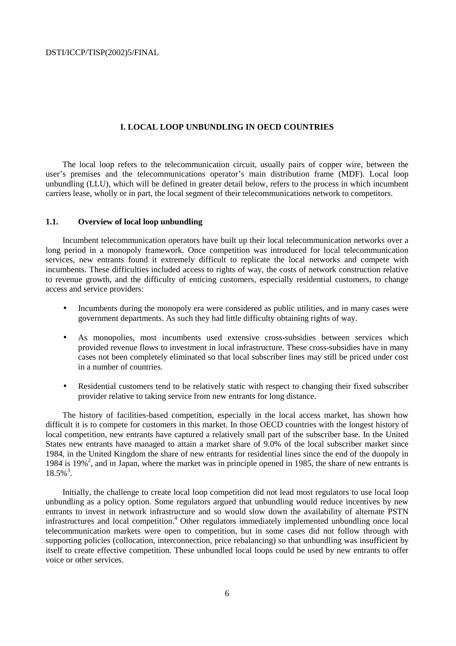### **I. LOCAL LOOP UNBUNDLING IN OECD COUNTRIES**

The local loop refers to the telecommunication circuit, usually pairs of copper wire, between the user's premises and the telecommunications operator's main distribution frame (MDF). Local loop unbundling (LLU), which will be defined in greater detail below, refers to the process in which incumbent carriers lease, wholly or in part, the local segment of their telecommunications network to competitors.

### **1.1. Overview of local loop unbundling**

Incumbent telecommunication operators have built up their local telecommunication networks over a long period in a monopoly framework. Once competition was introduced for local telecommunication services, new entrants found it extremely difficult to replicate the local networks and compete with incumbents. These difficulties included access to rights of way, the costs of network construction relative to revenue growth, and the difficulty of enticing customers, especially residential customers, to change access and service providers:

- Incumbents during the monopoly era were considered as public utilities, and in many cases were government departments. As such they had little difficulty obtaining rights of way.
- As monopolies, most incumbents used extensive cross-subsidies between services which provided revenue flows to investment in local infrastructure. These cross-subsidies have in many cases not been completely eliminated so that local subscriber lines may still be priced under cost in a number of countries.
- Residential customers tend to be relatively static with respect to changing their fixed subscriber provider relative to taking service from new entrants for long distance.

The history of facilities-based competition, especially in the local access market, has shown how difficult it is to compete for customers in this market. In those OECD countries with the longest history of local competition, new entrants have captured a relatively small part of the subscriber base. In the United States new entrants have managed to attain a market share of 9.0% of the local subscriber market since 1984, in the United Kingdom the share of new entrants for residential lines since the end of the duopoly in 1984 is 19%<sup>2</sup>, and in Japan, where the market was in principle opened in 1985, the share of new entrants is 18.5%3 .

Initially, the challenge to create local loop competition did not lead most regulators to use local loop unbundling as a policy option. Some regulators argued that unbundling would reduce incentives by new entrants to invest in network infrastructure and so would slow down the availability of alternate PSTN infrastructures and local competition.<sup>4</sup> Other regulators immediately implemented unbundling once local telecommunication markets were open to competition, but in some cases did not follow through with supporting policies (collocation, interconnection, price rebalancing) so that unbundling was insufficient by itself to create effective competition. These unbundled local loops could be used by new entrants to offer voice or other services.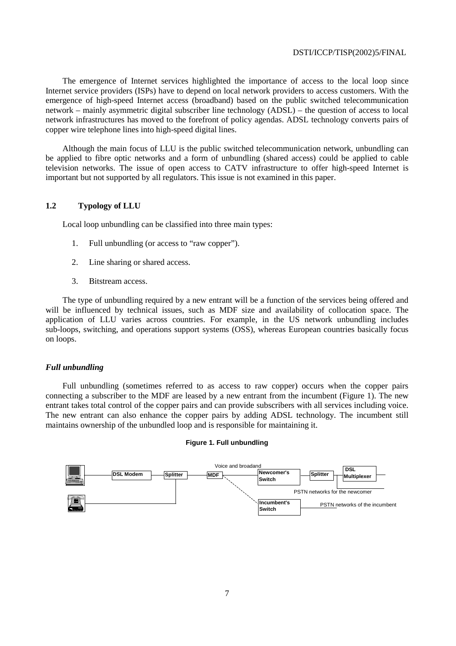The emergence of Internet services highlighted the importance of access to the local loop since Internet service providers (ISPs) have to depend on local network providers to access customers. With the emergence of high-speed Internet access (broadband) based on the public switched telecommunication network – mainly asymmetric digital subscriber line technology (ADSL) – the question of access to local network infrastructures has moved to the forefront of policy agendas. ADSL technology converts pairs of copper wire telephone lines into high-speed digital lines.

Although the main focus of LLU is the public switched telecommunication network, unbundling can be applied to fibre optic networks and a form of unbundling (shared access) could be applied to cable television networks. The issue of open access to CATV infrastructure to offer high-speed Internet is important but not supported by all regulators. This issue is not examined in this paper.

# **1.2 Typology of LLU**

Local loop unbundling can be classified into three main types:

- 1. Full unbundling (or access to "raw copper").
- 2. Line sharing or shared access.
- 3. Bitstream access.

The type of unbundling required by a new entrant will be a function of the services being offered and will be influenced by technical issues, such as MDF size and availability of collocation space. The application of LLU varies across countries. For example, in the US network unbundling includes sub-loops, switching, and operations support systems (OSS), whereas European countries basically focus on loops.

# *Full unbundling*

Full unbundling (sometimes referred to as access to raw copper) occurs when the copper pairs connecting a subscriber to the MDF are leased by a new entrant from the incumbent (Figure 1). The new entrant takes total control of the copper pairs and can provide subscribers with all services including voice. The new entrant can also enhance the copper pairs by adding ADSL technology. The incumbent still maintains ownership of the unbundled loop and is responsible for maintaining it.

### **Figure 1. Full unbundling**

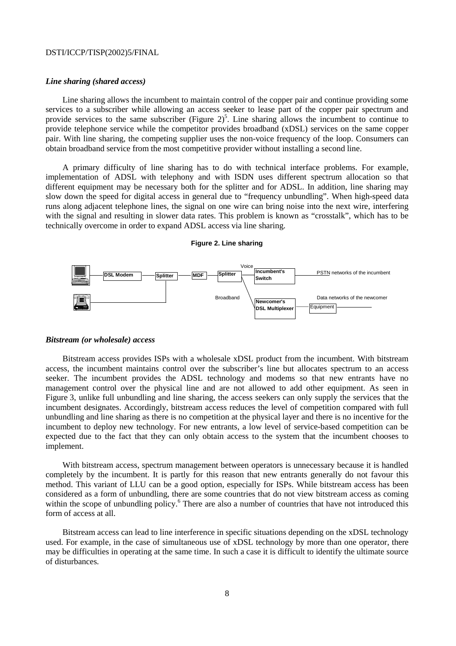### *Line sharing (shared access)*

Line sharing allows the incumbent to maintain control of the copper pair and continue providing some services to a subscriber while allowing an access seeker to lease part of the copper pair spectrum and provide services to the same subscriber (Figure  $2)^5$ . Line sharing allows the incumbent to continue to provide telephone service while the competitor provides broadband (xDSL) services on the same copper pair. With line sharing, the competing supplier uses the non-voice frequency of the loop. Consumers can obtain broadband service from the most competitive provider without installing a second line.

A primary difficulty of line sharing has to do with technical interface problems. For example, implementation of ADSL with telephony and with ISDN uses different spectrum allocation so that different equipment may be necessary both for the splitter and for ADSL. In addition, line sharing may slow down the speed for digital access in general due to "frequency unbundling". When high-speed data runs along adjacent telephone lines, the signal on one wire can bring noise into the next wire, interfering with the signal and resulting in slower data rates. This problem is known as "crosstalk", which has to be technically overcome in order to expand ADSL access via line sharing.

### **Figure 2. Line sharing**



### *Bitstream (or wholesale) access*

Bitstream access provides ISPs with a wholesale xDSL product from the incumbent. With bitstream access, the incumbent maintains control over the subscriber's line but allocates spectrum to an access seeker. The incumbent provides the ADSL technology and modems so that new entrants have no management control over the physical line and are not allowed to add other equipment. As seen in Figure 3, unlike full unbundling and line sharing, the access seekers can only supply the services that the incumbent designates. Accordingly, bitstream access reduces the level of competition compared with full unbundling and line sharing as there is no competition at the physical layer and there is no incentive for the incumbent to deploy new technology. For new entrants, a low level of service-based competition can be expected due to the fact that they can only obtain access to the system that the incumbent chooses to implement.

With bitstream access, spectrum management between operators is unnecessary because it is handled completely by the incumbent. It is partly for this reason that new entrants generally do not favour this method. This variant of LLU can be a good option, especially for ISPs. While bitstream access has been considered as a form of unbundling, there are some countries that do not view bitstream access as coming within the scope of unbundling policy.<sup>6</sup> There are also a number of countries that have not introduced this form of access at all.

Bitstream access can lead to line interference in specific situations depending on the xDSL technology used. For example, in the case of simultaneous use of xDSL technology by more than one operator, there may be difficulties in operating at the same time. In such a case it is difficult to identify the ultimate source of disturbances.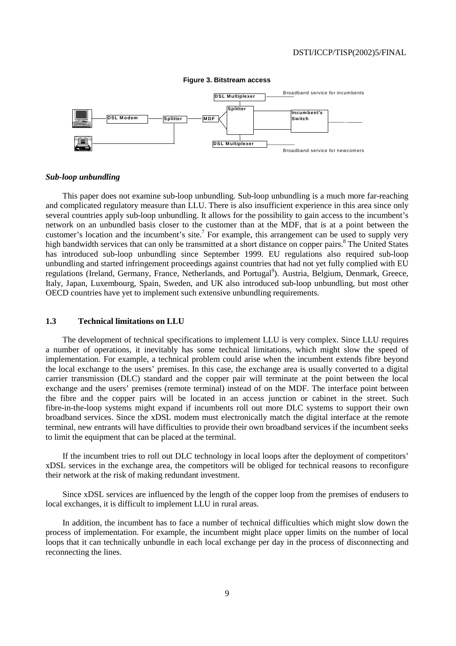

### **Figure 3. Bitstream access**

### *Sub-loop unbundling*

This paper does not examine sub-loop unbundling. Sub-loop unbundling is a much more far-reaching and complicated regulatory measure than LLU. There is also insufficient experience in this area since only several countries apply sub-loop unbundling. It allows for the possibility to gain access to the incumbent's network on an unbundled basis closer to the customer than at the MDF, that is at a point between the customer's location and the incumbent's site.<sup>7</sup> For example, this arrangement can be used to supply very high bandwidth services that can only be transmitted at a short distance on copper pairs.<sup>8</sup> The United States has introduced sub-loop unbundling since September 1999. EU regulations also required sub-loop unbundling and started infringement proceedings against countries that had not yet fully complied with EU regulations (Ireland, Germany, France, Netherlands, and Portugal<sup>9</sup>). Austria, Belgium, Denmark, Greece, Italy, Japan, Luxembourg, Spain, Sweden, and UK also introduced sub-loop unbundling, but most other OECD countries have yet to implement such extensive unbundling requirements.

### **1.3 Technical limitations on LLU**

The development of technical specifications to implement LLU is very complex. Since LLU requires a number of operations, it inevitably has some technical limitations, which might slow the speed of implementation. For example, a technical problem could arise when the incumbent extends fibre beyond the local exchange to the users' premises. In this case, the exchange area is usually converted to a digital carrier transmission (DLC) standard and the copper pair will terminate at the point between the local exchange and the users' premises (remote terminal) instead of on the MDF. The interface point between the fibre and the copper pairs will be located in an access junction or cabinet in the street. Such fibre-in-the-loop systems might expand if incumbents roll out more DLC systems to support their own broadband services. Since the xDSL modem must electronically match the digital interface at the remote terminal, new entrants will have difficulties to provide their own broadband services if the incumbent seeks to limit the equipment that can be placed at the terminal.

If the incumbent tries to roll out DLC technology in local loops after the deployment of competitors' xDSL services in the exchange area, the competitors will be obliged for technical reasons to reconfigure their network at the risk of making redundant investment.

Since xDSL services are influenced by the length of the copper loop from the premises of endusers to local exchanges, it is difficult to implement LLU in rural areas.

In addition, the incumbent has to face a number of technical difficulties which might slow down the process of implementation. For example, the incumbent might place upper limits on the number of local loops that it can technically unbundle in each local exchange per day in the process of disconnecting and reconnecting the lines.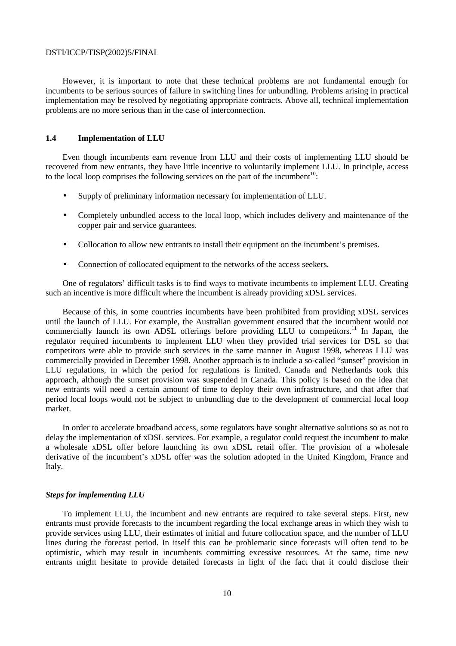However, it is important to note that these technical problems are not fundamental enough for incumbents to be serious sources of failure in switching lines for unbundling. Problems arising in practical implementation may be resolved by negotiating appropriate contracts. Above all, technical implementation problems are no more serious than in the case of interconnection.

## **1.4 Implementation of LLU**

Even though incumbents earn revenue from LLU and their costs of implementing LLU should be recovered from new entrants, they have little incentive to voluntarily implement LLU. In principle, access to the local loop comprises the following services on the part of the incumbent<sup>10</sup>:

- Supply of preliminary information necessary for implementation of LLU.
- Completely unbundled access to the local loop, which includes delivery and maintenance of the copper pair and service guarantees.
- Collocation to allow new entrants to install their equipment on the incumbent's premises.
- Connection of collocated equipment to the networks of the access seekers.

One of regulators' difficult tasks is to find ways to motivate incumbents to implement LLU. Creating such an incentive is more difficult where the incumbent is already providing xDSL services.

Because of this, in some countries incumbents have been prohibited from providing xDSL services until the launch of LLU. For example, the Australian government ensured that the incumbent would not commercially launch its own ADSL offerings before providing LLU to competitors.<sup>11</sup> In Japan, the regulator required incumbents to implement LLU when they provided trial services for DSL so that competitors were able to provide such services in the same manner in August 1998, whereas LLU was commercially provided in December 1998. Another approach is to include a so-called "sunset" provision in LLU regulations, in which the period for regulations is limited. Canada and Netherlands took this approach, although the sunset provision was suspended in Canada. This policy is based on the idea that new entrants will need a certain amount of time to deploy their own infrastructure, and that after that period local loops would not be subject to unbundling due to the development of commercial local loop market.

In order to accelerate broadband access, some regulators have sought alternative solutions so as not to delay the implementation of xDSL services. For example, a regulator could request the incumbent to make a wholesale xDSL offer before launching its own xDSL retail offer. The provision of a wholesale derivative of the incumbent's xDSL offer was the solution adopted in the United Kingdom, France and Italy.

### *Steps for implementing LLU*

To implement LLU, the incumbent and new entrants are required to take several steps. First, new entrants must provide forecasts to the incumbent regarding the local exchange areas in which they wish to provide services using LLU, their estimates of initial and future collocation space, and the number of LLU lines during the forecast period. In itself this can be problematic since forecasts will often tend to be optimistic, which may result in incumbents committing excessive resources. At the same, time new entrants might hesitate to provide detailed forecasts in light of the fact that it could disclose their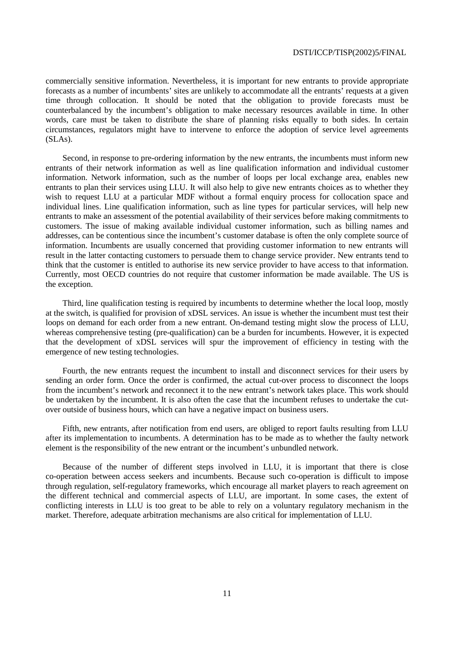commercially sensitive information. Nevertheless, it is important for new entrants to provide appropriate forecasts as a number of incumbents' sites are unlikely to accommodate all the entrants' requests at a given time through collocation. It should be noted that the obligation to provide forecasts must be counterbalanced by the incumbent's obligation to make necessary resources available in time. In other words, care must be taken to distribute the share of planning risks equally to both sides. In certain circumstances, regulators might have to intervene to enforce the adoption of service level agreements (SLAs).

Second, in response to pre-ordering information by the new entrants, the incumbents must inform new entrants of their network information as well as line qualification information and individual customer information. Network information, such as the number of loops per local exchange area, enables new entrants to plan their services using LLU. It will also help to give new entrants choices as to whether they wish to request LLU at a particular MDF without a formal enquiry process for collocation space and individual lines. Line qualification information, such as line types for particular services, will help new entrants to make an assessment of the potential availability of their services before making commitments to customers. The issue of making available individual customer information, such as billing names and addresses, can be contentious since the incumbent's customer database is often the only complete source of information. Incumbents are usually concerned that providing customer information to new entrants will result in the latter contacting customers to persuade them to change service provider. New entrants tend to think that the customer is entitled to authorise its new service provider to have access to that information. Currently, most OECD countries do not require that customer information be made available. The US is the exception.

Third, line qualification testing is required by incumbents to determine whether the local loop, mostly at the switch, is qualified for provision of xDSL services. An issue is whether the incumbent must test their loops on demand for each order from a new entrant. On-demand testing might slow the process of LLU, whereas comprehensive testing (pre-qualification) can be a burden for incumbents. However, it is expected that the development of xDSL services will spur the improvement of efficiency in testing with the emergence of new testing technologies.

Fourth, the new entrants request the incumbent to install and disconnect services for their users by sending an order form. Once the order is confirmed, the actual cut-over process to disconnect the loops from the incumbent's network and reconnect it to the new entrant's network takes place. This work should be undertaken by the incumbent. It is also often the case that the incumbent refuses to undertake the cutover outside of business hours, which can have a negative impact on business users.

Fifth, new entrants, after notification from end users, are obliged to report faults resulting from LLU after its implementation to incumbents. A determination has to be made as to whether the faulty network element is the responsibility of the new entrant or the incumbent's unbundled network.

Because of the number of different steps involved in LLU, it is important that there is close co-operation between access seekers and incumbents. Because such co-operation is difficult to impose through regulation, self-regulatory frameworks, which encourage all market players to reach agreement on the different technical and commercial aspects of LLU, are important. In some cases, the extent of conflicting interests in LLU is too great to be able to rely on a voluntary regulatory mechanism in the market. Therefore, adequate arbitration mechanisms are also critical for implementation of LLU.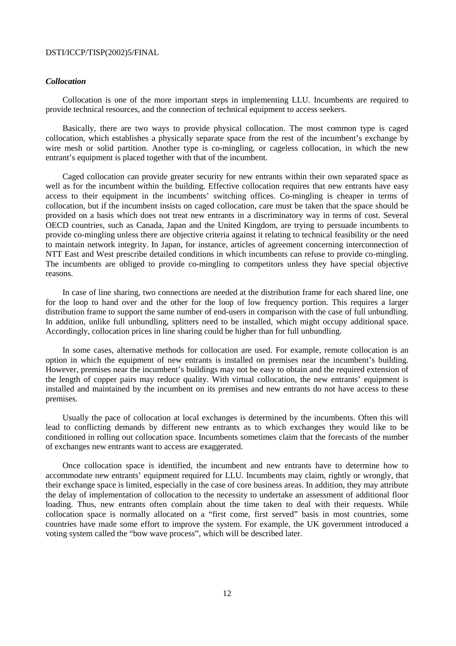# *Collocation*

Collocation is one of the more important steps in implementing LLU. Incumbents are required to provide technical resources, and the connection of technical equipment to access seekers.

Basically, there are two ways to provide physical collocation. The most common type is caged collocation, which establishes a physically separate space from the rest of the incumbent's exchange by wire mesh or solid partition. Another type is co-mingling, or cageless collocation, in which the new entrant's equipment is placed together with that of the incumbent.

Caged collocation can provide greater security for new entrants within their own separated space as well as for the incumbent within the building. Effective collocation requires that new entrants have easy access to their equipment in the incumbents' switching offices. Co-mingling is cheaper in terms of collocation, but if the incumbent insists on caged collocation, care must be taken that the space should be provided on a basis which does not treat new entrants in a discriminatory way in terms of cost. Several OECD countries, such as Canada, Japan and the United Kingdom, are trying to persuade incumbents to provide co-mingling unless there are objective criteria against it relating to technical feasibility or the need to maintain network integrity. In Japan, for instance, articles of agreement concerning interconnection of NTT East and West prescribe detailed conditions in which incumbents can refuse to provide co-mingling. The incumbents are obliged to provide co-mingling to competitors unless they have special objective reasons.

In case of line sharing, two connections are needed at the distribution frame for each shared line, one for the loop to hand over and the other for the loop of low frequency portion. This requires a larger distribution frame to support the same number of end-users in comparison with the case of full unbundling. In addition, unlike full unbundling, splitters need to be installed, which might occupy additional space. Accordingly, collocation prices in line sharing could be higher than for full unbundling.

In some cases, alternative methods for collocation are used. For example, remote collocation is an option in which the equipment of new entrants is installed on premises near the incumbent's building. However, premises near the incumbent's buildings may not be easy to obtain and the required extension of the length of copper pairs may reduce quality. With virtual collocation, the new entrants' equipment is installed and maintained by the incumbent on its premises and new entrants do not have access to these premises.

Usually the pace of collocation at local exchanges is determined by the incumbents. Often this will lead to conflicting demands by different new entrants as to which exchanges they would like to be conditioned in rolling out collocation space. Incumbents sometimes claim that the forecasts of the number of exchanges new entrants want to access are exaggerated.

Once collocation space is identified, the incumbent and new entrants have to determine how to accommodate new entrants' equipment required for LLU. Incumbents may claim, rightly or wrongly, that their exchange space is limited, especially in the case of core business areas. In addition, they may attribute the delay of implementation of collocation to the necessity to undertake an assessment of additional floor loading. Thus, new entrants often complain about the time taken to deal with their requests. While collocation space is normally allocated on a "first come, first served" basis in most countries, some countries have made some effort to improve the system. For example, the UK government introduced a voting system called the "bow wave process", which will be described later.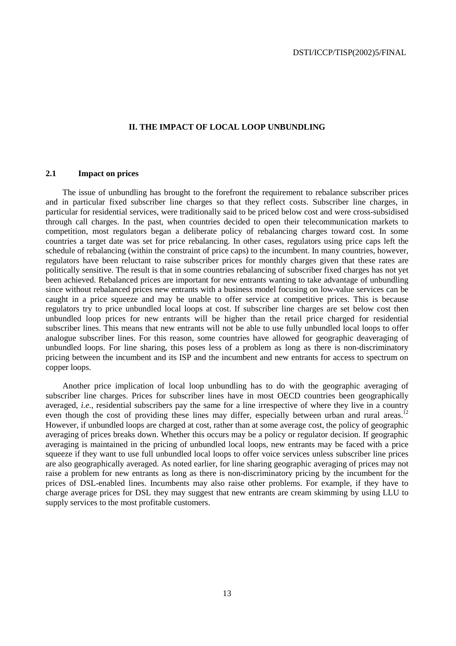### **II. THE IMPACT OF LOCAL LOOP UNBUNDLING**

# **2.1 Impact on prices**

The issue of unbundling has brought to the forefront the requirement to rebalance subscriber prices and in particular fixed subscriber line charges so that they reflect costs. Subscriber line charges, in particular for residential services, were traditionally said to be priced below cost and were cross-subsidised through call charges. In the past, when countries decided to open their telecommunication markets to competition, most regulators began a deliberate policy of rebalancing charges toward cost. In some countries a target date was set for price rebalancing. In other cases, regulators using price caps left the schedule of rebalancing (within the constraint of price caps) to the incumbent. In many countries, however, regulators have been reluctant to raise subscriber prices for monthly charges given that these rates are politically sensitive. The result is that in some countries rebalancing of subscriber fixed charges has not yet been achieved. Rebalanced prices are important for new entrants wanting to take advantage of unbundling since without rebalanced prices new entrants with a business model focusing on low-value services can be caught in a price squeeze and may be unable to offer service at competitive prices. This is because regulators try to price unbundled local loops at cost. If subscriber line charges are set below cost then unbundled loop prices for new entrants will be higher than the retail price charged for residential subscriber lines. This means that new entrants will not be able to use fully unbundled local loops to offer analogue subscriber lines. For this reason, some countries have allowed for geographic deaveraging of unbundled loops. For line sharing, this poses less of a problem as long as there is non-discriminatory pricing between the incumbent and its ISP and the incumbent and new entrants for access to spectrum on copper loops.

Another price implication of local loop unbundling has to do with the geographic averaging of subscriber line charges. Prices for subscriber lines have in most OECD countries been geographically averaged, *i.e.*, residential subscribers pay the same for a line irrespective of where they live in a country even though the cost of providing these lines may differ, especially between urban and rural areas.<sup>12</sup> However, if unbundled loops are charged at cost, rather than at some average cost, the policy of geographic averaging of prices breaks down. Whether this occurs may be a policy or regulator decision. If geographic averaging is maintained in the pricing of unbundled local loops, new entrants may be faced with a price squeeze if they want to use full unbundled local loops to offer voice services unless subscriber line prices are also geographically averaged. As noted earlier, for line sharing geographic averaging of prices may not raise a problem for new entrants as long as there is non-discriminatory pricing by the incumbent for the prices of DSL-enabled lines. Incumbents may also raise other problems. For example, if they have to charge average prices for DSL they may suggest that new entrants are cream skimming by using LLU to supply services to the most profitable customers.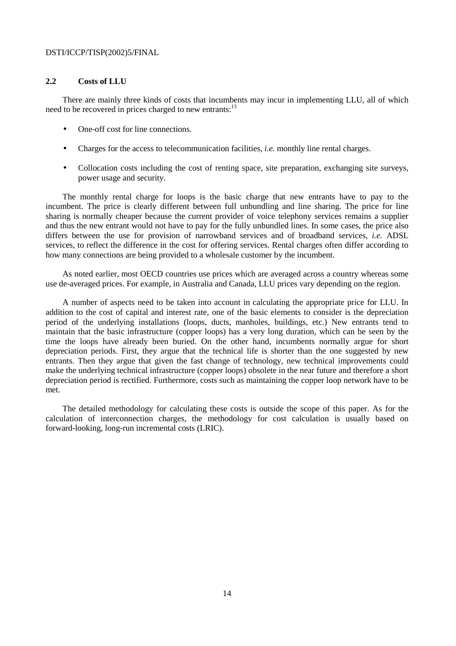# **2.2 Costs of LLU**

There are mainly three kinds of costs that incumbents may incur in implementing LLU, all of which need to be recovered in prices charged to new entrants:<sup>13</sup>

- One-off cost for line connections.
- Charges for the access to telecommunication facilities, *i.e.* monthly line rental charges.
- Collocation costs including the cost of renting space, site preparation, exchanging site surveys, power usage and security.

The monthly rental charge for loops is the basic charge that new entrants have to pay to the incumbent. The price is clearly different between full unbundling and line sharing. The price for line sharing is normally cheaper because the current provider of voice telephony services remains a supplier and thus the new entrant would not have to pay for the fully unbundled lines. In some cases, the price also differs between the use for provision of narrowband services and of broadband services, *i.e.* ADSL services, to reflect the difference in the cost for offering services. Rental charges often differ according to how many connections are being provided to a wholesale customer by the incumbent.

As noted earlier, most OECD countries use prices which are averaged across a country whereas some use de-averaged prices. For example, in Australia and Canada, LLU prices vary depending on the region.

A number of aspects need to be taken into account in calculating the appropriate price for LLU. In addition to the cost of capital and interest rate, one of the basic elements to consider is the depreciation period of the underlying installations (loops, ducts, manholes, buildings, etc.) New entrants tend to maintain that the basic infrastructure (copper loops) has a very long duration, which can be seen by the time the loops have already been buried. On the other hand, incumbents normally argue for short depreciation periods. First, they argue that the technical life is shorter than the one suggested by new entrants. Then they argue that given the fast change of technology, new technical improvements could make the underlying technical infrastructure (copper loops) obsolete in the near future and therefore a short depreciation period is rectified. Furthermore, costs such as maintaining the copper loop network have to be met.

The detailed methodology for calculating these costs is outside the scope of this paper. As for the calculation of interconnection charges, the methodology for cost calculation is usually based on forward-looking, long-run incremental costs (LRIC).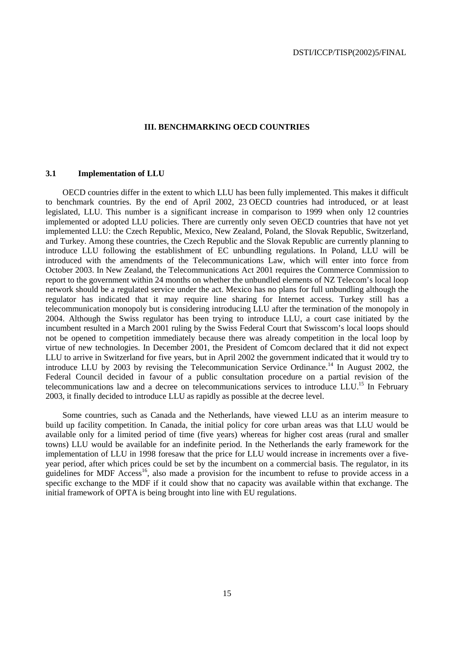### **III. BENCHMARKING OECD COUNTRIES**

# **3.1 Implementation of LLU**

OECD countries differ in the extent to which LLU has been fully implemented. This makes it difficult to benchmark countries. By the end of April 2002, 23 OECD countries had introduced, or at least legislated, LLU. This number is a significant increase in comparison to 1999 when only 12 countries implemented or adopted LLU policies. There are currently only seven OECD countries that have not yet implemented LLU: the Czech Republic, Mexico, New Zealand, Poland, the Slovak Republic, Switzerland, and Turkey. Among these countries, the Czech Republic and the Slovak Republic are currently planning to introduce LLU following the establishment of EC unbundling regulations. In Poland, LLU will be introduced with the amendments of the Telecommunications Law, which will enter into force from October 2003. In New Zealand, the Telecommunications Act 2001 requires the Commerce Commission to report to the government within 24 months on whether the unbundled elements of NZ Telecom's local loop network should be a regulated service under the act. Mexico has no plans for full unbundling although the regulator has indicated that it may require line sharing for Internet access. Turkey still has a telecommunication monopoly but is considering introducing LLU after the termination of the monopoly in 2004. Although the Swiss regulator has been trying to introduce LLU, a court case initiated by the incumbent resulted in a March 2001 ruling by the Swiss Federal Court that Swisscom's local loops should not be opened to competition immediately because there was already competition in the local loop by virtue of new technologies. In December 2001, the President of Comcom declared that it did not expect LLU to arrive in Switzerland for five years, but in April 2002 the government indicated that it would try to introduce LLU by 2003 by revising the Telecommunication Service Ordinance.<sup>14</sup> In August 2002, the Federal Council decided in favour of a public consultation procedure on a partial revision of the telecommunications law and a decree on telecommunications services to introduce LLU.<sup>15</sup> In February 2003, it finally decided to introduce LLU as rapidly as possible at the decree level.

Some countries, such as Canada and the Netherlands, have viewed LLU as an interim measure to build up facility competition. In Canada, the initial policy for core urban areas was that LLU would be available only for a limited period of time (five years) whereas for higher cost areas (rural and smaller towns) LLU would be available for an indefinite period. In the Netherlands the early framework for the implementation of LLU in 1998 foresaw that the price for LLU would increase in increments over a fiveyear period, after which prices could be set by the incumbent on a commercial basis. The regulator, in its guidelines for MDF Access<sup>16</sup>, also made a provision for the incumbent to refuse to provide access in a specific exchange to the MDF if it could show that no capacity was available within that exchange. The initial framework of OPTA is being brought into line with EU regulations.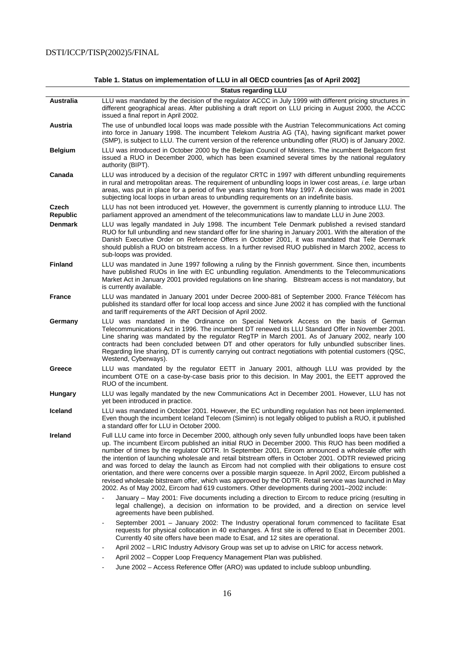|                          | <b>Ulatus Teyarumy LLU</b>                                                                                                                                                                                                                                                                                                                                                                                                                                                                                                                                                                                                                                                                                                                                                                                                                         |
|--------------------------|----------------------------------------------------------------------------------------------------------------------------------------------------------------------------------------------------------------------------------------------------------------------------------------------------------------------------------------------------------------------------------------------------------------------------------------------------------------------------------------------------------------------------------------------------------------------------------------------------------------------------------------------------------------------------------------------------------------------------------------------------------------------------------------------------------------------------------------------------|
| <b>Australia</b>         | LLU was mandated by the decision of the regulator ACCC in July 1999 with different pricing structures in<br>different geographical areas. After publishing a draft report on LLU pricing in August 2000, the ACCC<br>issued a final report in April 2002.                                                                                                                                                                                                                                                                                                                                                                                                                                                                                                                                                                                          |
| <b>Austria</b>           | The use of unbundled local loops was made possible with the Austrian Telecommunications Act coming<br>into force in January 1998. The incumbent Telekom Austria AG (TA), having significant market power<br>(SMP), is subject to LLU. The current version of the reference unbundling offer (RUO) is of January 2002.                                                                                                                                                                                                                                                                                                                                                                                                                                                                                                                              |
| <b>Belgium</b>           | LLU was introduced in October 2000 by the Belgian Council of Ministers. The incumbent Belgacom first<br>issued a RUO in December 2000, which has been examined several times by the national regulatory<br>authority (BIPT).                                                                                                                                                                                                                                                                                                                                                                                                                                                                                                                                                                                                                       |
| Canada                   | LLU was introduced by a decision of the regulator CRTC in 1997 with different unbundling requirements<br>in rural and metropolitan areas. The requirement of unbundling loops in lower cost areas, <i>i.e.</i> large urban<br>areas, was put in place for a period of five years starting from May 1997. A decision was made in 2001<br>subjecting local loops in urban areas to unbundling requirements on an indefinite basis.                                                                                                                                                                                                                                                                                                                                                                                                                   |
| Czech<br><b>Republic</b> | LLU has not been introduced yet. However, the government is currently planning to introduce LLU. The<br>parliament approved an amendment of the telecommunications law to mandate LLU in June 2003.                                                                                                                                                                                                                                                                                                                                                                                                                                                                                                                                                                                                                                                |
| <b>Denmark</b>           | LLU was legally mandated in July 1998. The incumbent Tele Denmark published a revised standard<br>RUO for full unbundling and new standard offer for line sharing in January 2001. With the alteration of the<br>Danish Executive Order on Reference Offers in October 2001, it was mandated that Tele Denmark<br>should publish a RUO on bitstream access. In a further revised RUO published in March 2002, access to<br>sub-loops was provided.                                                                                                                                                                                                                                                                                                                                                                                                 |
| <b>Finland</b>           | LLU was mandated in June 1997 following a ruling by the Finnish government. Since then, incumbents<br>have published RUOs in line with EC unbundling regulation. Amendments to the Telecommunications<br>Market Act in January 2001 provided regulations on line sharing. Bitstream access is not mandatory, but<br>is currently available.                                                                                                                                                                                                                                                                                                                                                                                                                                                                                                        |
| <b>France</b>            | LLU was mandated in January 2001 under Decree 2000-881 of September 2000. France Télécom has<br>published its standard offer for local loop access and since June 2002 it has complied with the functional<br>and tariff requirements of the ART Decision of April 2002.                                                                                                                                                                                                                                                                                                                                                                                                                                                                                                                                                                           |
| Germany                  | LLU was mandated in the Ordinance on Special Network Access on the basis of German<br>Telecommunications Act in 1996. The incumbent DT renewed its LLU Standard Offer in November 2001.<br>Line sharing was mandated by the regulator RegTP in March 2001. As of January 2002, nearly 100<br>contracts had been concluded between DT and other operators for fully unbundled subscriber lines.<br>Regarding line sharing, DT is currently carrying out contract negotiations with potential customers (QSC,<br>Westend, Cyberways).                                                                                                                                                                                                                                                                                                                |
| Greece                   | LLU was mandated by the regulator EETT in January 2001, although LLU was provided by the<br>incumbent OTE on a case-by-case basis prior to this decision. In May 2001, the EETT approved the<br>RUO of the incumbent.                                                                                                                                                                                                                                                                                                                                                                                                                                                                                                                                                                                                                              |
| <b>Hungary</b>           | LLU was legally mandated by the new Communications Act in December 2001. However, LLU has not<br>yet been introduced in practice.                                                                                                                                                                                                                                                                                                                                                                                                                                                                                                                                                                                                                                                                                                                  |
| <b>Iceland</b>           | LLU was mandated in October 2001. However, the EC unbundling regulation has not been implemented.<br>Even though the incumbent Iceland Telecom (Siminn) is not legally obliged to publish a RUO, it published<br>a standard offer for LLU in October 2000.                                                                                                                                                                                                                                                                                                                                                                                                                                                                                                                                                                                         |
| Ireland                  | Full LLU came into force in December 2000, although only seven fully unbundled loops have been taken<br>up. The incumbent Eircom published an initial RUO in December 2000. This RUO has been modified a<br>number of times by the regulator ODTR. In September 2001, Eircom announced a wholesale offer with<br>the intention of launching wholesale and retail bitstream offers in October 2001. ODTR reviewed pricing<br>and was forced to delay the launch as Eircom had not complied with their obligations to ensure cost<br>orientation, and there were concerns over a possible margin squeeze. In April 2002, Eircom published a<br>revised wholesale bitstream offer, which was approved by the ODTR. Retail service was launched in May<br>2002. As of May 2002, Eircom had 619 customers. Other developments during 2001-2002 include: |
|                          | January - May 2001: Five documents including a direction to Eircom to reduce pricing (resulting in<br>legal challenge), a decision on information to be provided, and a direction on service level<br>agreements have been published.                                                                                                                                                                                                                                                                                                                                                                                                                                                                                                                                                                                                              |
|                          | September 2001 - January 2002: The Industry operational forum commenced to facilitate Esat<br>requests for physical collocation in 40 exchanges. A first site is offered to Esat in December 2001.<br>Currently 40 site offers have been made to Esat, and 12 sites are operational.                                                                                                                                                                                                                                                                                                                                                                                                                                                                                                                                                               |
|                          | April 2002 – LRIC Industry Advisory Group was set up to advise on LRIC for access network.<br>-                                                                                                                                                                                                                                                                                                                                                                                                                                                                                                                                                                                                                                                                                                                                                    |
|                          | April 2002 - Copper Loop Frequency Management Plan was published.                                                                                                                                                                                                                                                                                                                                                                                                                                                                                                                                                                                                                                                                                                                                                                                  |
|                          | June 2002 – Access Reference Offer (ARO) was updated to include subloop unbundling.<br>-                                                                                                                                                                                                                                                                                                                                                                                                                                                                                                                                                                                                                                                                                                                                                           |

**Table 1. Status on implementation of LLU in all OECD countries [as of April 2002]** 

# **Status regarding LLU**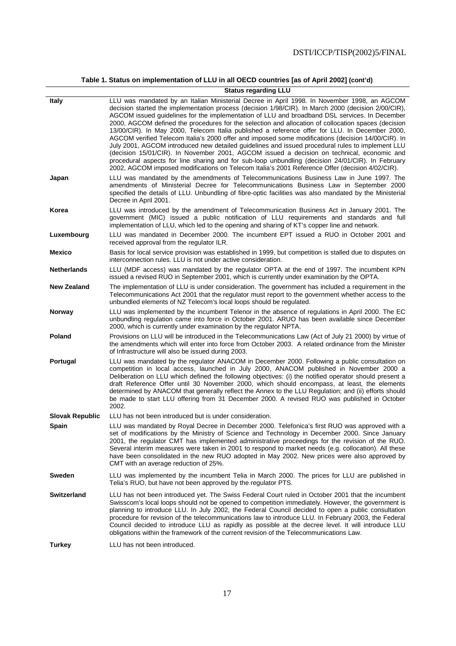**Table 1. Status on implementation of LLU in all OECD countries [as of April 2002] (cont'd)** 

|  | <b>Status regarding LLU</b> |  |
|--|-----------------------------|--|
|--|-----------------------------|--|

|                        | <b>Status regarding LLU</b>                                                                                                                                                                                                                                                                                                                                                                                                                                                                                                                                                                                                                                                                                                                                                                                                                                                                                                                                                                                                  |
|------------------------|------------------------------------------------------------------------------------------------------------------------------------------------------------------------------------------------------------------------------------------------------------------------------------------------------------------------------------------------------------------------------------------------------------------------------------------------------------------------------------------------------------------------------------------------------------------------------------------------------------------------------------------------------------------------------------------------------------------------------------------------------------------------------------------------------------------------------------------------------------------------------------------------------------------------------------------------------------------------------------------------------------------------------|
| <b>Italy</b>           | LLU was mandated by an Italian Ministerial Decree in April 1998. In November 1998, an AGCOM<br>decision started the implementation process (decision 1/98/CIR). In March 2000 (decision 2/00/CIR),<br>AGCOM issued guidelines for the implementation of LLU and broadband DSL services. In December<br>2000, AGCOM defined the procedures for the selection and allocation of collocation spaces (decision<br>13/00/CIR). In May 2000, Telecom Italia published a reference offer for LLU. In December 2000,<br>AGCOM verified Telecom Italia's 2000 offer and imposed some modifications (decision 14/00/CIR). In<br>July 2001, AGCOM introduced new detailed guidelines and issued procedural rules to implement LLU<br>(decision 15/01/CIR). In November 2001, AGCOM issued a decision on technical, economic and<br>procedural aspects for line sharing and for sub-loop unbundling (decision 24/01/CIR). In February<br>2002, AGCOM imposed modifications on Telecom Italia's 2001 Reference Offer (decision 4/02/CIR). |
| Japan                  | LLU was mandated by the amendments of Telecommunications Business Law in June 1997. The<br>amendments of Ministerial Decree for Telecommunications Business Law in September 2000<br>specified the details of LLU. Unbundling of fibre-optic facilities was also mandated by the Ministerial<br>Decree in April 2001.                                                                                                                                                                                                                                                                                                                                                                                                                                                                                                                                                                                                                                                                                                        |
| Korea                  | LLU was introduced by the amendment of Telecommunication Business Act in January 2001. The<br>government (MIC) issued a public notification of LLU requirements and standards and full<br>implementation of LLU, which led to the opening and sharing of KT's copper line and network.                                                                                                                                                                                                                                                                                                                                                                                                                                                                                                                                                                                                                                                                                                                                       |
| Luxembourg             | LLU was mandated in December 2000. The incumbent EPT issued a RUO in October 2001 and<br>received approval from the regulator ILR.                                                                                                                                                                                                                                                                                                                                                                                                                                                                                                                                                                                                                                                                                                                                                                                                                                                                                           |
| <b>Mexico</b>          | Basis for local service provision was established in 1999, but competition is stalled due to disputes on<br>interconnection rules. LLU is not under active consideration.                                                                                                                                                                                                                                                                                                                                                                                                                                                                                                                                                                                                                                                                                                                                                                                                                                                    |
| <b>Netherlands</b>     | LLU (MDF access) was mandated by the regulator OPTA at the end of 1997. The incumbent KPN<br>issued a revised RUO in September 2001, which is currently under examination by the OPTA.                                                                                                                                                                                                                                                                                                                                                                                                                                                                                                                                                                                                                                                                                                                                                                                                                                       |
| <b>New Zealand</b>     | The implementation of LLU is under consideration. The government has included a requirement in the<br>Telecommunications Act 2001 that the regulator must report to the government whether access to the<br>unbundled elements of NZ Telecom's local loops should be regulated.                                                                                                                                                                                                                                                                                                                                                                                                                                                                                                                                                                                                                                                                                                                                              |
| Norway                 | LLU was implemented by the incumbent Telenor in the absence of regulations in April 2000. The EC<br>unbundling regulation came into force in October 2001. ARUO has been available since December<br>2000, which is currently under examination by the regulator NPTA.                                                                                                                                                                                                                                                                                                                                                                                                                                                                                                                                                                                                                                                                                                                                                       |
| Poland                 | Provisions on LLU will be introduced in the Telecommunications Law (Act of July 21 2000) by virtue of<br>the amendments which will enter into force from October 2003. A related ordinance from the Minister<br>of Infrastructure will also be issued during 2003.                                                                                                                                                                                                                                                                                                                                                                                                                                                                                                                                                                                                                                                                                                                                                           |
| Portugal               | LLU was mandated by the regulator ANACOM in December 2000. Following a public consultation on<br>competition in local access, launched in July 2000, ANACOM published in November 2000 a<br>Deliberation on LLU which defined the following objectives: (i) the notified operator should present a<br>draft Reference Offer until 30 November 2000, which should encompass, at least, the elements<br>determined by ANACOM that generally reflect the Annex to the LLU Regulation; and (ii) efforts should<br>be made to start LLU offering from 31 December 2000. A revised RUO was published in October<br>2002.                                                                                                                                                                                                                                                                                                                                                                                                           |
| <b>Slovak Republic</b> | LLU has not been introduced but is under consideration.                                                                                                                                                                                                                                                                                                                                                                                                                                                                                                                                                                                                                                                                                                                                                                                                                                                                                                                                                                      |
| <b>Spain</b>           | LLU was mandated by Royal Decree in December 2000. Telefonica's first RUO was approved with a<br>set of modifications by the Ministry of Science and Technology in December 2000. Since January<br>2001, the regulator CMT has implemented administrative proceedings for the revision of the RUO.<br>Several interim measures were taken in 2001 to respond to market needs (e.g. collocation). All these<br>have been consolidated in the new RUO adopted in May 2002. New prices were also approved by<br>CMT with an average reduction of 25%.                                                                                                                                                                                                                                                                                                                                                                                                                                                                           |
| Sweden                 | LLU was implemented by the incumbent Telia in March 2000. The prices for LLU are published in<br>Telia's RUO, but have not been approved by the regulator PTS.                                                                                                                                                                                                                                                                                                                                                                                                                                                                                                                                                                                                                                                                                                                                                                                                                                                               |
| <b>Switzerland</b>     | LLU has not been introduced yet. The Swiss Federal Court ruled in October 2001 that the incumbent<br>Swisscom's local loops should not be opened to competition immediately. However, the government is<br>planning to introduce LLU. In July 2002, the Federal Council decided to open a public consultation<br>procedure for revision of the telecommunications law to introduce LLU. In February 2003, the Federal<br>Council decided to introduce LLU as rapidly as possible at the decree level. It will introduce LLU<br>obligations within the framework of the current revision of the Telecommunications Law.                                                                                                                                                                                                                                                                                                                                                                                                       |
| <b>Turkey</b>          | LLU has not been introduced.                                                                                                                                                                                                                                                                                                                                                                                                                                                                                                                                                                                                                                                                                                                                                                                                                                                                                                                                                                                                 |
|                        |                                                                                                                                                                                                                                                                                                                                                                                                                                                                                                                                                                                                                                                                                                                                                                                                                                                                                                                                                                                                                              |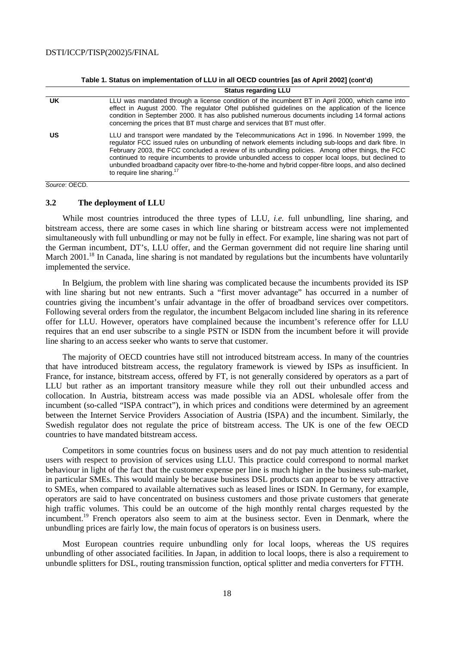**Table 1. Status on implementation of LLU in all OECD countries [as of April 2002] (cont'd)** 

| UK. | LLU was mandated through a license condition of the incumbent BT in April 2000, which came into<br>effect in August 2000. The regulator Oftel published guidelines on the application of the licence<br>condition in September 2000. It has also published numerous documents including 14 formal actions<br>concerning the prices that BT must charge and services that BT must offer.                                                                                                                                                                          |
|-----|------------------------------------------------------------------------------------------------------------------------------------------------------------------------------------------------------------------------------------------------------------------------------------------------------------------------------------------------------------------------------------------------------------------------------------------------------------------------------------------------------------------------------------------------------------------|
| US  | LLU and transport were mandated by the Telecommunications Act in 1996. In November 1999, the<br>regulator FCC issued rules on unbundling of network elements including sub-loops and dark fibre. In<br>February 2003, the FCC concluded a review of its unbundling policies. Among other things, the FCC<br>continued to require incumbents to provide unbundled access to copper local loops, but declined to<br>unbundled broadband capacity over fibre-to-the-home and hybrid copper-fibre loops, and also declined<br>to require line sharing. <sup>17</sup> |

Source: OECD.

### **3.2 The deployment of LLU**

While most countries introduced the three types of LLU, *i.e.* full unbundling, line sharing, and bitstream access, there are some cases in which line sharing or bitstream access were not implemented simultaneously with full unbundling or may not be fully in effect. For example, line sharing was not part of the German incumbent, DT's, LLU offer, and the German government did not require line sharing until March 2001.<sup>18</sup> In Canada, line sharing is not mandated by regulations but the incumbents have voluntarily implemented the service.

In Belgium, the problem with line sharing was complicated because the incumbents provided its ISP with line sharing but not new entrants. Such a "first mover advantage" has occurred in a number of countries giving the incumbent's unfair advantage in the offer of broadband services over competitors. Following several orders from the regulator, the incumbent Belgacom included line sharing in its reference offer for LLU. However, operators have complained because the incumbent's reference offer for LLU requires that an end user subscribe to a single PSTN or ISDN from the incumbent before it will provide line sharing to an access seeker who wants to serve that customer.

The majority of OECD countries have still not introduced bitstream access. In many of the countries that have introduced bitstream access, the regulatory framework is viewed by ISPs as insufficient. In France, for instance, bitstream access, offered by FT, is not generally considered by operators as a part of LLU but rather as an important transitory measure while they roll out their unbundled access and collocation. In Austria, bitstream access was made possible via an ADSL wholesale offer from the incumbent (so-called "ISPA contract"), in which prices and conditions were determined by an agreement between the Internet Service Providers Association of Austria (ISPA) and the incumbent. Similarly, the Swedish regulator does not regulate the price of bitstream access. The UK is one of the few OECD countries to have mandated bitstream access.

Competitors in some countries focus on business users and do not pay much attention to residential users with respect to provision of services using LLU. This practice could correspond to normal market behaviour in light of the fact that the customer expense per line is much higher in the business sub-market, in particular SMEs. This would mainly be because business DSL products can appear to be very attractive to SMEs, when compared to available alternatives such as leased lines or ISDN. In Germany, for example, operators are said to have concentrated on business customers and those private customers that generate high traffic volumes. This could be an outcome of the high monthly rental charges requested by the incumbent.<sup>19</sup> French operators also seem to aim at the business sector. Even in Denmark, where the unbundling prices are fairly low, the main focus of operators is on business users.

Most European countries require unbundling only for local loops, whereas the US requires unbundling of other associated facilities. In Japan, in addition to local loops, there is also a requirement to unbundle splitters for DSL, routing transmission function, optical splitter and media converters for FTTH.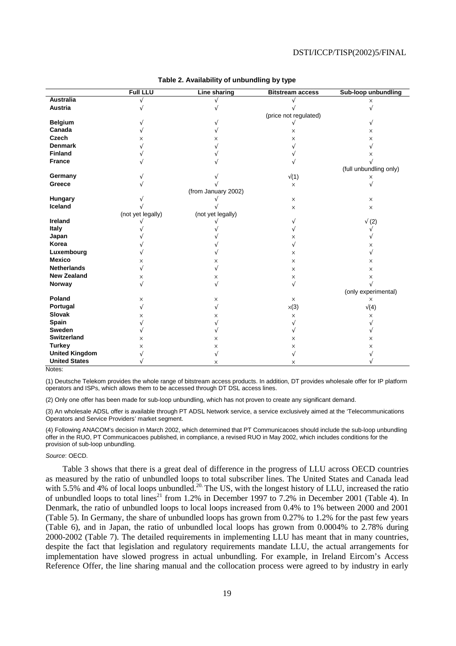|                       | <b>Full LLU</b>   | <b>Line sharing</b> | <b>Bitstream access</b>   | Sub-loop unbundling    |
|-----------------------|-------------------|---------------------|---------------------------|------------------------|
| <b>Australia</b>      |                   |                     |                           | $\times$               |
| <b>Austria</b>        |                   |                     |                           |                        |
|                       |                   |                     | (price not regulated)     |                        |
| <b>Belgium</b>        |                   |                     |                           | V                      |
| Canada                |                   |                     | X                         | ×                      |
| Czech                 | x                 | ×                   | X                         | X                      |
| <b>Denmark</b>        |                   |                     |                           |                        |
| <b>Finland</b>        |                   |                     |                           | X                      |
| <b>France</b>         |                   |                     |                           |                        |
|                       |                   |                     |                           | (full unbundling only) |
| Germany               |                   |                     | $\sqrt(1)$                | ×                      |
| Greece                |                   |                     | $\times$                  |                        |
|                       |                   | (from January 2002) |                           |                        |
| Hungary               |                   |                     | $\times$                  | $\times$               |
| Iceland               |                   |                     | X                         | $\times$               |
|                       | (not yet legally) | (not yet legally)   |                           |                        |
| Ireland               |                   |                     |                           | $\sqrt(2)$             |
| Italy                 |                   |                     |                           |                        |
| Japan                 |                   |                     | ×                         |                        |
| Korea                 |                   |                     | V                         | X                      |
| Luxembourg            |                   |                     | X                         | $\sqrt{}$              |
| <b>Mexico</b>         | $\times$          | X                   | $\times$                  | $\times$               |
| <b>Netherlands</b>    |                   | N                   | X                         | $\times$               |
| <b>New Zealand</b>    | $\times$          | ×                   | X                         | $\times$               |
| Norway                | V                 | V                   | V                         |                        |
|                       |                   |                     |                           | (only experimental)    |
| Poland                | $\times$          | X                   | $\boldsymbol{\mathsf{X}}$ | X                      |
| Portugal              | V                 | V                   | $\times(3)$               | $\sqrt(4)$             |
| <b>Slovak</b>         | X                 | ×                   | ×                         | ×                      |
| Spain                 |                   |                     |                           |                        |
| Sweden                |                   | V                   | ν                         |                        |
| <b>Switzerland</b>    | X                 | X                   | X                         | X                      |
| <b>Turkey</b>         | X                 | X                   | X                         | X                      |
| <b>United Kingdom</b> |                   | N                   |                           |                        |
| <b>United States</b>  |                   | X                   | X                         |                        |

### **Table 2. Availability of unbundling by type**

Notes:

(1) Deutsche Telekom provides the whole range of bitstream access products. In addition, DT provides wholesale offer for IP platform operators and ISPs, which allows them to be accessed through DT DSL access lines.

(2) Only one offer has been made for sub-loop unbundling, which has not proven to create any significant demand.

(3) An wholesale ADSL offer is available through PT ADSL Network service, a service exclusively aimed at the 'Telecommunications Operators and Service Providers' market segment.

(4) Following ANACOM's decision in March 2002, which determined that PT Communicacoes should include the sub-loop unbundling offer in the RUO, PT Communicacoes published, in compliance, a revised RUO in May 2002, which includes conditions for the provision of sub-loop unbundling.

#### Source: OECD.

Table 3 shows that there is a great deal of difference in the progress of LLU across OECD countries as measured by the ratio of unbundled loops to total subscriber lines. The United States and Canada lead with 5.5% and 4% of local loops unbundled.<sup>20.</sup> The US, with the longest history of LLU, increased the ratio of unbundled loops to total lines<sup>21</sup> from 1.2% in December 1997 to 7.2% in December 2001 (Table 4). In Denmark, the ratio of unbundled loops to local loops increased from 0.4% to 1% between 2000 and 2001 (Table 5). In Germany, the share of unbundled loops has grown from 0.27% to 1.2% for the past few years (Table 6), and in Japan, the ratio of unbundled local loops has grown from 0.0004% to 2.78% during 2000-2002 (Table 7). The detailed requirements in implementing LLU has meant that in many countries, despite the fact that legislation and regulatory requirements mandate LLU, the actual arrangements for implementation have slowed progress in actual unbundling. For example, in Ireland Eircom's Access Reference Offer, the line sharing manual and the collocation process were agreed to by industry in early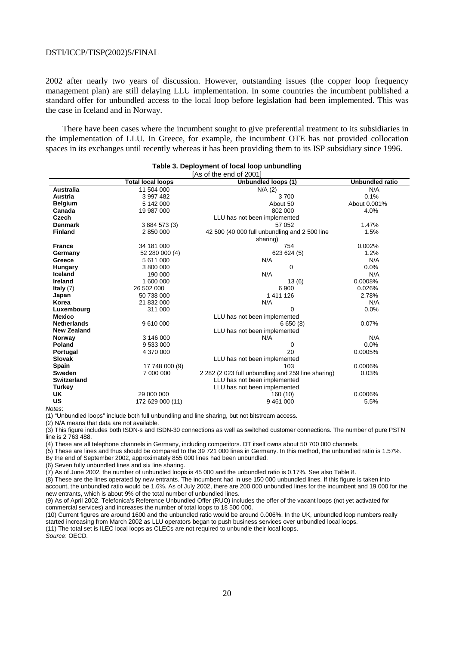2002 after nearly two years of discussion. However, outstanding issues (the copper loop frequency management plan) are still delaying LLU implementation. In some countries the incumbent published a standard offer for unbundled access to the local loop before legislation had been implemented. This was the case in Iceland and in Norway.

There have been cases where the incumbent sought to give preferential treatment to its subsidiaries in the implementation of LLU. In Greece, for example, the incumbent OTE has not provided collocation spaces in its exchanges until recently whereas it has been providing them to its ISP subsidiary since 1996.

|                    |                          | [As of the end of 2001]                            |                        |
|--------------------|--------------------------|----------------------------------------------------|------------------------|
|                    | <b>Total local loops</b> | Unbundled loops (1)                                | <b>Unbundled ratio</b> |
| <b>Australia</b>   | 11 504 000               | $N/A$ (2)                                          | N/A                    |
| <b>Austria</b>     | 3 997 482                | 3700                                               | 0.1%                   |
| <b>Belgium</b>     | 5 142 000                | About 50                                           | About 0.001%           |
| Canada             | 19 987 000               | 802 000                                            | 4.0%                   |
| Czech              |                          | LLU has not been implemented                       |                        |
| <b>Denmark</b>     | 3 884 573 (3)            | 57 052                                             | 1.47%                  |
| <b>Finland</b>     | 2 850 000                | 42 500 (40 000 full unbundling and 2 500 line      | 1.5%                   |
|                    |                          | sharing)                                           |                        |
| <b>France</b>      | 34 181 000               | 754                                                | 0.002%                 |
| Germany            | 52 280 000 (4)           | 623 624 (5)                                        | 1.2%                   |
| Greece             | 5 611 000                | N/A                                                | N/A                    |
| <b>Hungary</b>     | 3 800 000                | 0                                                  | 0.0%                   |
| Iceland            | 190 000                  | N/A                                                | N/A                    |
| Ireland            | 1 600 000                | 13(6)                                              | 0.0008%                |
| Italy $(7)$        | 26 502 000               | 6 900                                              | 0.026%                 |
| Japan              | 50 738 000               | 1 411 126                                          | 2.78%                  |
| Korea              | 21 832 000               | N/A                                                | N/A                    |
| Luxembourg         | 311 000                  | 0                                                  | 0.0%                   |
| <b>Mexico</b>      |                          | LLU has not been implemented                       |                        |
| <b>Netherlands</b> | 9 610 000                | 6650(8)                                            | 0.07%                  |
| <b>New Zealand</b> |                          | LLU has not been implemented                       |                        |
| Norway             | 3 146 000                | N/A                                                | N/A                    |
| Poland             | 9 533 000                | $\mathbf 0$                                        | 0.0%                   |
| <b>Portugal</b>    | 4 370 000                | 20                                                 | 0.0005%                |
| <b>Slovak</b>      |                          | LLU has not been implemented                       |                        |
| Spain              | 17 748 000 (9)           | 103                                                | 0.0006%                |
| <b>Sweden</b>      | 7 000 000                | 2 282 (2 023 full unbundling and 259 line sharing) | 0.03%                  |
| <b>Switzerland</b> |                          | LLU has not been implemented                       |                        |
| <b>Turkey</b>      |                          | LLU has not been implemented                       |                        |
| UK                 | 29 000 000               | 160 (10)                                           | 0.0006%                |
| US                 | 172 629 000 (11)         | 9 461 000                                          | 5.5%                   |

# **Table 3. Deployment of local loop unbundling**

Notes:

(1) "Unbundled loops" include both full unbundling and line sharing, but not bitstream access.

(2) N/A means that data are not available.

(3) This figure includes both ISDN-s and ISDN-30 connections as well as switched customer connections. The number of pure PSTN line is 2 763 488.

(4) These are all telephone channels in Germany, including competitors. DT itself owns about 50 700 000 channels.

(5) These are lines and thus should be compared to the 39 721 000 lines in Germany. In this method, the unbundled ratio is 1.57%.

By the end of September 2002, approximately 855 000 lines had been unbundled.

(6) Seven fully unbundled lines and six line sharing.

(7) As of June 2002, the number of unbundled loops is 45 000 and the unbundled ratio is 0.17%. See also Table 8.

(8) These are the lines operated by new entrants. The incumbent had in use 150 000 unbundled lines. If this figure is taken into account, the unbundled ratio would be 1.6%. As of July 2002, there are 200 000 unbundled lines for the incumbent and 19 000 for the new entrants, which is about 9% of the total number of unbundled lines.

(9) As of April 2002. Telefonica's Reference Unbundled Offer (RUO) includes the offer of the vacant loops (not yet activated for commercial services) and increases the number of total loops to 18 500 000.

(10) Current figures are around 1600 and the unbundled ratio would be around 0.006%. In the UK, unbundled loop numbers really started increasing from March 2002 as LLU operators began to push business services over unbundled local loops.

(11) The total set is ILEC local loops as CLECs are not required to unbundle their local loops.

Source: OECD.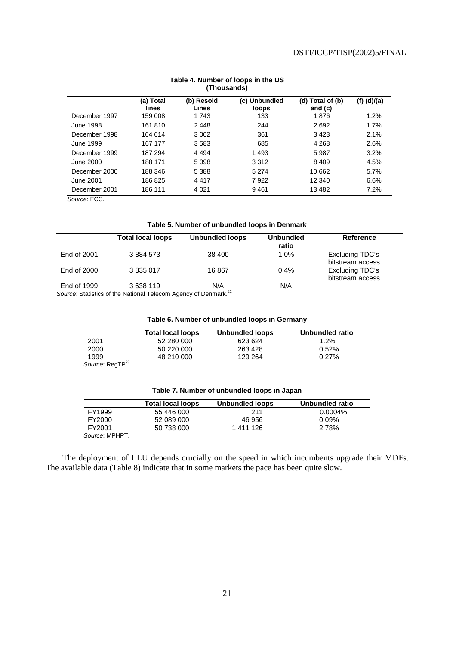|                  | (a) Total<br>lines | (b) Resold<br>Lines | (c) Unbundled<br>loops | (d) Total of (b)<br>and $(c)$ | $(f)$ (d)/(a) |
|------------------|--------------------|---------------------|------------------------|-------------------------------|---------------|
| December 1997    | 159 008            | 1 743               | 133                    | 1876                          | 1.2%          |
| <b>June 1998</b> | 161 810            | 2448                | 244                    | 2692                          | 1.7%          |
| December 1998    | 164 614            | 3 0 6 2             | 361                    | 3423                          | 2.1%          |
| June 1999        | 167 177            | 3583                | 685                    | 4 2 6 8                       | 2.6%          |
| December 1999    | 187 294            | 4 4 9 4             | 1 4 9 3                | 5987                          | 3.2%          |
| June 2000        | 188 171            | 5 0 9 8             | 3 3 1 2                | 8 4 0 9                       | 4.5%          |
| December 2000    | 188 346            | 5 3 8 8             | 5 2 7 4                | 10 662                        | 5.7%          |
| June 2001        | 186825             | 4417                | 7922                   | 12 340                        | 6.6%          |
| December 2001    | 186 111            | 4 0 21              | 9461                   | 13 4 8 2                      | 7.2%          |

### **Table 4. Number of loops in the US (Thousands)**

# **Table 5. Number of unbundled loops in Denmark**

|             | <b>Total local loops</b>                                                   | <b>Unbundled loops</b> | <b>Unbundled</b><br>ratio | <b>Reference</b>                    |
|-------------|----------------------------------------------------------------------------|------------------------|---------------------------|-------------------------------------|
| End of 2001 | 3884573                                                                    | 38 400                 | 1.0%                      | Excluding TDC's<br>bitstream access |
| End of 2000 | 3 835 017                                                                  | 16867                  | $0.4\%$                   | Excluding TDC's<br>bitstream access |
| End of 1999 | 3 638 119                                                                  | N/A                    | N/A                       |                                     |
|             | Source: Statistics of the National Telecom Agency of Denmark <sup>22</sup> |                        |                           |                                     |

Source: Statistics of the National Telecom Agency of Denmark.

# **Table 6. Number of unbundled loops in Germany**

|      | <b>Total local loops</b> | Unbundled loops | Unbundled ratio |
|------|--------------------------|-----------------|-----------------|
| 2001 | 52 280 000               | 623 624         | $1.2\%$         |
| 2000 | 50 220 000               | 263 428         | $0.52\%$        |
| 1999 | 48 210 000               | 129 264         | 0.27%           |

Source: RegTP<sup>23</sup>.

| Table 7. Number of unbundled loops in Japan |
|---------------------------------------------|
|---------------------------------------------|

|                | <b>Total local loops</b> | Unbundled loops | Unbundled ratio |
|----------------|--------------------------|-----------------|-----------------|
| FY1999         | 55 446 000               | 211             | $0.0004\%$      |
| FY2000         | 52 089 000               | 46 956          | $0.09\%$        |
| FY2001         | 50 738 000               | 1411126         | 2.78%           |
| Source: MPHPT. |                          |                 |                 |

The deployment of LLU depends crucially on the speed in which incumbents upgrade their MDFs. The available data (Table 8) indicate that in some markets the pace has been quite slow.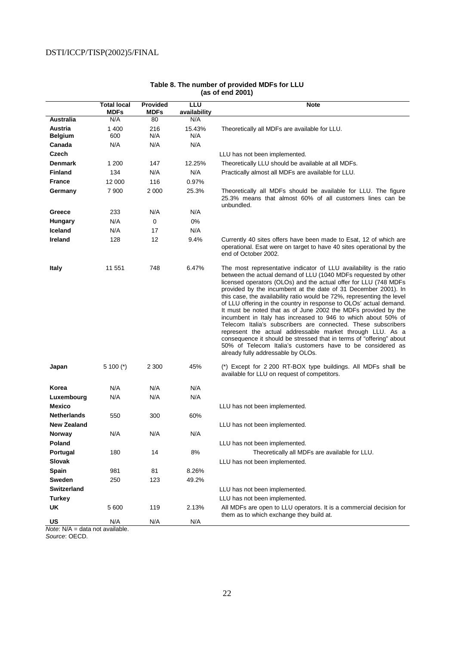|                     | <b>Total local</b><br><b>MDFs</b> | Provided<br><b>MDFs</b> | LLU<br>availability | <b>Note</b>                                                                                                                                                                                                                                                                                                                                                                                                                                                                                                                                                                                                                                                                                                                                                                                                                                                            |
|---------------------|-----------------------------------|-------------------------|---------------------|------------------------------------------------------------------------------------------------------------------------------------------------------------------------------------------------------------------------------------------------------------------------------------------------------------------------------------------------------------------------------------------------------------------------------------------------------------------------------------------------------------------------------------------------------------------------------------------------------------------------------------------------------------------------------------------------------------------------------------------------------------------------------------------------------------------------------------------------------------------------|
| <b>Australia</b>    | N/A                               | 80                      | N/A                 |                                                                                                                                                                                                                                                                                                                                                                                                                                                                                                                                                                                                                                                                                                                                                                                                                                                                        |
| Austria             | 1 400                             | 216                     | 15.43%              | Theoretically all MDFs are available for LLU.                                                                                                                                                                                                                                                                                                                                                                                                                                                                                                                                                                                                                                                                                                                                                                                                                          |
| <b>Belgium</b>      | 600                               | N/A                     | N/A                 |                                                                                                                                                                                                                                                                                                                                                                                                                                                                                                                                                                                                                                                                                                                                                                                                                                                                        |
| Canada              | N/A                               | N/A                     | N/A                 |                                                                                                                                                                                                                                                                                                                                                                                                                                                                                                                                                                                                                                                                                                                                                                                                                                                                        |
| Czech               |                                   |                         |                     | LLU has not been implemented.                                                                                                                                                                                                                                                                                                                                                                                                                                                                                                                                                                                                                                                                                                                                                                                                                                          |
| <b>Denmark</b>      | 1 200                             | 147                     | 12.25%              | Theoretically LLU should be available at all MDFs.                                                                                                                                                                                                                                                                                                                                                                                                                                                                                                                                                                                                                                                                                                                                                                                                                     |
| <b>Finland</b>      | 134                               | N/A                     | N/A                 | Practically almost all MDFs are available for LLU.                                                                                                                                                                                                                                                                                                                                                                                                                                                                                                                                                                                                                                                                                                                                                                                                                     |
| <b>France</b>       | 12 000                            | 116                     | 0.97%               |                                                                                                                                                                                                                                                                                                                                                                                                                                                                                                                                                                                                                                                                                                                                                                                                                                                                        |
| Germany             | 7 900                             | 2 000                   | 25.3%               | Theoretically all MDFs should be available for LLU. The figure<br>25.3% means that almost 60% of all customers lines can be<br>unbundled.                                                                                                                                                                                                                                                                                                                                                                                                                                                                                                                                                                                                                                                                                                                              |
| Greece              | 233                               | N/A                     | N/A                 |                                                                                                                                                                                                                                                                                                                                                                                                                                                                                                                                                                                                                                                                                                                                                                                                                                                                        |
| <b>Hungary</b>      | N/A                               | 0                       | 0%                  |                                                                                                                                                                                                                                                                                                                                                                                                                                                                                                                                                                                                                                                                                                                                                                                                                                                                        |
| Iceland             | N/A                               | 17                      | N/A                 |                                                                                                                                                                                                                                                                                                                                                                                                                                                                                                                                                                                                                                                                                                                                                                                                                                                                        |
| <b>Ireland</b>      | 128                               | 12                      | 9.4%                | Currently 40 sites offers have been made to Esat, 12 of which are<br>operational. Esat were on target to have 40 sites operational by the<br>end of October 2002.                                                                                                                                                                                                                                                                                                                                                                                                                                                                                                                                                                                                                                                                                                      |
| Italy               | 11 551                            | 748                     | 6.47%               | The most representative indicator of LLU availability is the ratio<br>between the actual demand of LLU (1040 MDFs requested by other<br>licensed operators (OLOs) and the actual offer for LLU (748 MDFs<br>provided by the incumbent at the date of 31 December 2001). In<br>this case, the availability ratio would be 72%, representing the level<br>of LLU offering in the country in response to OLOs' actual demand.<br>It must be noted that as of June 2002 the MDFs provided by the<br>incumbent in Italy has increased to 946 to which about 50% of<br>Telecom Italia's subscribers are connected. These subscribers<br>represent the actual addressable market through LLU. As a<br>consequence it should be stressed that in terms of "offering" about<br>50% of Telecom Italia's customers have to be considered as<br>already fully addressable by OLOs. |
| Japan               | $5100 (*)$                        | 2 3 0 0                 | 45%                 | (*) Except for 2 200 RT-BOX type buildings. All MDFs shall be<br>available for LLU on request of competitors.                                                                                                                                                                                                                                                                                                                                                                                                                                                                                                                                                                                                                                                                                                                                                          |
| Korea               | N/A                               | N/A                     | N/A                 |                                                                                                                                                                                                                                                                                                                                                                                                                                                                                                                                                                                                                                                                                                                                                                                                                                                                        |
| Luxembourg          | N/A                               | N/A                     | N/A                 |                                                                                                                                                                                                                                                                                                                                                                                                                                                                                                                                                                                                                                                                                                                                                                                                                                                                        |
| <b>Mexico</b>       |                                   |                         |                     | LLU has not been implemented.                                                                                                                                                                                                                                                                                                                                                                                                                                                                                                                                                                                                                                                                                                                                                                                                                                          |
| <b>Netherlands</b>  | 550                               | 300                     | 60%                 |                                                                                                                                                                                                                                                                                                                                                                                                                                                                                                                                                                                                                                                                                                                                                                                                                                                                        |
| <b>New Zealand</b>  |                                   |                         |                     | LLU has not been implemented.                                                                                                                                                                                                                                                                                                                                                                                                                                                                                                                                                                                                                                                                                                                                                                                                                                          |
| <b>Norway</b>       | N/A                               | N/A                     | N/A                 |                                                                                                                                                                                                                                                                                                                                                                                                                                                                                                                                                                                                                                                                                                                                                                                                                                                                        |
| Poland              |                                   |                         |                     | LLU has not been implemented.                                                                                                                                                                                                                                                                                                                                                                                                                                                                                                                                                                                                                                                                                                                                                                                                                                          |
| Portugal            | 180                               | 14                      | 8%                  | Theoretically all MDFs are available for LLU.                                                                                                                                                                                                                                                                                                                                                                                                                                                                                                                                                                                                                                                                                                                                                                                                                          |
| Slovak              |                                   |                         |                     | LLU has not been implemented.                                                                                                                                                                                                                                                                                                                                                                                                                                                                                                                                                                                                                                                                                                                                                                                                                                          |
| Spain               | 981                               | 81                      | 8.26%               |                                                                                                                                                                                                                                                                                                                                                                                                                                                                                                                                                                                                                                                                                                                                                                                                                                                                        |
| Sweden              | 250                               | 123                     | 49.2%               |                                                                                                                                                                                                                                                                                                                                                                                                                                                                                                                                                                                                                                                                                                                                                                                                                                                                        |
| <b>Switzerland</b>  |                                   |                         |                     | LLU has not been implemented.                                                                                                                                                                                                                                                                                                                                                                                                                                                                                                                                                                                                                                                                                                                                                                                                                                          |
| <b>Turkey</b><br>UK |                                   |                         |                     | LLU has not been implemented.                                                                                                                                                                                                                                                                                                                                                                                                                                                                                                                                                                                                                                                                                                                                                                                                                                          |
|                     | 5 600                             | 119                     | 2.13%               | All MDFs are open to LLU operators. It is a commercial decision for<br>them as to which exchange they build at.                                                                                                                                                                                                                                                                                                                                                                                                                                                                                                                                                                                                                                                                                                                                                        |
| US                  | N/A                               | N/A                     | N/A                 |                                                                                                                                                                                                                                                                                                                                                                                                                                                                                                                                                                                                                                                                                                                                                                                                                                                                        |

### **Table 8. The number of provided MDFs for LLU (as of end 2001)**

Note: N/A = data not available.

Source: OECD.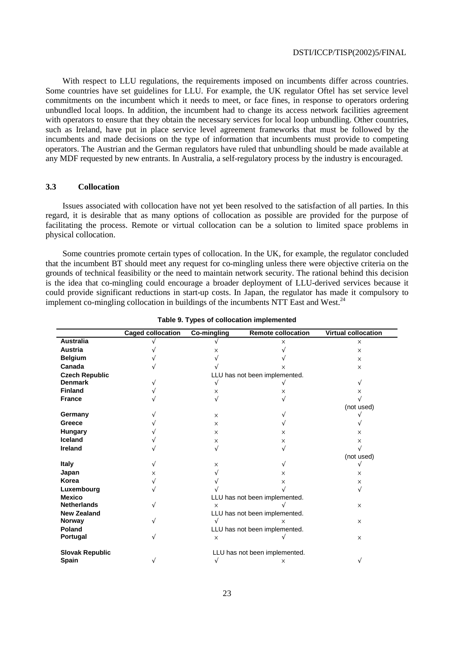With respect to LLU regulations, the requirements imposed on incumbents differ across countries. Some countries have set guidelines for LLU. For example, the UK regulator Oftel has set service level commitments on the incumbent which it needs to meet, or face fines, in response to operators ordering unbundled local loops. In addition, the incumbent had to change its access network facilities agreement with operators to ensure that they obtain the necessary services for local loop unbundling. Other countries, such as Ireland, have put in place service level agreement frameworks that must be followed by the incumbents and made decisions on the type of information that incumbents must provide to competing operators. The Austrian and the German regulators have ruled that unbundling should be made available at any MDF requested by new entrants. In Australia, a self-regulatory process by the industry is encouraged.

# **3.3 Collocation**

Issues associated with collocation have not yet been resolved to the satisfaction of all parties. In this regard, it is desirable that as many options of collocation as possible are provided for the purpose of facilitating the process. Remote or virtual collocation can be a solution to limited space problems in physical collocation.

Some countries promote certain types of collocation. In the UK, for example, the regulator concluded that the incumbent BT should meet any request for co-mingling unless there were objective criteria on the grounds of technical feasibility or the need to maintain network security. The rational behind this decision is the idea that co-mingling could encourage a broader deployment of LLU-derived services because it could provide significant reductions in start-up costs. In Japan, the regulator has made it compulsory to implement co-mingling collocation in buildings of the incumbents NTT East and West.<sup>24</sup>

|                        | <b>Caged collocation</b> | <b>Co-mingling</b>            | <b>Remote collocation</b>     | <b>Virtual collocation</b> |  |
|------------------------|--------------------------|-------------------------------|-------------------------------|----------------------------|--|
| <b>Australia</b>       |                          |                               | x                             | $\times$                   |  |
| <b>Austria</b>         |                          | x                             |                               | $\times$                   |  |
| <b>Belgium</b>         |                          |                               |                               | $\times$                   |  |
| Canada                 |                          |                               | x                             | $\times$                   |  |
| <b>Czech Republic</b>  |                          |                               | LLU has not been implemented. |                            |  |
| <b>Denmark</b>         |                          |                               |                               |                            |  |
| <b>Finland</b>         |                          | x                             | x                             | x                          |  |
| <b>France</b>          |                          |                               |                               |                            |  |
|                        |                          |                               |                               | (not used)                 |  |
| Germany                |                          | X                             |                               |                            |  |
| Greece                 |                          | X                             |                               |                            |  |
| <b>Hungary</b>         |                          | $\times$                      | X                             | X                          |  |
| Iceland                |                          | $\times$                      | X                             | X                          |  |
| <b>Ireland</b>         |                          |                               | V                             |                            |  |
|                        |                          |                               |                               | (not used)                 |  |
| <b>Italy</b>           |                          | X                             |                               |                            |  |
| Japan                  | X                        |                               | ×                             | $\times$                   |  |
| Korea                  |                          |                               | ×                             | $\times$                   |  |
| Luxembourg             |                          |                               |                               |                            |  |
| <b>Mexico</b>          |                          | LLU has not been implemented. |                               |                            |  |
| <b>Netherlands</b>     |                          | $\times$                      |                               | $\times$                   |  |
| <b>New Zealand</b>     |                          |                               | LLU has not been implemented. |                            |  |
| Norway                 |                          |                               | X                             | $\times$                   |  |
| Poland                 |                          | LLU has not been implemented. |                               |                            |  |
| Portugal               |                          | $\times$                      |                               | $\times$                   |  |
| <b>Slovak Republic</b> |                          |                               | LLU has not been implemented. |                            |  |
| Spain                  |                          |                               | $\times$                      |                            |  |

**Table 9. Types of collocation implemented**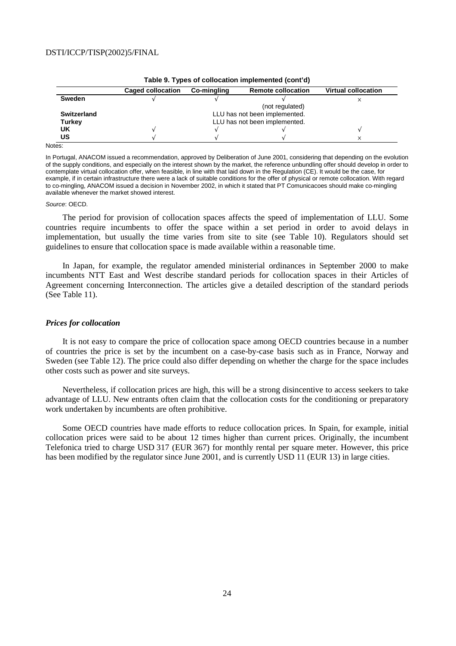| <b>Table 3. Types of conocation implemented (com a)</b> |                               |             |                           |                            |  |  |
|---------------------------------------------------------|-------------------------------|-------------|---------------------------|----------------------------|--|--|
|                                                         | <b>Caged collocation</b>      | Co-mingling | <b>Remote collocation</b> | <b>Virtual collocation</b> |  |  |
| Sweden                                                  |                               |             |                           |                            |  |  |
|                                                         |                               |             | (not regulated)           |                            |  |  |
| <b>Switzerland</b>                                      | LLU has not been implemented. |             |                           |                            |  |  |
| Turkey                                                  | LLU has not been implemented. |             |                           |                            |  |  |
| UK                                                      |                               |             |                           |                            |  |  |
| US                                                      |                               |             |                           |                            |  |  |

Notes:

In Portugal, ANACOM issued a recommendation, approved by Deliberation of June 2001, considering that depending on the evolution of the supply conditions, and especially on the interest shown by the market, the reference unbundling offer should develop in order to contemplate virtual collocation offer, when feasible, in line with that laid down in the Regulation (CE). It would be the case, for example, if in certain infrastructure there were a lack of suitable conditions for the offer of physical or remote collocation. With regard to co-mingling, ANACOM issued a decision in November 2002, in which it stated that PT Comunicacoes should make co-mingling available whenever the market showed interest.

#### Source: OECD.

The period for provision of collocation spaces affects the speed of implementation of LLU. Some countries require incumbents to offer the space within a set period in order to avoid delays in implementation, but usually the time varies from site to site (see Table 10). Regulators should set guidelines to ensure that collocation space is made available within a reasonable time.

In Japan, for example, the regulator amended ministerial ordinances in September 2000 to make incumbents NTT East and West describe standard periods for collocation spaces in their Articles of Agreement concerning Interconnection. The articles give a detailed description of the standard periods (See Table 11).

### *Prices for collocation*

It is not easy to compare the price of collocation space among OECD countries because in a number of countries the price is set by the incumbent on a case-by-case basis such as in France, Norway and Sweden (see Table 12). The price could also differ depending on whether the charge for the space includes other costs such as power and site surveys.

Nevertheless, if collocation prices are high, this will be a strong disincentive to access seekers to take advantage of LLU. New entrants often claim that the collocation costs for the conditioning or preparatory work undertaken by incumbents are often prohibitive.

Some OECD countries have made efforts to reduce collocation prices. In Spain, for example, initial collocation prices were said to be about 12 times higher than current prices. Originally, the incumbent Telefonica tried to charge USD 317 (EUR 367) for monthly rental per square meter. However, this price has been modified by the regulator since June 2001, and is currently USD 11 (EUR 13) in large cities.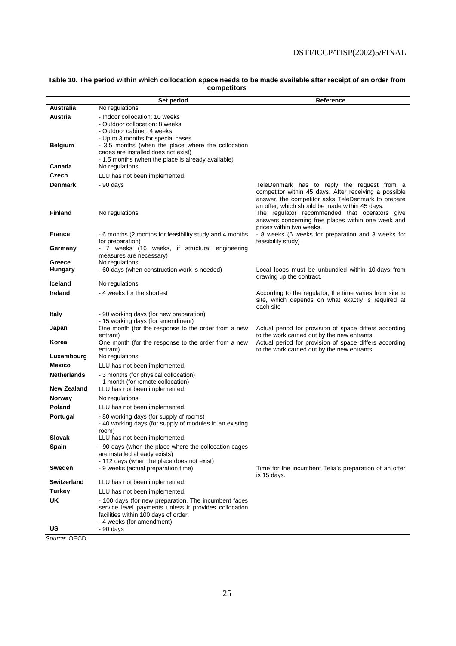### **Table 10. The period within which collocation space needs to be made available after receipt of an order from competitors**

|                                          | Set period                                                                                                                                                                                      | Reference                                                                                                                                                                                                                                                     |
|------------------------------------------|-------------------------------------------------------------------------------------------------------------------------------------------------------------------------------------------------|---------------------------------------------------------------------------------------------------------------------------------------------------------------------------------------------------------------------------------------------------------------|
| Australia                                | No regulations                                                                                                                                                                                  |                                                                                                                                                                                                                                                               |
| Austria                                  | - Indoor collocation: 10 weeks<br>- Outdoor collocation: 8 weeks<br>- Outdoor cabinet: 4 weeks<br>- Up to 3 months for special cases                                                            |                                                                                                                                                                                                                                                               |
| <b>Belgium</b>                           | - 3.5 months (when the place where the collocation<br>cages are installed does not exist)<br>- 1.5 months (when the place is already available)                                                 |                                                                                                                                                                                                                                                               |
| Canada                                   | No regulations                                                                                                                                                                                  |                                                                                                                                                                                                                                                               |
| Czech                                    | LLU has not been implemented.                                                                                                                                                                   |                                                                                                                                                                                                                                                               |
| <b>Denmark</b><br><b>Finland</b>         | - 90 days<br>No regulations                                                                                                                                                                     | TeleDenmark has to reply the request from a<br>competitor within 45 days. After receiving a possible<br>answer, the competitor asks TeleDenmark to prepare<br>an offer, which should be made within 45 days.<br>The regulator recommended that operators give |
|                                          |                                                                                                                                                                                                 | answers concerning free places within one week and<br>prices within two weeks.                                                                                                                                                                                |
| <b>France</b>                            | - 6 months (2 months for feasibility study and 4 months<br>for preparation)                                                                                                                     | - 8 weeks (6 weeks for preparation and 3 weeks for<br>feasibility study)                                                                                                                                                                                      |
| Germany<br>Greece                        | - 7 weeks (16 weeks, if structural engineering<br>measures are necessary)                                                                                                                       |                                                                                                                                                                                                                                                               |
| <b>Hungary</b>                           | No regulations<br>- 60 days (when construction work is needed)                                                                                                                                  | Local loops must be unbundled within 10 days from<br>drawing up the contract.                                                                                                                                                                                 |
| Iceland                                  | No regulations                                                                                                                                                                                  |                                                                                                                                                                                                                                                               |
| <b>Ireland</b>                           | - 4 weeks for the shortest                                                                                                                                                                      | According to the regulator, the time varies from site to<br>site, which depends on what exactly is required at<br>each site                                                                                                                                   |
| Italy                                    | - 90 working days (for new preparation)<br>- 15 working days (for amendment)                                                                                                                    |                                                                                                                                                                                                                                                               |
| Japan                                    | One month (for the response to the order from a new<br>entrant)                                                                                                                                 | Actual period for provision of space differs according<br>to the work carried out by the new entrants.                                                                                                                                                        |
| Korea                                    | One month (for the response to the order from a new<br>entrant)                                                                                                                                 | Actual period for provision of space differs according<br>to the work carried out by the new entrants.                                                                                                                                                        |
| Luxembourg                               | No regulations                                                                                                                                                                                  |                                                                                                                                                                                                                                                               |
| Mexico                                   | LLU has not been implemented.                                                                                                                                                                   |                                                                                                                                                                                                                                                               |
| <b>Netherlands</b><br><b>New Zealand</b> | - 3 months (for physical collocation)<br>- 1 month (for remote collocation)<br>LLU has not been implemented.                                                                                    |                                                                                                                                                                                                                                                               |
| <b>Norway</b>                            | No regulations                                                                                                                                                                                  |                                                                                                                                                                                                                                                               |
| Poland                                   | LLU has not been implemented.                                                                                                                                                                   |                                                                                                                                                                                                                                                               |
| Portugal                                 | - 80 working days (for supply of rooms)<br>- 40 working days (for supply of modules in an existing<br>room)                                                                                     |                                                                                                                                                                                                                                                               |
| Slovak                                   | LLU has not been implemented.                                                                                                                                                                   |                                                                                                                                                                                                                                                               |
| Spain                                    | - 90 days (when the place where the collocation cages<br>are installed already exists)<br>- 112 days (when the place does not exist)                                                            |                                                                                                                                                                                                                                                               |
| Sweden                                   | - 9 weeks (actual preparation time)                                                                                                                                                             | Time for the incumbent Telia's preparation of an offer<br>is 15 days.                                                                                                                                                                                         |
| <b>Switzerland</b>                       | LLU has not been implemented.                                                                                                                                                                   |                                                                                                                                                                                                                                                               |
| <b>Turkey</b>                            | LLU has not been implemented.                                                                                                                                                                   |                                                                                                                                                                                                                                                               |
| <b>UK</b><br>US                          | - 100 days (for new preparation. The incumbent faces<br>service level payments unless it provides collocation<br>facilities within 100 days of order.<br>- 4 weeks (for amendment)<br>- 90 days |                                                                                                                                                                                                                                                               |

Source: OECD.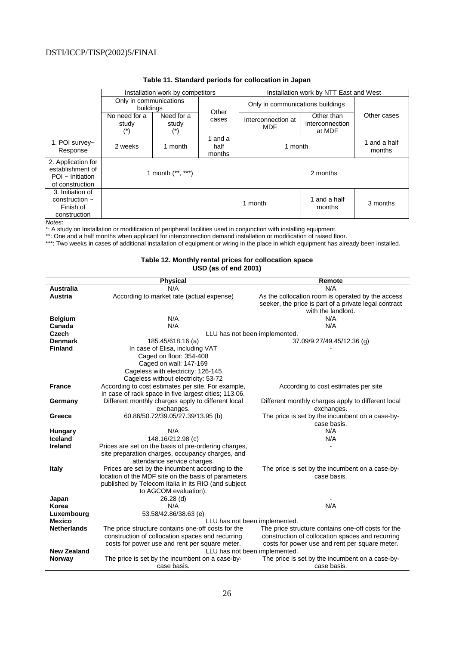|                                                                                    | Installation work by competitors    |                     |                           | Installation work by NTT East and West |                                         |                        |
|------------------------------------------------------------------------------------|-------------------------------------|---------------------|---------------------------|----------------------------------------|-----------------------------------------|------------------------|
|                                                                                    | Only in communications<br>buildings |                     |                           |                                        | Only in communications buildings        |                        |
|                                                                                    | No need for a<br>study              | Need for a<br>study | Other<br>cases            | Interconnection at<br><b>MDF</b>       | Other than<br>interconnection<br>at MDF | Other cases            |
| 1. POI survey~<br>Response                                                         | 2 weeks                             | 1 month             | 1 and a<br>half<br>months | 1 month                                |                                         | 1 and a half<br>months |
| 2. Application for<br>establishment of<br>$POI \sim$ Initiation<br>of construction | 1 month $(**, **)$                  |                     |                           |                                        | 2 months                                |                        |
| 3. Initiation of<br>construction $\sim$<br>Finish of<br>construction               |                                     |                     |                           | 1 month                                | 1 and a half<br>months                  | 3 months               |

# **Table 11. Standard periods for collocation in Japan**

Notes:

\*: A study on Installation or modification of peripheral facilities used in conjunction with installing equipment.

\*\*: One and a half months when applicant for interconnection demand installation or modification of raised floor.

\*\*\*: Two weeks in cases of additional installation of equipment or wiring in the place in which equipment has already been installed.

### **Table 12. Monthly rental prices for collocation space USD (as of end 2001)**

| <b>Australia</b><br>N/A<br>N/A<br>As the collocation room is operated by the access<br>Austria<br>According to market rate (actual expense)<br>seeker, the price is part of a private legal contract |  |
|------------------------------------------------------------------------------------------------------------------------------------------------------------------------------------------------------|--|
|                                                                                                                                                                                                      |  |
|                                                                                                                                                                                                      |  |
|                                                                                                                                                                                                      |  |
| with the landlord.                                                                                                                                                                                   |  |
| N/A<br>N/A<br><b>Belgium</b>                                                                                                                                                                         |  |
| Canada<br>N/A<br>N/A                                                                                                                                                                                 |  |
| Czech<br>LLU has not been implemented.                                                                                                                                                               |  |
| <b>Denmark</b><br>185.45/618.16 (a)<br>37.09/9.27/49.45/12.36 (g)                                                                                                                                    |  |
| <b>Finland</b><br>In case of Elisa, including VAT                                                                                                                                                    |  |
| Caged on floor: 354-408                                                                                                                                                                              |  |
| Caged on wall: 147-169                                                                                                                                                                               |  |
| Cageless with electricity: 126-145                                                                                                                                                                   |  |
| Cageless without electricity: 53-72                                                                                                                                                                  |  |
| According to cost estimates per site. For example,<br><b>France</b><br>According to cost estimates per site                                                                                          |  |
| in case of rack space in five largest cities; 113.06.                                                                                                                                                |  |
| Different monthly charges apply to different local<br>Different monthly charges apply to different local<br>Germany                                                                                  |  |
| exchanges.<br>exchanges.                                                                                                                                                                             |  |
| 60.86/50.72/39.05/27.39/13.95 (b)<br>The price is set by the incumbent on a case-by-<br>Greece                                                                                                       |  |
| case basis.                                                                                                                                                                                          |  |
| N/A<br>N/A<br>Hungary                                                                                                                                                                                |  |
| 148.16/212.98 (c)<br>Iceland<br>N/A                                                                                                                                                                  |  |
| <b>Ireland</b><br>Prices are set on the basis of pre-ordering charges,                                                                                                                               |  |
| site preparation charges, occupancy charges, and                                                                                                                                                     |  |
| attendance service charges.                                                                                                                                                                          |  |
| <b>Italy</b><br>Prices are set by the incumbent according to the<br>The price is set by the incumbent on a case-by-                                                                                  |  |
| location of the MDF site on the basis of parameters<br>case basis.                                                                                                                                   |  |
| published by Telecom Italia in its RIO (and subject                                                                                                                                                  |  |
| to AGCOM evaluation).                                                                                                                                                                                |  |
| 26.28 (d)<br>Japan                                                                                                                                                                                   |  |
| N/A<br>N/A<br>Korea                                                                                                                                                                                  |  |
| 53.58/42.86/38.63 (e)<br>Luxembourg                                                                                                                                                                  |  |
| <b>Mexico</b><br>LLU has not been implemented.                                                                                                                                                       |  |
| <b>Netherlands</b><br>The price structure contains one-off costs for the<br>The price structure contains one-off costs for the                                                                       |  |
| construction of collocation spaces and recurring<br>construction of collocation spaces and recurring                                                                                                 |  |
| costs for power use and rent per square meter.<br>costs for power use and rent per square meter.<br><b>New Zealand</b>                                                                               |  |
| LLU has not been implemented.<br>The price is set by the incumbent on a case-by-<br>The price is set by the incumbent on a case-by-<br>Norway                                                        |  |
| case basis.<br>case basis.                                                                                                                                                                           |  |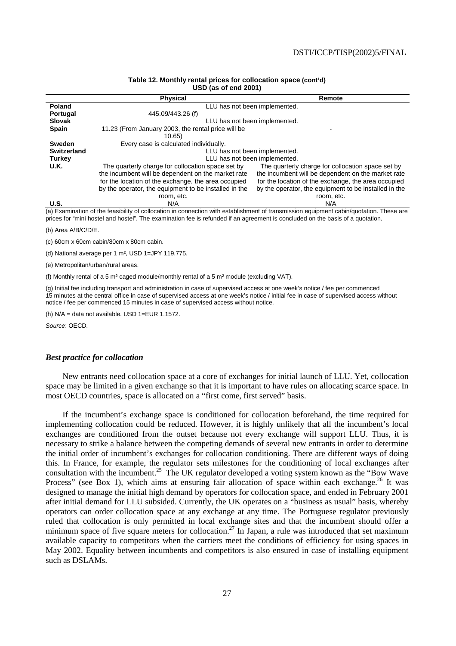|             | <b>UUL 199 VI GIN LUVI</b>                            |                                                       |  |  |  |
|-------------|-------------------------------------------------------|-------------------------------------------------------|--|--|--|
|             | <b>Physical</b>                                       | Remote                                                |  |  |  |
| Poland      |                                                       | LLU has not been implemented.                         |  |  |  |
| Portugal    | 445.09/443.26 (f)                                     |                                                       |  |  |  |
| Slovak      |                                                       | LLU has not been implemented.                         |  |  |  |
| Spain       | 11.23 (From January 2003, the rental price will be    |                                                       |  |  |  |
|             | 10.65)                                                |                                                       |  |  |  |
| Sweden      | Every case is calculated individually.                |                                                       |  |  |  |
| Switzerland | LLU has not been implemented.                         |                                                       |  |  |  |
| Turkey      | LLU has not been implemented.                         |                                                       |  |  |  |
| U.K.        | The quarterly charge for collocation space set by     | The quarterly charge for collocation space set by     |  |  |  |
|             | the incumbent will be dependent on the market rate    | the incumbent will be dependent on the market rate    |  |  |  |
|             | for the location of the exchange, the area occupied   | for the location of the exchange, the area occupied   |  |  |  |
|             | by the operator, the equipment to be installed in the | by the operator, the equipment to be installed in the |  |  |  |
|             | room, etc.                                            | room, etc.                                            |  |  |  |
| U.S.        | N/A                                                   | N/A                                                   |  |  |  |

### **Table 12. Monthly rental prices for collocation space (cont'd) USD (as of end 2001)**

(a) Examination of the feasibility of collocation in connection with establishment of transmission equipment cabin/quotation. These are prices for "mini hostel and hostel". The examination fee is refunded if an agreement is concluded on the basis of a quotation.

(b) Area A/B/C/D/E.

(c) 60cm x 60cm cabin/80cm x 80cm cabin.

(d) National average per 1 m², USD 1=JPY 119.775.

(e) Metropolitan/urban/rural areas.

(f) Monthly rental of a 5  $m<sup>2</sup>$  caged module/monthly rental of a 5  $m<sup>2</sup>$  module (excluding VAT).

(g) Initial fee including transport and administration in case of supervised access at one week's notice / fee per commenced 15 minutes at the central office in case of supervised access at one week's notice / initial fee in case of supervised access without notice / fee per commenced 15 minutes in case of supervised access without notice.

(h) N/A = data not available. USD 1=EUR 1.1572.

Source: OECD.

### *Best practice for collocation*

New entrants need collocation space at a core of exchanges for initial launch of LLU. Yet, collocation space may be limited in a given exchange so that it is important to have rules on allocating scarce space. In most OECD countries, space is allocated on a "first come, first served" basis.

If the incumbent's exchange space is conditioned for collocation beforehand, the time required for implementing collocation could be reduced. However, it is highly unlikely that all the incumbent's local exchanges are conditioned from the outset because not every exchange will support LLU. Thus, it is necessary to strike a balance between the competing demands of several new entrants in order to determine the initial order of incumbent's exchanges for collocation conditioning. There are different ways of doing this. In France, for example, the regulator sets milestones for the conditioning of local exchanges after consultation with the incumbent.<sup>25</sup> The UK regulator developed a voting system known as the "Bow Wave" Process" (see Box 1), which aims at ensuring fair allocation of space within each exchange.<sup>26</sup> It was designed to manage the initial high demand by operators for collocation space, and ended in February 2001 after initial demand for LLU subsided. Currently, the UK operates on a "business as usual" basis, whereby operators can order collocation space at any exchange at any time. The Portuguese regulator previously ruled that collocation is only permitted in local exchange sites and that the incumbent should offer a minimum space of five square meters for collocation.<sup>27</sup> In Japan, a rule was introduced that set maximum available capacity to competitors when the carriers meet the conditions of efficiency for using spaces in May 2002. Equality between incumbents and competitors is also ensured in case of installing equipment such as DSLAMs.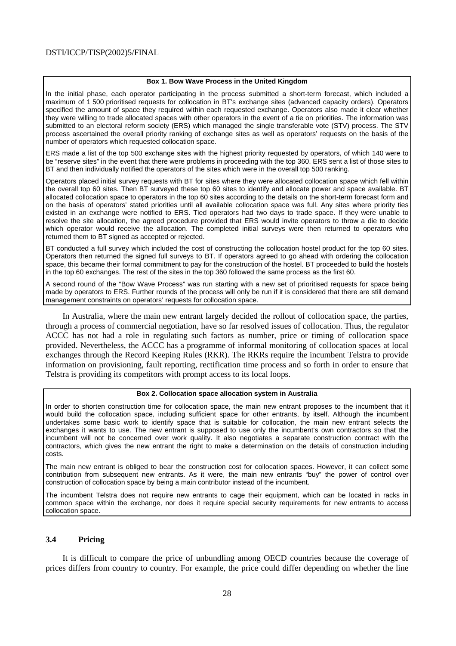### **Box 1. Bow Wave Process in the United Kingdom**

In the initial phase, each operator participating in the process submitted a short-term forecast, which included a maximum of 1 500 prioritised requests for collocation in BT's exchange sites (advanced capacity orders). Operators specified the amount of space they required within each requested exchange. Operators also made it clear whether they were willing to trade allocated spaces with other operators in the event of a tie on priorities. The information was submitted to an electoral reform society (ERS) which managed the single transferable vote (STV) process. The STV process ascertained the overall priority ranking of exchange sites as well as operators' requests on the basis of the number of operators which requested collocation space.

ERS made a list of the top 500 exchange sites with the highest priority requested by operators, of which 140 were to be "reserve sites" in the event that there were problems in proceeding with the top 360. ERS sent a list of those sites to BT and then individually notified the operators of the sites which were in the overall top 500 ranking.

Operators placed initial survey requests with BT for sites where they were allocated collocation space which fell within the overall top 60 sites. Then BT surveyed these top 60 sites to identify and allocate power and space available. BT allocated collocation space to operators in the top 60 sites according to the details on the short-term forecast form and on the basis of operators' stated priorities until all available collocation space was full. Any sites where priority ties existed in an exchange were notified to ERS. Tied operators had two days to trade space. If they were unable to resolve the site allocation, the agreed procedure provided that ERS would invite operators to throw a die to decide which operator would receive the allocation. The completed initial surveys were then returned to operators who returned them to BT signed as accepted or rejected.

BT conducted a full survey which included the cost of constructing the collocation hostel product for the top 60 sites. Operators then returned the signed full surveys to BT. If operators agreed to go ahead with ordering the collocation space, this became their formal commitment to pay for the construction of the hostel. BT proceeded to build the hostels in the top 60 exchanges. The rest of the sites in the top 360 followed the same process as the first 60.

A second round of the "Bow Wave Process" was run starting with a new set of prioritised requests for space being made by operators to ERS. Further rounds of the process will only be run if it is considered that there are still demand management constraints on operators' requests for collocation space.

In Australia, where the main new entrant largely decided the rollout of collocation space, the parties, through a process of commercial negotiation, have so far resolved issues of collocation. Thus, the regulator ACCC has not had a role in regulating such factors as number, price or timing of collocation space provided. Nevertheless, the ACCC has a programme of informal monitoring of collocation spaces at local exchanges through the Record Keeping Rules (RKR). The RKRs require the incumbent Telstra to provide information on provisioning, fault reporting, rectification time process and so forth in order to ensure that Telstra is providing its competitors with prompt access to its local loops.

### **Box 2. Collocation space allocation system in Australia**

In order to shorten construction time for collocation space, the main new entrant proposes to the incumbent that it would build the collocation space, including sufficient space for other entrants, by itself. Although the incumbent undertakes some basic work to identify space that is suitable for collocation, the main new entrant selects the exchanges it wants to use. The new entrant is supposed to use only the incumbent's own contractors so that the incumbent will not be concerned over work quality. It also negotiates a separate construction contract with the contractors, which gives the new entrant the right to make a determination on the details of construction including costs.

The main new entrant is obliged to bear the construction cost for collocation spaces. However, it can collect some contribution from subsequent new entrants. As it were, the main new entrants "buy" the power of control over construction of collocation space by being a main contributor instead of the incumbent.

The incumbent Telstra does not require new entrants to cage their equipment, which can be located in racks in common space within the exchange, nor does it require special security requirements for new entrants to access collocation space.

## **3.4 Pricing**

It is difficult to compare the price of unbundling among OECD countries because the coverage of prices differs from country to country. For example, the price could differ depending on whether the line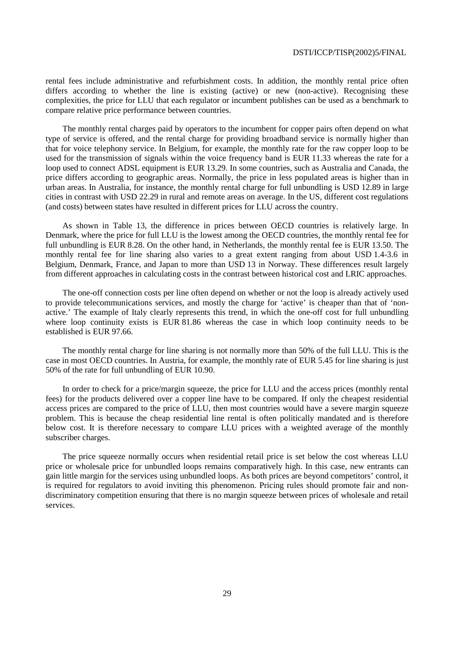rental fees include administrative and refurbishment costs. In addition, the monthly rental price often differs according to whether the line is existing (active) or new (non-active). Recognising these complexities, the price for LLU that each regulator or incumbent publishes can be used as a benchmark to compare relative price performance between countries.

The monthly rental charges paid by operators to the incumbent for copper pairs often depend on what type of service is offered, and the rental charge for providing broadband service is normally higher than that for voice telephony service. In Belgium, for example, the monthly rate for the raw copper loop to be used for the transmission of signals within the voice frequency band is EUR 11.33 whereas the rate for a loop used to connect ADSL equipment is EUR 13.29. In some countries, such as Australia and Canada, the price differs according to geographic areas. Normally, the price in less populated areas is higher than in urban areas. In Australia, for instance, the monthly rental charge for full unbundling is USD 12.89 in large cities in contrast with USD 22.29 in rural and remote areas on average. In the US, different cost regulations (and costs) between states have resulted in different prices for LLU across the country.

As shown in Table 13, the difference in prices between OECD countries is relatively large. In Denmark, where the price for full LLU is the lowest among the OECD countries, the monthly rental fee for full unbundling is EUR 8.28. On the other hand, in Netherlands, the monthly rental fee is EUR 13.50. The monthly rental fee for line sharing also varies to a great extent ranging from about USD 1.4-3.6 in Belgium, Denmark, France, and Japan to more than USD 13 in Norway. These differences result largely from different approaches in calculating costs in the contrast between historical cost and LRIC approaches.

The one-off connection costs per line often depend on whether or not the loop is already actively used to provide telecommunications services, and mostly the charge for 'active' is cheaper than that of 'nonactive.' The example of Italy clearly represents this trend, in which the one-off cost for full unbundling where loop continuity exists is EUR 81.86 whereas the case in which loop continuity needs to be established is EUR 97.66.

The monthly rental charge for line sharing is not normally more than 50% of the full LLU. This is the case in most OECD countries. In Austria, for example, the monthly rate of EUR 5.45 for line sharing is just 50% of the rate for full unbundling of EUR 10.90.

In order to check for a price/margin squeeze, the price for LLU and the access prices (monthly rental fees) for the products delivered over a copper line have to be compared. If only the cheapest residential access prices are compared to the price of LLU, then most countries would have a severe margin squeeze problem. This is because the cheap residential line rental is often politically mandated and is therefore below cost. It is therefore necessary to compare LLU prices with a weighted average of the monthly subscriber charges.

The price squeeze normally occurs when residential retail price is set below the cost whereas LLU price or wholesale price for unbundled loops remains comparatively high. In this case, new entrants can gain little margin for the services using unbundled loops. As both prices are beyond competitors' control, it is required for regulators to avoid inviting this phenomenon. Pricing rules should promote fair and nondiscriminatory competition ensuring that there is no margin squeeze between prices of wholesale and retail services.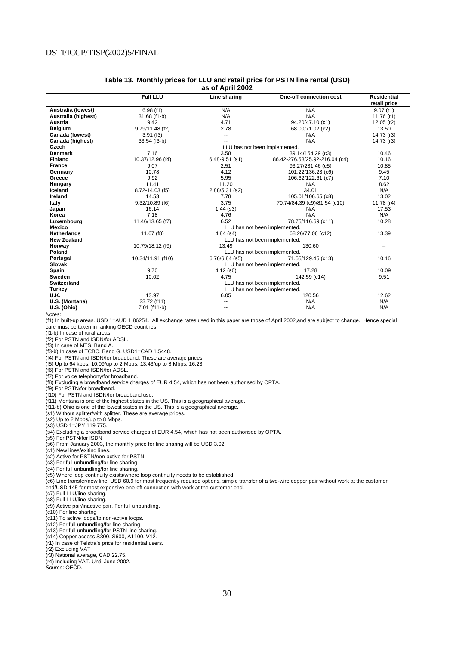| Table 13. Monthly prices for LLU and retail price for PSTN line rental (USD) |
|------------------------------------------------------------------------------|
| as of April 2002                                                             |

|                     | <b>Full LLU</b>   | Line sharing                  | One-off connection cost        | <b>Residential</b><br>retail price |
|---------------------|-------------------|-------------------------------|--------------------------------|------------------------------------|
| Australia (lowest)  | 6.98(f1)          | N/A                           | N/A                            | 9.07(r1)                           |
| Australia (highest) | 31.68 (f1-b)      | N/A                           | N/A                            | 11.76 $(r1)$                       |
| Austria             | 9.42              | 4.71                          | 94.20/47.10 (c1)               | $12.05$ (r2)                       |
| <b>Belgium</b>      | 9.79/11.48 (f2)   | 2.78                          | 68.00/71.02 (c2)               | 13.50                              |
| Canada (lowest)     | 3.91(f3)          | --                            | N/A                            | 14.73 (r3)                         |
| Canada (highest)    | 33.54 (f3-b)      |                               | N/A                            | 14.73 (r3)                         |
| Czech               |                   |                               | LLU has not been implemented.  |                                    |
| <b>Denmark</b>      | 7.16              | 3.58                          | 39.14/154.29 (c3)              | 10.46                              |
| <b>Finland</b>      | 10.37/12.96 (f4)  | $6.48 - 9.51$ (s1)            | 86.42-276.53/25.92-216.04 (c4) | 10.16                              |
| <b>France</b>       | 9.07              | 2.51                          | 93.27/231.46 (c5)              | 10.85                              |
| Germany             | 10.78             | 4.12                          | 101.22/136.23 (c6)             | 9.45                               |
| Greece              | 9.92              | 5.95                          | 106.62/122.61 (c7)             | 7.10                               |
| Hungary             | 11.41             | 11.20                         | N/A                            | 8.62                               |
| Iceland             | 8.72-14.03 (f5)   | 2.88/5.31 (s2)                | 34.01                          | N/A                                |
| <b>Ireland</b>      | 14.53             | 7.78                          | 105.01/106.65 (c8)             | 13.02                              |
| <b>Italy</b>        | 9.32/10.89 (f6)   | 3.75                          | 70.74/84.39 (c9)/81.54 (c10)   | 11.78 $(r4)$                       |
| Japan               | 16.14             | $1.44$ (s3)                   | N/A                            | 17.53                              |
| Korea               | 7.18              | 4.76                          | N/A                            | N/A                                |
| Luxembourg          | 11.46/13.65 (f7)  | 6.52                          | 78.75/116.69 (c11)             | 10.28                              |
| <b>Mexico</b>       |                   | LLU has not been implemented. |                                |                                    |
| <b>Netherlands</b>  | 11.67 (f8)        | $4.84$ (s4)                   | 68.26/77.06 (c12)              |                                    |
| <b>New Zealand</b>  |                   |                               | LLU has not been implemented.  |                                    |
| Norway              | 10.79/18.12 (f9)  | 13.49                         | 130.60                         | ۰.                                 |
| Poland              |                   | LLU has not been implemented. |                                |                                    |
| Portugal            | 10.34/11.91 (f10) | 6.76/6.84 (s5)                | 71.55/129.45 (c13)             | 10.16                              |
| <b>Slovak</b>       |                   |                               | LLU has not been implemented.  |                                    |
| Spain               | 9.70              | $4.12$ (s6)                   | 17.28                          | 10.09                              |
| Sweden              | 10.02             | 4.75                          | 142.59 (c14)                   | 9.51                               |
| <b>Switzerland</b>  |                   |                               | LLU has not been implemented.  |                                    |
| <b>Turkey</b>       |                   | LLU has not been implemented. |                                |                                    |
| U.K.                | 13.97             | 6.05                          | 120.56                         | 12.62                              |
| U.S. (Montana)      | 23.72 (f11)       | $\overline{a}$                | N/A                            | N/A                                |
| U.S. (Ohio)         | 7.01 (f11-b)      | ۰.                            | N/A                            | N/A                                |

Notes:

(f1) In built-up areas. USD 1=AUD 1.86254. All exchange rates used in this paper are those of April 2002,and are subject to change. Hence special care must be taken in ranking OECD countries.

(f1-b) In case of rural areas.

(f2) For PSTN and ISDN/for ADSL.

(f3) In case of MTS, Band A.

(f3-b) In case of TCBC, Band G. USD1=CAD 1.5448.

(f4) For PSTN and ISDN/for broadband. These are average prices.

(f5) Up to 64 kbps: 10.09/up to 2 Mbps: 13.43/up to 8 Mbps: 16.23.

(f6) For PSTN and ISDN/for ADSL.

(f7) For voice telephony/for broadband.

(f8) Excluding a broadband service charges of EUR 4.54, which has not been authorised by OPTA.

(f9) For PSTN/for broadband. (f10) For PSTN and ISDN/for broadband use.

(f11) Montana is one of the highest states in the US. This is a geographical average.

(f11-b) Ohio is one of the lowest states in the US. This is a geographical average.

(s1) Without splitter/with splitter. These are average prices.

(s2) Up to 2 Mbps/up to 8 Mbps.

(s3) USD 1=JPY 119.775.

(s4) Excluding a broadband service charges of EUR 4.54, which has not been authorised by OPTA.

(s5) For PSTN/for ISDN

(s6) From January 2003, the monthly price for line sharing will be USD 3.02.

(c1) New lines/exiting lines.

(c2) Active for PSTN/non-active for PSTN.

(c3) For full unbundling/for line sharing

(c4) For full unbundling/for line sharing.

(c5) Where loop continuity exists/where loop continuity needs to be established.

(c6) Line transfer/new line. USD 60.9 for most frequently required options, simple transfer of a two-wire copper pair without work at the customer end/USD 145 for most expensive one-off connection with work at the customer end.

(c7) Full LLU/line sharing.

(c8) Full LLU/line sharing.

(c9) Active pair/inactive pair. For full unbundling.

(c10) For line shartng

(c11) To active loops/to non-active loops.

(c12) For full unbundling/for line sharing

(c13) For full unbundling/for PSTN line sharing.

(c14) Copper access S300, S600, A1100, V12.

(r1) In case of Telstra's price for residential users.

(r2) Excluding VAT

(r3) National average, CAD 22.75.

(r4) Including VAT. Until June 2002.

Source: OECD.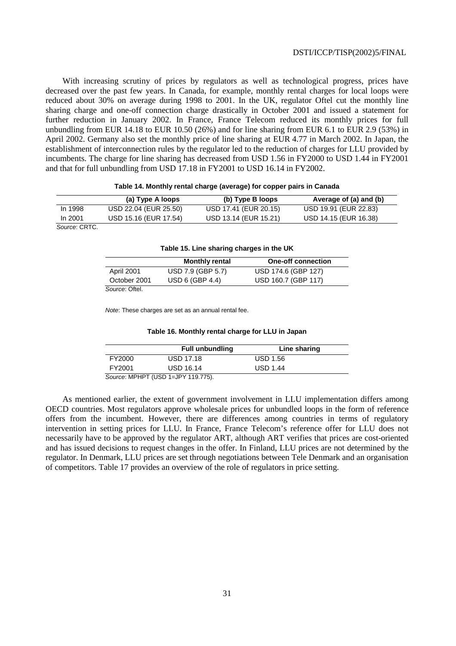With increasing scrutiny of prices by regulators as well as technological progress, prices have decreased over the past few years. In Canada, for example, monthly rental charges for local loops were reduced about 30% on average during 1998 to 2001. In the UK, regulator Oftel cut the monthly line sharing charge and one-off connection charge drastically in October 2001 and issued a statement for further reduction in January 2002. In France, France Telecom reduced its monthly prices for full unbundling from EUR 14.18 to EUR 10.50 (26%) and for line sharing from EUR 6.1 to EUR 2.9 (53%) in April 2002. Germany also set the monthly price of line sharing at EUR 4.77 in March 2002. In Japan, the establishment of interconnection rules by the regulator led to the reduction of charges for LLU provided by incumbents. The charge for line sharing has decreased from USD 1.56 in FY2000 to USD 1.44 in FY2001 and that for full unbundling from USD 17.18 in FY2001 to USD 16.14 in FY2002.

#### **Table 14. Monthly rental charge (average) for copper pairs in Canada**

|                      | (a) Type A loops      | (b) Type B loops      | Average of (a) and (b) |
|----------------------|-----------------------|-----------------------|------------------------|
| In 1998              | USD 22.04 (EUR 25.50) | USD 17.41 (EUR 20.15) | USD 19.91 (EUR 22.83)  |
| In 2001              | USD 15.16 (EUR 17.54) | USD 13.14 (EUR 15.21) | USD 14.15 (EUR 16.38)  |
| $\sim$ $\sim$ $\sim$ |                       |                       |                        |

Source: CRTC.

| <b>Table 19. Ellie sharing enarges in the UK</b> |                       |                           |  |  |  |  |
|--------------------------------------------------|-----------------------|---------------------------|--|--|--|--|
|                                                  | <b>Monthly rental</b> | <b>One-off connection</b> |  |  |  |  |
| April 2001                                       | USD 7.9 (GBP 5.7)     | USD 174.6 (GBP 127)       |  |  |  |  |
| October 2001                                     | USD 6 (GBP 4.4)       | USD 160.7 (GBP 117)       |  |  |  |  |
| Source: Oftel.                                   |                       |                           |  |  |  |  |

### **Table 15. Line sharing charges in the UK**

Note: These charges are set as an annual rental fee.

### **Table 16. Monthly rental charge for LLU in Japan**

|                                    | <b>Full unbundling</b> | Line sharing    |  |  |
|------------------------------------|------------------------|-----------------|--|--|
| FY2000                             | <b>USD 17.18</b>       | <b>USD 1.56</b> |  |  |
| FY2001                             | <b>USD 16.14</b>       | <b>USD 1.44</b> |  |  |
| Source: MPHPT (USD 1=JPY 119.775). |                        |                 |  |  |

As mentioned earlier, the extent of government involvement in LLU implementation differs among OECD countries. Most regulators approve wholesale prices for unbundled loops in the form of reference offers from the incumbent. However, there are differences among countries in terms of regulatory intervention in setting prices for LLU. In France, France Telecom's reference offer for LLU does not necessarily have to be approved by the regulator ART, although ART verifies that prices are cost-oriented and has issued decisions to request changes in the offer. In Finland, LLU prices are not determined by the regulator. In Denmark, LLU prices are set through negotiations between Tele Denmark and an organisation of competitors. Table 17 provides an overview of the role of regulators in price setting.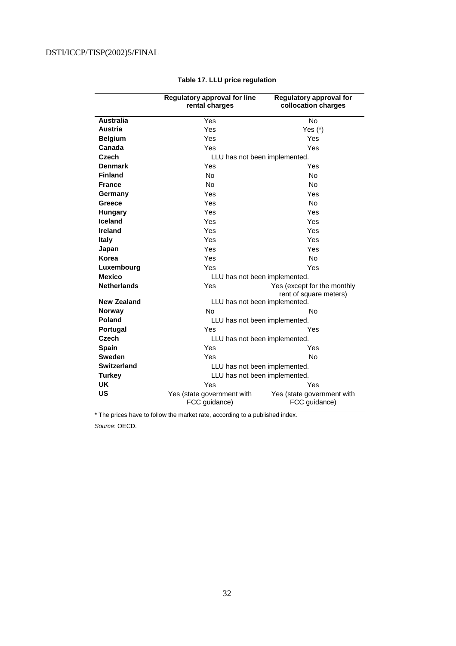|                    | Regulatory approval for line<br>rental charges | <b>Regulatory approval for</b><br>collocation charges |  |
|--------------------|------------------------------------------------|-------------------------------------------------------|--|
| <b>Australia</b>   | Yes                                            | No                                                    |  |
| <b>Austria</b>     | Yes                                            | Yes $(*)$                                             |  |
| <b>Belgium</b>     | Yes                                            | Yes                                                   |  |
| Canada             | Yes                                            | Yes                                                   |  |
| Czech              | LLU has not been implemented.                  |                                                       |  |
| <b>Denmark</b>     | Yes                                            | Yes                                                   |  |
| <b>Finland</b>     | <b>No</b>                                      | <b>No</b>                                             |  |
| <b>France</b>      | <b>No</b>                                      | <b>No</b>                                             |  |
| Germany            | Yes                                            | Yes                                                   |  |
| Greece             | Yes                                            | <b>No</b>                                             |  |
| <b>Hungary</b>     | Yes                                            | Yes                                                   |  |
| <b>Iceland</b>     | Yes                                            | Yes                                                   |  |
| Ireland            | Yes                                            | Yes                                                   |  |
| <b>Italy</b>       | Yes                                            | Yes                                                   |  |
| Japan              | Yes                                            | Yes                                                   |  |
| Korea              | Yes                                            | <b>No</b>                                             |  |
| Luxembourg         | Yes                                            | Yes                                                   |  |
| <b>Mexico</b>      | LLU has not been implemented.                  |                                                       |  |
| <b>Netherlands</b> | Yes                                            | Yes (except for the monthly<br>rent of square meters) |  |
| <b>New Zealand</b> | LLU has not been implemented.                  |                                                       |  |
| <b>Norway</b>      | No                                             | No                                                    |  |
| Poland             | LLU has not been implemented.                  |                                                       |  |
| <b>Portugal</b>    | Yes                                            | Yes                                                   |  |
| Czech              | LLU has not been implemented.                  |                                                       |  |
| <b>Spain</b>       | Yes                                            | Yes                                                   |  |
| <b>Sweden</b>      | Yes                                            | <b>No</b>                                             |  |
| <b>Switzerland</b> | LLU has not been implemented.                  |                                                       |  |
| <b>Turkey</b>      | LLU has not been implemented.                  |                                                       |  |
| <b>UK</b>          | Yes                                            | Yes                                                   |  |
| US                 | Yes (state government with<br>FCC guidance)    | Yes (state government with<br>FCC guidance)           |  |

# **Table 17. LLU price regulation**

\* The prices have to follow the market rate, according to a published index. Source: OECD.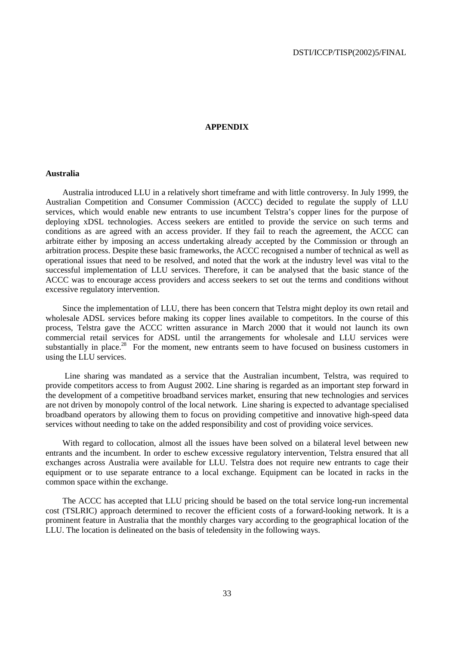### **APPENDIX**

### **Australia**

Australia introduced LLU in a relatively short timeframe and with little controversy. In July 1999, the Australian Competition and Consumer Commission (ACCC) decided to regulate the supply of LLU services, which would enable new entrants to use incumbent Telstra's copper lines for the purpose of deploying xDSL technologies. Access seekers are entitled to provide the service on such terms and conditions as are agreed with an access provider. If they fail to reach the agreement, the ACCC can arbitrate either by imposing an access undertaking already accepted by the Commission or through an arbitration process. Despite these basic frameworks, the ACCC recognised a number of technical as well as operational issues that need to be resolved, and noted that the work at the industry level was vital to the successful implementation of LLU services. Therefore, it can be analysed that the basic stance of the ACCC was to encourage access providers and access seekers to set out the terms and conditions without excessive regulatory intervention.

Since the implementation of LLU, there has been concern that Telstra might deploy its own retail and wholesale ADSL services before making its copper lines available to competitors. In the course of this process, Telstra gave the ACCC written assurance in March 2000 that it would not launch its own commercial retail services for ADSL until the arrangements for wholesale and LLU services were substantially in place.<sup>28</sup> For the moment, new entrants seem to have focused on business customers in using the LLU services.

 Line sharing was mandated as a service that the Australian incumbent, Telstra, was required to provide competitors access to from August 2002. Line sharing is regarded as an important step forward in the development of a competitive broadband services market, ensuring that new technologies and services are not driven by monopoly control of the local network. Line sharing is expected to advantage specialised broadband operators by allowing them to focus on providing competitive and innovative high-speed data services without needing to take on the added responsibility and cost of providing voice services.

With regard to collocation, almost all the issues have been solved on a bilateral level between new entrants and the incumbent. In order to eschew excessive regulatory intervention, Telstra ensured that all exchanges across Australia were available for LLU. Telstra does not require new entrants to cage their equipment or to use separate entrance to a local exchange. Equipment can be located in racks in the common space within the exchange.

The ACCC has accepted that LLU pricing should be based on the total service long-run incremental cost (TSLRIC) approach determined to recover the efficient costs of a forward-looking network. It is a prominent feature in Australia that the monthly charges vary according to the geographical location of the LLU. The location is delineated on the basis of teledensity in the following ways.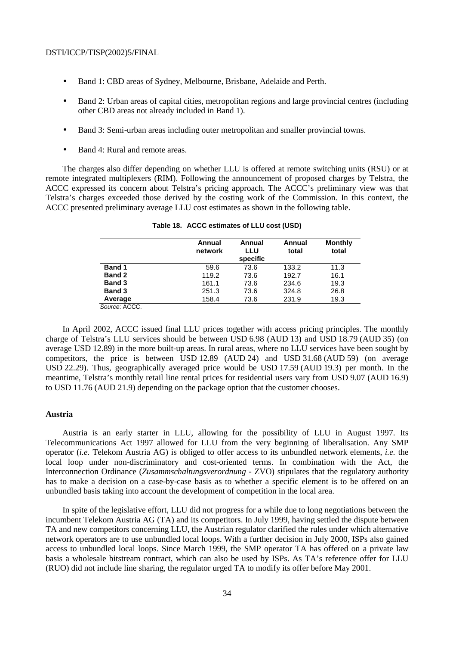- Band 1: CBD areas of Sydney, Melbourne, Brisbane, Adelaide and Perth.
- Band 2: Urban areas of capital cities, metropolitan regions and large provincial centres (including other CBD areas not already included in Band 1).
- Band 3: Semi-urban areas including outer metropolitan and smaller provincial towns.
- Band 4: Rural and remote areas.

The charges also differ depending on whether LLU is offered at remote switching units (RSU) or at remote integrated multiplexers (RIM). Following the announcement of proposed charges by Telstra, the ACCC expressed its concern about Telstra's pricing approach. The ACCC's preliminary view was that Telstra's charges exceeded those derived by the costing work of the Commission. In this context, the ACCC presented preliminary average LLU cost estimates as shown in the following table.

|               | Annual<br>network | Annual<br>LLU<br>specific | Annual<br>total | <b>Monthly</b><br>total |
|---------------|-------------------|---------------------------|-----------------|-------------------------|
| <b>Band 1</b> | 59.6              | 73.6                      | 133.2           | 11.3                    |
| Band 2        | 119.2             | 73.6                      | 192.7           | 16.1                    |
|               |                   |                           |                 |                         |
| <b>Band 3</b> | 161.1             | 73.6                      | 234.6           | 19.3                    |
| <b>Band 3</b> | 251.3             | 73.6                      | 324.8           | 26.8                    |
| Average       | 158.4             | 73.6                      | 231.9           | 19.3                    |
| Source: ACCC. |                   |                           |                 |                         |

| Table 18. ACCC estimates of LLU cost (USD) |  |
|--------------------------------------------|--|
|--------------------------------------------|--|

In April 2002, ACCC issued final LLU prices together with access pricing principles. The monthly charge of Telstra's LLU services should be between USD 6.98 (AUD 13) and USD 18.79 (AUD 35) (on average USD 12.89) in the more built-up areas. In rural areas, where no LLU services have been sought by competitors, the price is between USD 12.89 (AUD 24) and USD 31.68 (AUD 59) (on average USD 22.29). Thus, geographically averaged price would be USD 17.59 (AUD 19.3) per month. In the meantime, Telstra's monthly retail line rental prices for residential users vary from USD 9.07 (AUD 16.9) to USD 11.76 (AUD 21.9) depending on the package option that the customer chooses.

### **Austria**

Austria is an early starter in LLU, allowing for the possibility of LLU in August 1997. Its Telecommunications Act 1997 allowed for LLU from the very beginning of liberalisation. Any SMP operator (*i.e.* Telekom Austria AG) is obliged to offer access to its unbundled network elements, *i.e.* the local loop under non-discriminatory and cost-oriented terms. In combination with the Act, the Interconnection Ordinance (*Zusammschaltungsverordnung* - ZVO) stipulates that the regulatory authority has to make a decision on a case-by-case basis as to whether a specific element is to be offered on an unbundled basis taking into account the development of competition in the local area.

In spite of the legislative effort, LLU did not progress for a while due to long negotiations between the incumbent Telekom Austria AG (TA) and its competitors. In July 1999, having settled the dispute between TA and new competitors concerning LLU, the Austrian regulator clarified the rules under which alternative network operators are to use unbundled local loops. With a further decision in July 2000, ISPs also gained access to unbundled local loops. Since March 1999, the SMP operator TA has offered on a private law basis a wholesale bitstream contract, which can also be used by ISPs. As TA's reference offer for LLU (RUO) did not include line sharing, the regulator urged TA to modify its offer before May 2001.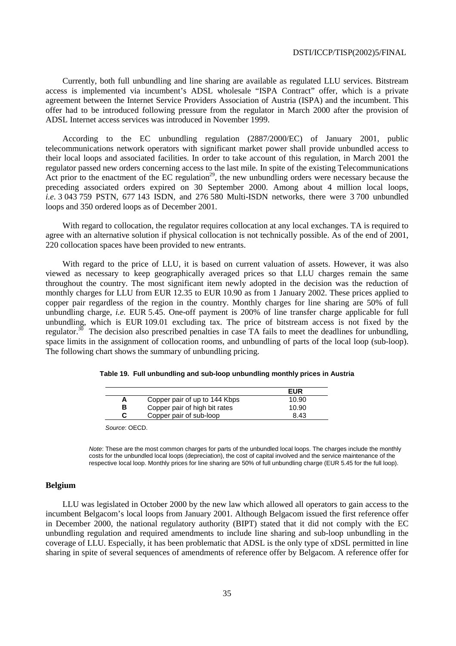Currently, both full unbundling and line sharing are available as regulated LLU services. Bitstream access is implemented via incumbent's ADSL wholesale "ISPA Contract" offer, which is a private agreement between the Internet Service Providers Association of Austria (ISPA) and the incumbent. This offer had to be introduced following pressure from the regulator in March 2000 after the provision of ADSL Internet access services was introduced in November 1999.

According to the EC unbundling regulation (2887/2000/EC) of January 2001, public telecommunications network operators with significant market power shall provide unbundled access to their local loops and associated facilities. In order to take account of this regulation, in March 2001 the regulator passed new orders concerning access to the last mile. In spite of the existing Telecommunications Act prior to the enactment of the EC regulation<sup>29</sup>, the new unbundling orders were necessary because the preceding associated orders expired on 30 September 2000. Among about 4 million local loops, *i.e.* 3 043 759 PSTN, 677 143 ISDN, and 276 580 Multi-ISDN networks, there were 3 700 unbundled loops and 350 ordered loops as of December 2001.

With regard to collocation, the regulator requires collocation at any local exchanges. TA is required to agree with an alternative solution if physical collocation is not technically possible. As of the end of 2001, 220 collocation spaces have been provided to new entrants.

With regard to the price of LLU, it is based on current valuation of assets. However, it was also viewed as necessary to keep geographically averaged prices so that LLU charges remain the same throughout the country. The most significant item newly adopted in the decision was the reduction of monthly charges for LLU from EUR 12.35 to EUR 10.90 as from 1 January 2002. These prices applied to copper pair regardless of the region in the country. Monthly charges for line sharing are 50% of full unbundling charge, *i.e.* EUR 5.45. One-off payment is 200% of line transfer charge applicable for full unbundling, which is EUR 109.01 excluding tax. The price of bitstream access is not fixed by the regulator.<sup>30</sup> The decision also prescribed penalties in case TA fails to meet the deadlines for unbundling, space limits in the assignment of collocation rooms, and unbundling of parts of the local loop (sub-loop). The following chart shows the summary of unbundling pricing.

|                               | <b>EUR</b> |
|-------------------------------|------------|
| Copper pair of up to 144 Kbps | 10.90      |
| Copper pair of high bit rates | 10.90      |

**C** Copper pair of sub-loop 8.43

**Copper pair of high bit rates** 

|  |  |  |  |  | Table 19. Full unbundling and sub-loop unbundling monthly prices in Austria |
|--|--|--|--|--|-----------------------------------------------------------------------------|
|--|--|--|--|--|-----------------------------------------------------------------------------|

|  | Source: OECD. |  |
|--|---------------|--|
|--|---------------|--|

Note: These are the most common charges for parts of the unbundled local loops. The charges include the monthly costs for the unbundled local loops (depreciation), the cost of capital involved and the service maintenance of the respective local loop. Monthly prices for line sharing are 50% of full unbundling charge (EUR 5.45 for the full loop).

# **Belgium**

LLU was legislated in October 2000 by the new law which allowed all operators to gain access to the incumbent Belgacom's local loops from January 2001. Although Belgacom issued the first reference offer in December 2000, the national regulatory authority (BIPT) stated that it did not comply with the EC unbundling regulation and required amendments to include line sharing and sub-loop unbundling in the coverage of LLU. Especially, it has been problematic that ADSL is the only type of xDSL permitted in line sharing in spite of several sequences of amendments of reference offer by Belgacom. A reference offer for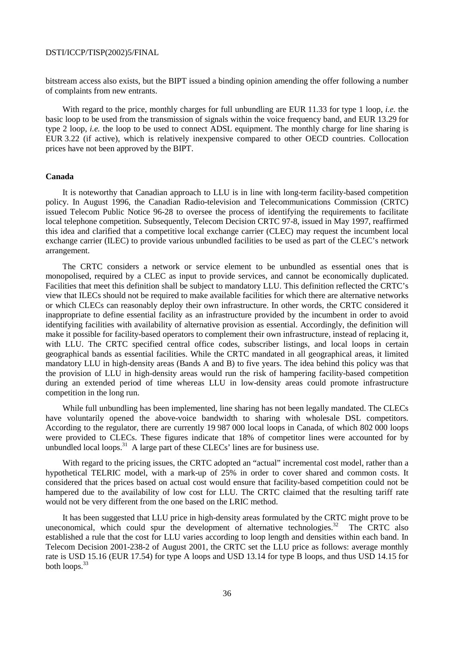bitstream access also exists, but the BIPT issued a binding opinion amending the offer following a number of complaints from new entrants.

With regard to the price, monthly charges for full unbundling are EUR 11.33 for type 1 loop, *i.e.* the basic loop to be used from the transmission of signals within the voice frequency band, and EUR 13.29 for type 2 loop, *i.e.* the loop to be used to connect ADSL equipment. The monthly charge for line sharing is EUR 3.22 (if active), which is relatively inexpensive compared to other OECD countries. Collocation prices have not been approved by the BIPT.

### **Canada**

It is noteworthy that Canadian approach to LLU is in line with long-term facility-based competition policy. In August 1996, the Canadian Radio-television and Telecommunications Commission (CRTC) issued Telecom Public Notice 96-28 to oversee the process of identifying the requirements to facilitate local telephone competition. Subsequently, Telecom Decision CRTC 97-8, issued in May 1997, reaffirmed this idea and clarified that a competitive local exchange carrier (CLEC) may request the incumbent local exchange carrier (ILEC) to provide various unbundled facilities to be used as part of the CLEC's network arrangement.

The CRTC considers a network or service element to be unbundled as essential ones that is monopolised, required by a CLEC as input to provide services, and cannot be economically duplicated. Facilities that meet this definition shall be subject to mandatory LLU. This definition reflected the CRTC's view that ILECs should not be required to make available facilities for which there are alternative networks or which CLECs can reasonably deploy their own infrastructure. In other words, the CRTC considered it inappropriate to define essential facility as an infrastructure provided by the incumbent in order to avoid identifying facilities with availability of alternative provision as essential. Accordingly, the definition will make it possible for facility-based operators to complement their own infrastructure, instead of replacing it, with LLU. The CRTC specified central office codes, subscriber listings, and local loops in certain geographical bands as essential facilities. While the CRTC mandated in all geographical areas, it limited mandatory LLU in high-density areas (Bands A and B) to five years. The idea behind this policy was that the provision of LLU in high-density areas would run the risk of hampering facility-based competition during an extended period of time whereas LLU in low-density areas could promote infrastructure competition in the long run.

While full unbundling has been implemented, line sharing has not been legally mandated. The CLECs have voluntarily opened the above-voice bandwidth to sharing with wholesale DSL competitors. According to the regulator, there are currently 19 987 000 local loops in Canada, of which 802 000 loops were provided to CLECs. These figures indicate that 18% of competitor lines were accounted for by unbundled local loops. $31$  A large part of these CLECs' lines are for business use.

With regard to the pricing issues, the CRTC adopted an "actual" incremental cost model, rather than a hypothetical TELRIC model, with a mark-up of 25% in order to cover shared and common costs. It considered that the prices based on actual cost would ensure that facility-based competition could not be hampered due to the availability of low cost for LLU. The CRTC claimed that the resulting tariff rate would not be very different from the one based on the LRIC method.

It has been suggested that LLU price in high-density areas formulated by the CRTC might prove to be uneconomical, which could spur the development of alternative technologies. $32$  The CRTC also established a rule that the cost for LLU varies according to loop length and densities within each band. In Telecom Decision 2001-238-2 of August 2001, the CRTC set the LLU price as follows: average monthly rate is USD 15.16 (EUR 17.54) for type A loops and USD 13.14 for type B loops, and thus USD 14.15 for both loops.<sup>33</sup>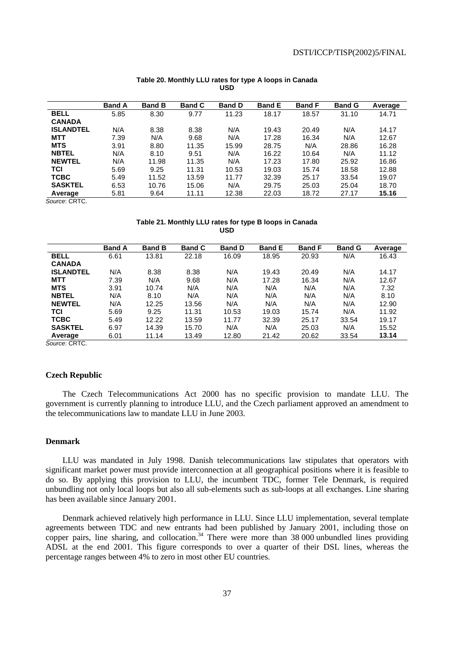|                  | <b>Band A</b> | <b>Band B</b> | <b>Band C</b> | <b>Band D</b> | <b>Band E</b> | <b>Band F</b> | <b>Band G</b> | Average |
|------------------|---------------|---------------|---------------|---------------|---------------|---------------|---------------|---------|
| <b>BELL</b>      | 5.85          | 8.30          | 9.77          | 11.23         | 18.17         | 18.57         | 31.10         | 14.71   |
| <b>CANADA</b>    |               |               |               |               |               |               |               |         |
| <b>ISLANDTEL</b> | N/A           | 8.38          | 8.38          | N/A           | 19.43         | 20.49         | N/A           | 14.17   |
| <b>MTT</b>       | 7.39          | N/A           | 9.68          | N/A           | 17.28         | 16.34         | N/A           | 12.67   |
| <b>MTS</b>       | 3.91          | 8.80          | 11.35         | 15.99         | 28.75         | N/A           | 28.86         | 16.28   |
| <b>NBTEL</b>     | N/A           | 8.10          | 9.51          | N/A           | 16.22         | 10.64         | N/A           | 11.12   |
| <b>NEWTEL</b>    | N/A           | 11.98         | 11.35         | N/A           | 17.23         | 17.80         | 25.92         | 16.86   |
| <b>TCI</b>       | 5.69          | 9.25          | 11.31         | 10.53         | 19.03         | 15.74         | 18.58         | 12.88   |
| <b>TCBC</b>      | 5.49          | 11.52         | 13.59         | 11.77         | 32.39         | 25.17         | 33.54         | 19.07   |
| <b>SASKTEL</b>   | 6.53          | 10.76         | 15.06         | N/A           | 29.75         | 25.03         | 25.04         | 18.70   |
| Average          | 5.81          | 9.64          | 11.11         | 12.38         | 22.03         | 18.72         | 27.17         | 15.16   |

### **Table 20. Monthly LLU rates for type A loops in Canada USD**

**Table 21. Monthly LLU rates for type B loops in Canada USD** 

|                  | <b>Band A</b> | <b>Band B</b> | <b>Band C</b> | <b>Band D</b> | <b>Band E</b> | <b>Band F</b> | <b>Band G</b> | Average |
|------------------|---------------|---------------|---------------|---------------|---------------|---------------|---------------|---------|
| <b>BELL</b>      | 6.61          | 13.81         | 22.18         | 16.09         | 18.95         | 20.93         | N/A           | 16.43   |
| <b>CANADA</b>    |               |               |               |               |               |               |               |         |
| <b>ISLANDTEL</b> | N/A           | 8.38          | 8.38          | N/A           | 19.43         | 20.49         | N/A           | 14.17   |
| <b>MTT</b>       | 7.39          | N/A           | 9.68          | N/A           | 17.28         | 16.34         | N/A           | 12.67   |
| <b>MTS</b>       | 3.91          | 10.74         | N/A           | N/A           | N/A           | N/A           | N/A           | 7.32    |
| <b>NBTEL</b>     | N/A           | 8.10          | N/A           | N/A           | N/A           | N/A           | N/A           | 8.10    |
| <b>NEWTEL</b>    | N/A           | 12.25         | 13.56         | N/A           | N/A           | N/A           | N/A           | 12.90   |
| <b>TCI</b>       | 5.69          | 9.25          | 11.31         | 10.53         | 19.03         | 15.74         | N/A           | 11.92   |
| <b>TCBC</b>      | 5.49          | 12.22         | 13.59         | 11.77         | 32.39         | 25.17         | 33.54         | 19.17   |
| <b>SASKTEL</b>   | 6.97          | 14.39         | 15.70         | N/A           | N/A           | 25.03         | N/A           | 15.52   |
| Average          | 6.01          | 11.14         | 13.49         | 12.80         | 21.42         | 20.62         | 33.54         | 13.14   |

Source: CRTC.

# **Czech Republic**

The Czech Telecommunications Act 2000 has no specific provision to mandate LLU. The government is currently planning to introduce LLU, and the Czech parliament approved an amendment to the telecommunications law to mandate LLU in June 2003.

### **Denmark**

LLU was mandated in July 1998. Danish telecommunications law stipulates that operators with significant market power must provide interconnection at all geographical positions where it is feasible to do so. By applying this provision to LLU, the incumbent TDC, former Tele Denmark, is required unbundling not only local loops but also all sub-elements such as sub-loops at all exchanges. Line sharing has been available since January 2001.

Denmark achieved relatively high performance in LLU. Since LLU implementation, several template agreements between TDC and new entrants had been published by January 2001, including those on copper pairs, line sharing, and collocation.<sup>34</sup> There were more than  $38\,000$  unbundled lines providing ADSL at the end 2001. This figure corresponds to over a quarter of their DSL lines, whereas the percentage ranges between 4% to zero in most other EU countries.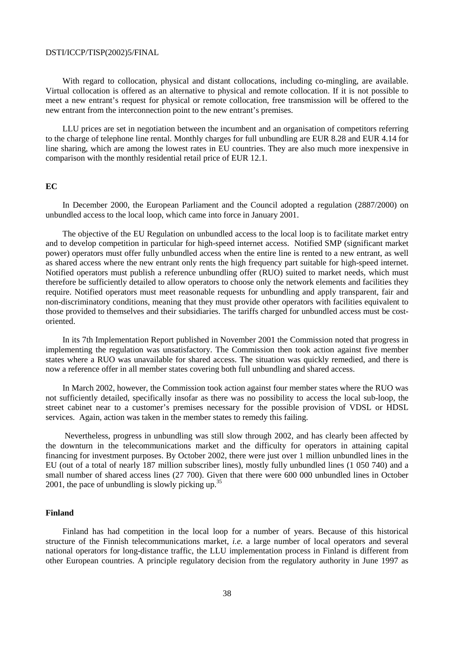With regard to collocation, physical and distant collocations, including co-mingling, are available. Virtual collocation is offered as an alternative to physical and remote collocation. If it is not possible to meet a new entrant's request for physical or remote collocation, free transmission will be offered to the new entrant from the interconnection point to the new entrant's premises.

LLU prices are set in negotiation between the incumbent and an organisation of competitors referring to the charge of telephone line rental. Monthly charges for full unbundling are EUR 8.28 and EUR 4.14 for line sharing, which are among the lowest rates in EU countries. They are also much more inexpensive in comparison with the monthly residential retail price of EUR 12.1.

# **EC**

In December 2000, the European Parliament and the Council adopted a regulation (2887/2000) on unbundled access to the local loop, which came into force in January 2001.

The objective of the EU Regulation on unbundled access to the local loop is to facilitate market entry and to develop competition in particular for high-speed internet access. Notified SMP (significant market power) operators must offer fully unbundled access when the entire line is rented to a new entrant, as well as shared access where the new entrant only rents the high frequency part suitable for high-speed internet. Notified operators must publish a reference unbundling offer (RUO) suited to market needs, which must therefore be sufficiently detailed to allow operators to choose only the network elements and facilities they require. Notified operators must meet reasonable requests for unbundling and apply transparent, fair and non-discriminatory conditions, meaning that they must provide other operators with facilities equivalent to those provided to themselves and their subsidiaries. The tariffs charged for unbundled access must be costoriented.

In its 7th Implementation Report published in November 2001 the Commission noted that progress in implementing the regulation was unsatisfactory. The Commission then took action against five member states where a RUO was unavailable for shared access. The situation was quickly remedied, and there is now a reference offer in all member states covering both full unbundling and shared access.

In March 2002, however, the Commission took action against four member states where the RUO was not sufficiently detailed, specifically insofar as there was no possibility to access the local sub-loop, the street cabinet near to a customer's premises necessary for the possible provision of VDSL or HDSL services. Again, action was taken in the member states to remedy this failing.

Nevertheless, progress in unbundling was still slow through 2002, and has clearly been affected by the downturn in the telecommunications market and the difficulty for operators in attaining capital financing for investment purposes. By October 2002, there were just over 1 million unbundled lines in the EU (out of a total of nearly 187 million subscriber lines), mostly fully unbundled lines (1 050 740) and a small number of shared access lines (27 700). Given that there were 600 000 unbundled lines in October 2001, the pace of unbundling is slowly picking up. $35$ 

### **Finland**

Finland has had competition in the local loop for a number of years. Because of this historical structure of the Finnish telecommunications market, *i.e.* a large number of local operators and several national operators for long-distance traffic, the LLU implementation process in Finland is different from other European countries. A principle regulatory decision from the regulatory authority in June 1997 as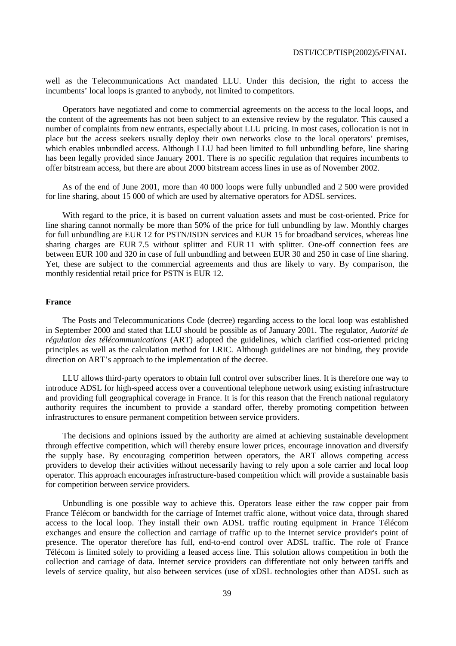well as the Telecommunications Act mandated LLU. Under this decision, the right to access the incumbents' local loops is granted to anybody, not limited to competitors.

Operators have negotiated and come to commercial agreements on the access to the local loops, and the content of the agreements has not been subject to an extensive review by the regulator. This caused a number of complaints from new entrants, especially about LLU pricing. In most cases, collocation is not in place but the access seekers usually deploy their own networks close to the local operators' premises, which enables unbundled access. Although LLU had been limited to full unbundling before, line sharing has been legally provided since January 2001. There is no specific regulation that requires incumbents to offer bitstream access, but there are about 2000 bitstream access lines in use as of November 2002.

As of the end of June 2001, more than 40 000 loops were fully unbundled and 2 500 were provided for line sharing, about 15 000 of which are used by alternative operators for ADSL services.

With regard to the price, it is based on current valuation assets and must be cost-oriented. Price for line sharing cannot normally be more than 50% of the price for full unbundling by law. Monthly charges for full unbundling are EUR 12 for PSTN/ISDN services and EUR 15 for broadband services, whereas line sharing charges are EUR 7.5 without splitter and EUR 11 with splitter. One-off connection fees are between EUR 100 and 320 in case of full unbundling and between EUR 30 and 250 in case of line sharing. Yet, these are subject to the commercial agreements and thus are likely to vary. By comparison, the monthly residential retail price for PSTN is EUR 12.

### **France**

The Posts and Telecommunications Code (decree) regarding access to the local loop was established in September 2000 and stated that LLU should be possible as of January 2001. The regulator, *Autorité de régulation des télécommunications* (ART) adopted the guidelines, which clarified cost-oriented pricing principles as well as the calculation method for LRIC. Although guidelines are not binding, they provide direction on ART's approach to the implementation of the decree.

LLU allows third-party operators to obtain full control over subscriber lines. It is therefore one way to introduce ADSL for high-speed access over a conventional telephone network using existing infrastructure and providing full geographical coverage in France. It is for this reason that the French national regulatory authority requires the incumbent to provide a standard offer, thereby promoting competition between infrastructures to ensure permanent competition between service providers.

The decisions and opinions issued by the authority are aimed at achieving sustainable development through effective competition, which will thereby ensure lower prices, encourage innovation and diversify the supply base. By encouraging competition between operators, the ART allows competing access providers to develop their activities without necessarily having to rely upon a sole carrier and local loop operator. This approach encourages infrastructure-based competition which will provide a sustainable basis for competition between service providers.

Unbundling is one possible way to achieve this. Operators lease either the raw copper pair from France Télécom or bandwidth for the carriage of Internet traffic alone, without voice data, through shared access to the local loop. They install their own ADSL traffic routing equipment in France Télécom exchanges and ensure the collection and carriage of traffic up to the Internet service provider's point of presence. The operator therefore has full, end-to-end control over ADSL traffic. The role of France Télécom is limited solely to providing a leased access line. This solution allows competition in both the collection and carriage of data. Internet service providers can differentiate not only between tariffs and levels of service quality, but also between services (use of xDSL technologies other than ADSL such as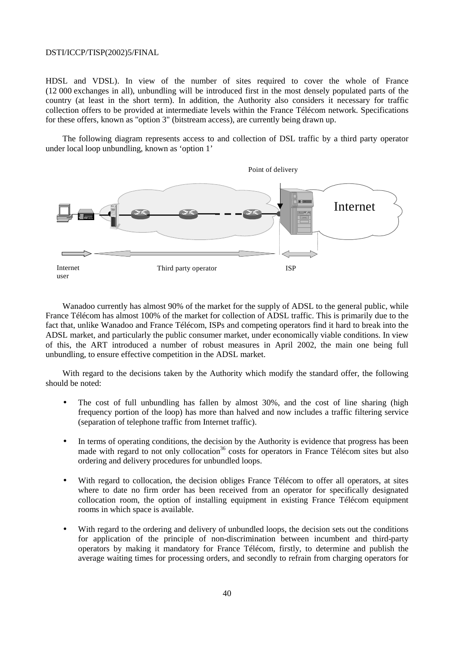HDSL and VDSL). In view of the number of sites required to cover the whole of France (12 000 exchanges in all), unbundling will be introduced first in the most densely populated parts of the country (at least in the short term). In addition, the Authority also considers it necessary for traffic collection offers to be provided at intermediate levels within the France Télécom network. Specifications for these offers, known as "option 3" (bitstream access), are currently being drawn up.

The following diagram represents access to and collection of DSL traffic by a third party operator under local loop unbundling, known as 'option 1'



Wanadoo currently has almost 90% of the market for the supply of ADSL to the general public, while France Télécom has almost 100% of the market for collection of ADSL traffic. This is primarily due to the fact that, unlike Wanadoo and France Télécom, ISPs and competing operators find it hard to break into the ADSL market, and particularly the public consumer market, under economically viable conditions. In view of this, the ART introduced a number of robust measures in April 2002, the main one being full unbundling, to ensure effective competition in the ADSL market.

With regard to the decisions taken by the Authority which modify the standard offer, the following should be noted:

- The cost of full unbundling has fallen by almost 30%, and the cost of line sharing (high frequency portion of the loop) has more than halved and now includes a traffic filtering service (separation of telephone traffic from Internet traffic).
- In terms of operating conditions, the decision by the Authority is evidence that progress has been made with regard to not only collocation<sup>36</sup> costs for operators in France Télécom sites but also ordering and delivery procedures for unbundled loops.
- With regard to collocation, the decision obliges France Télécom to offer all operators, at sites where to date no firm order has been received from an operator for specifically designated collocation room, the option of installing equipment in existing France Télécom equipment rooms in which space is available.
- With regard to the ordering and delivery of unbundled loops, the decision sets out the conditions for application of the principle of non-discrimination between incumbent and third-party operators by making it mandatory for France Télécom, firstly, to determine and publish the average waiting times for processing orders, and secondly to refrain from charging operators for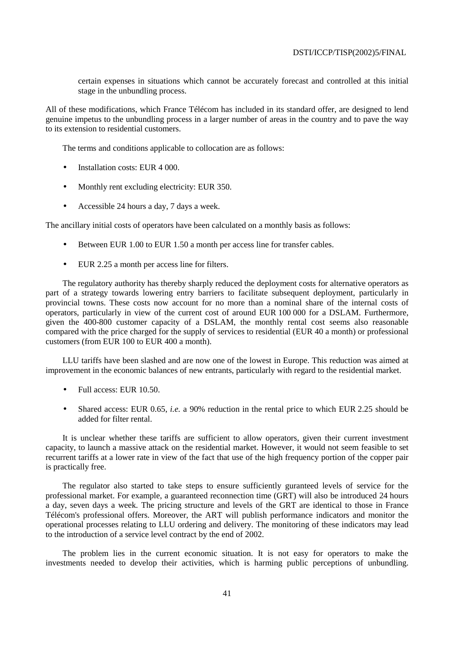certain expenses in situations which cannot be accurately forecast and controlled at this initial stage in the unbundling process.

All of these modifications, which France Télécom has included in its standard offer, are designed to lend genuine impetus to the unbundling process in a larger number of areas in the country and to pave the way to its extension to residential customers.

The terms and conditions applicable to collocation are as follows:

- Installation costs: EUR 4 000.
- Monthly rent excluding electricity: EUR 350.
- Accessible 24 hours a day, 7 days a week.

The ancillary initial costs of operators have been calculated on a monthly basis as follows:

- Between EUR 1.00 to EUR 1.50 a month per access line for transfer cables.
- EUR 2.25 a month per access line for filters.

The regulatory authority has thereby sharply reduced the deployment costs for alternative operators as part of a strategy towards lowering entry barriers to facilitate subsequent deployment, particularly in provincial towns. These costs now account for no more than a nominal share of the internal costs of operators, particularly in view of the current cost of around EUR 100 000 for a DSLAM. Furthermore, given the 400-800 customer capacity of a DSLAM, the monthly rental cost seems also reasonable compared with the price charged for the supply of services to residential (EUR 40 a month) or professional customers (from EUR 100 to EUR 400 a month).

LLU tariffs have been slashed and are now one of the lowest in Europe. This reduction was aimed at improvement in the economic balances of new entrants, particularly with regard to the residential market.

- Full access: EUR 10.50.
- Shared access: EUR 0.65, *i.e.* a 90% reduction in the rental price to which EUR 2.25 should be added for filter rental.

It is unclear whether these tariffs are sufficient to allow operators, given their current investment capacity, to launch a massive attack on the residential market. However, it would not seem feasible to set recurrent tariffs at a lower rate in view of the fact that use of the high frequency portion of the copper pair is practically free.

The regulator also started to take steps to ensure sufficiently guranteed levels of service for the professional market. For example, a guaranteed reconnection time (GRT) will also be introduced 24 hours a day, seven days a week. The pricing structure and levels of the GRT are identical to those in France Télécom's professional offers. Moreover, the ART will publish performance indicators and monitor the operational processes relating to LLU ordering and delivery. The monitoring of these indicators may lead to the introduction of a service level contract by the end of 2002.

The problem lies in the current economic situation. It is not easy for operators to make the investments needed to develop their activities, which is harming public perceptions of unbundling.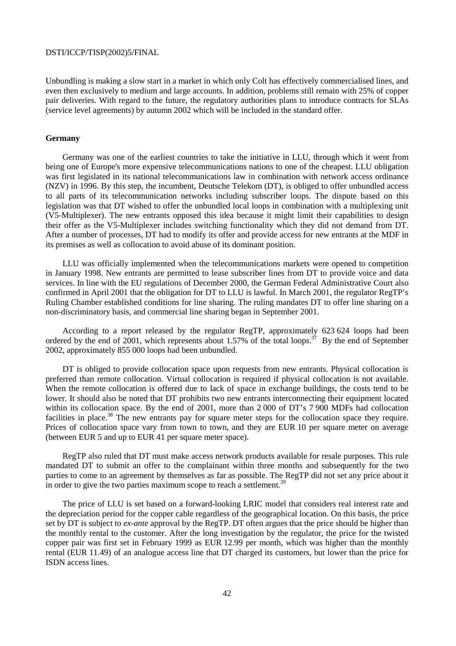Unbundling is making a slow start in a market in which only Colt has effectively commercialised lines, and even then exclusively to medium and large accounts. In addition, problems still remain with 25% of copper pair deliveries. With regard to the future, the regulatory authorities plans to introduce contracts for SLAs (service level agreements) by autumn 2002 which will be included in the standard offer.

# **Germany**

Germany was one of the earliest countries to take the initiative in LLU, through which it went from being one of Europe's more expensive telecommunications nations to one of the cheapest. LLU obligation was first legislated in its national telecommunications law in combination with network access ordinance (NZV) in 1996. By this step, the incumbent, Deutsche Telekom (DT), is obliged to offer unbundled access to all parts of its telecommunication networks including subscriber loops. The dispute based on this legislation was that DT wished to offer the unbundled local loops in combination with a multiplexing unit (V5-Multiplexer). The new entrants opposed this idea because it might limit their capabilities to design their offer as the V5-Multiplexer includes switching functionality which they did not demand from DT. After a number of processes, DT had to modify its offer and provide access for new entrants at the MDF in its premises as well as collocation to avoid abuse of its dominant position.

LLU was officially implemented when the telecommunications markets were opened to competition in January 1998. New entrants are permitted to lease subscriber lines from DT to provide voice and data services. In line with the EU regulations of December 2000, the German Federal Administrative Court also confirmed in April 2001 that the obligation for DT to LLU is lawful. In March 2001, the regulator RegTP's Ruling Chamber established conditions for line sharing. The ruling mandates DT to offer line sharing on a non-discriminatory basis, and commercial line sharing began in September 2001.

According to a report released by the regulator RegTP, approximately 623 624 loops had been ordered by the end of 2001, which represents about 1.57% of the total loops.<sup>37</sup> By the end of September 2002, approximately 855 000 loops had been unbundled.

DT is obliged to provide collocation space upon requests from new entrants. Physical collocation is preferred than remote collocation. Virtual collocation is required if physical collocation is not available. When the remote collocation is offered due to lack of space in exchange buildings, the costs tend to be lower. It should also be noted that DT prohibits two new entrants interconnecting their equipment located within its collocation space. By the end of 2001, more than 2 000 of DT's 7 900 MDFs had collocation facilities in place.<sup>38</sup> The new entrants pay for square meter steps for the collocation space they require. Prices of collocation space vary from town to town, and they are EUR 10 per square meter on average (between EUR 5 and up to EUR 41 per square meter space).

RegTP also ruled that DT must make access network products available for resale purposes. This rule mandated DT to submit an offer to the complainant within three months and subsequently for the two parties to come to an agreement by themselves as far as possible. The RegTP did not set any price about it in order to give the two parties maximum scope to reach a settlement.<sup>39</sup>

The price of LLU is set based on a forward-looking LRIC model that considers real interest rate and the depreciation period for the copper cable regardless of the geographical location. On this basis, the price set by DT is subject to *ex-ante* approval by the RegTP. DT often argues that the price should be higher than the monthly rental to the customer. After the long investigation by the regulator, the price for the twisted copper pair was first set in February 1999 as EUR 12.99 per month, which was higher than the monthly rental (EUR 11.49) of an analogue access line that DT charged its customers, but lower than the price for ISDN access lines.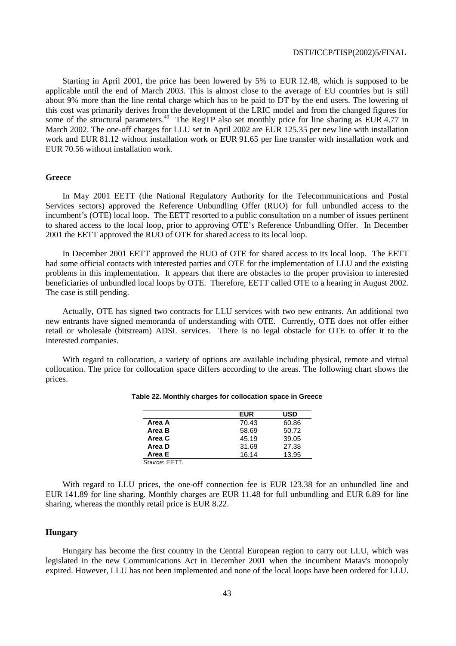Starting in April 2001, the price has been lowered by 5% to EUR 12.48, which is supposed to be applicable until the end of March 2003. This is almost close to the average of EU countries but is still about 9% more than the line rental charge which has to be paid to DT by the end users. The lowering of this cost was primarily derives from the development of the LRIC model and from the changed figures for some of the structural parameters.<sup>40</sup> The RegTP also set monthly price for line sharing as EUR 4.77 in March 2002. The one-off charges for LLU set in April 2002 are EUR 125.35 per new line with installation work and EUR 81.12 without installation work or EUR 91.65 per line transfer with installation work and EUR 70.56 without installation work.

### **Greece**

In May 2001 EETT (the National Regulatory Authority for the Telecommunications and Postal Services sectors) approved the Reference Unbundling Offer (RUO) for full unbundled access to the incumbent's (OTE) local loop. The EETT resorted to a public consultation on a number of issues pertinent to shared access to the local loop, prior to approving OTE's Reference Unbundling Offer. In December 2001 the EETT approved the RUO of OTE for shared access to its local loop.

In December 2001 EETT approved the RUO of OTE for shared access to its local loop. The EETT had some official contacts with interested parties and OTE for the implementation of LLU and the existing problems in this implementation. It appears that there are obstacles to the proper provision to interested beneficiaries of unbundled local loops by OTE. Therefore, EETT called OTE to a hearing in August 2002. The case is still pending.

Actually, OTE has signed two contracts for LLU services with two new entrants. An additional two new entrants have signed memoranda of understanding with OTE. Currently, OTE does not offer either retail or wholesale (bitstream) ADSL services. There is no legal obstacle for OTE to offer it to the interested companies.

With regard to collocation, a variety of options are available including physical, remote and virtual collocation. The price for collocation space differs according to the areas. The following chart shows the prices.

|               | <b>EUR</b> | USD   |
|---------------|------------|-------|
| Area A        | 70.43      | 60.86 |
| Area B        | 58.69      | 50.72 |
| Area C        | 45.19      | 39.05 |
| Area D        | 31.69      | 27.38 |
| Area E        | 16.14      | 13.95 |
| Source: EETT. |            |       |

#### **Table 22. Monthly charges for collocation space in Greece**

With regard to LLU prices, the one-off connection fee is EUR 123.38 for an unbundled line and EUR 141.89 for line sharing. Monthly charges are EUR 11.48 for full unbundling and EUR 6.89 for line sharing, whereas the monthly retail price is EUR 8.22.

### **Hungary**

Hungary has become the first country in the Central European region to carry out LLU, which was legislated in the new Communications Act in December 2001 when the incumbent Matav's monopoly expired. However, LLU has not been implemented and none of the local loops have been ordered for LLU.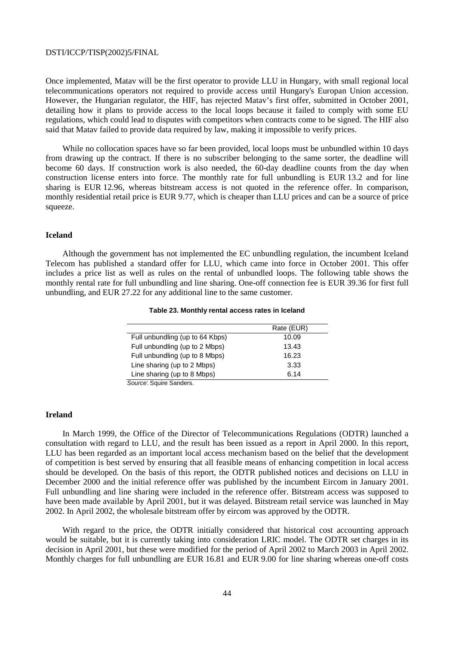Once implemented, Matav will be the first operator to provide LLU in Hungary, with small regional local telecommunications operators not required to provide access until Hungary's Europan Union accession. However, the Hungarian regulator, the HIF, has rejected Matav's first offer, submitted in October 2001, detailing how it plans to provide access to the local loops because it failed to comply with some EU regulations, which could lead to disputes with competitors when contracts come to be signed. The HIF also said that Matav failed to provide data required by law, making it impossible to verify prices.

While no collocation spaces have so far been provided, local loops must be unbundled within 10 days from drawing up the contract. If there is no subscriber belonging to the same sorter, the deadline will become 60 days. If construction work is also needed, the 60-day deadline counts from the day when construction license enters into force. The monthly rate for full unbundling is EUR 13.2 and for line sharing is EUR 12.96, whereas bitstream access is not quoted in the reference offer. In comparison, monthly residential retail price is EUR 9.77, which is cheaper than LLU prices and can be a source of price squeeze.

### **Iceland**

Although the government has not implemented the EC unbundling regulation, the incumbent Iceland Telecom has published a standard offer for LLU, which came into force in October 2001. This offer includes a price list as well as rules on the rental of unbundled loops. The following table shows the monthly rental rate for full unbundling and line sharing. One-off connection fee is EUR 39.36 for first full unbundling, and EUR 27.22 for any additional line to the same customer.

### **Table 23. Monthly rental access rates in Iceland**

|                                 | Rate (EUR) |
|---------------------------------|------------|
| Full unbundling (up to 64 Kbps) | 10.09      |
| Full unbundling (up to 2 Mbps)  | 13.43      |
| Full unbundling (up to 8 Mbps)  | 16.23      |
| Line sharing (up to 2 Mbps)     | 3.33       |
| Line sharing (up to 8 Mbps)     | 6.14       |
| Source: Squire Sanders.         |            |

# **Ireland**

In March 1999, the Office of the Director of Telecommunications Regulations (ODTR) launched a consultation with regard to LLU, and the result has been issued as a report in April 2000. In this report, LLU has been regarded as an important local access mechanism based on the belief that the development of competition is best served by ensuring that all feasible means of enhancing competition in local access should be developed. On the basis of this report, the ODTR published notices and decisions on LLU in December 2000 and the initial reference offer was published by the incumbent Eircom in January 2001. Full unbundling and line sharing were included in the reference offer. Bitstream access was supposed to have been made available by April 2001, but it was delayed. Bitstream retail service was launched in May 2002. In April 2002, the wholesale bitstream offer by eircom was approved by the ODTR.

With regard to the price, the ODTR initially considered that historical cost accounting approach would be suitable, but it is currently taking into consideration LRIC model. The ODTR set charges in its decision in April 2001, but these were modified for the period of April 2002 to March 2003 in April 2002. Monthly charges for full unbundling are EUR 16.81 and EUR 9.00 for line sharing whereas one-off costs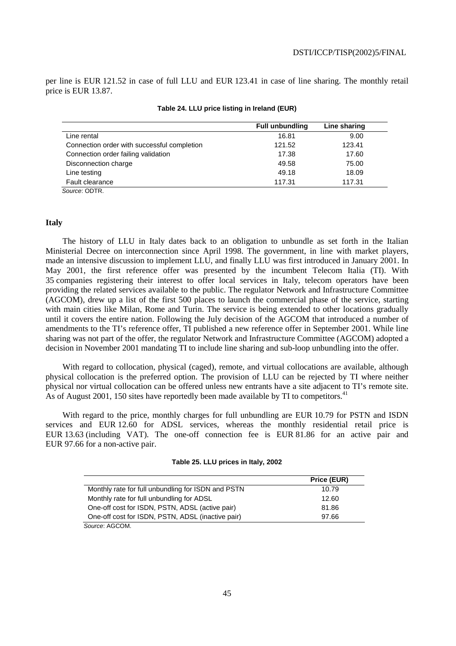per line is EUR 121.52 in case of full LLU and EUR 123.41 in case of line sharing. The monthly retail price is EUR 13.87.

|                                             | <b>Full unbundling</b> | Line sharing |
|---------------------------------------------|------------------------|--------------|
| Line rental                                 | 16.81                  | 9.00         |
| Connection order with successful completion | 121.52                 | 123.41       |
| Connection order failing validation         | 17.38                  | 17.60        |
| Disconnection charge                        | 49.58                  | 75.00        |
| Line testing                                | 49.18                  | 18.09        |
| Fault clearance                             | 117.31                 | 117.31       |
| Source: ODTR.                               |                        |              |

### **Table 24. LLU price listing in Ireland (EUR)**

# **Italy**

The history of LLU in Italy dates back to an obligation to unbundle as set forth in the Italian Ministerial Decree on interconnection since April 1998. The government, in line with market players, made an intensive discussion to implement LLU, and finally LLU was first introduced in January 2001. In May 2001, the first reference offer was presented by the incumbent Telecom Italia (TI). With 35 companies registering their interest to offer local services in Italy, telecom operators have been providing the related services available to the public. The regulator Network and Infrastructure Committee (AGCOM), drew up a list of the first 500 places to launch the commercial phase of the service, starting with main cities like Milan, Rome and Turin. The service is being extended to other locations gradually until it covers the entire nation. Following the July decision of the AGCOM that introduced a number of amendments to the TI's reference offer, TI published a new reference offer in September 2001. While line sharing was not part of the offer, the regulator Network and Infrastructure Committee (AGCOM) adopted a decision in November 2001 mandating TI to include line sharing and sub-loop unbundling into the offer.

With regard to collocation, physical (caged), remote, and virtual collocations are available, although physical collocation is the preferred option. The provision of LLU can be rejected by TI where neither physical nor virtual collocation can be offered unless new entrants have a site adjacent to TI's remote site. As of August 2001, 150 sites have reportedly been made available by TI to competitors.<sup>41</sup>

With regard to the price, monthly charges for full unbundling are EUR 10.79 for PSTN and ISDN services and EUR 12.60 for ADSL services, whereas the monthly residential retail price is EUR 13.63 (including VAT). The one-off connection fee is EUR 81.86 for an active pair and EUR 97.66 for a non-active pair.

| Table 25. LLU prices in Italy, 2002 |  |
|-------------------------------------|--|
|-------------------------------------|--|

|                                                    | Price (EUR) |
|----------------------------------------------------|-------------|
| Monthly rate for full unbundling for ISDN and PSTN | 10.79       |
| Monthly rate for full unbundling for ADSL          | 12.60       |
| One-off cost for ISDN, PSTN, ADSL (active pair)    | 81.86       |
| One-off cost for ISDN, PSTN, ADSL (inactive pair)  | 97.66       |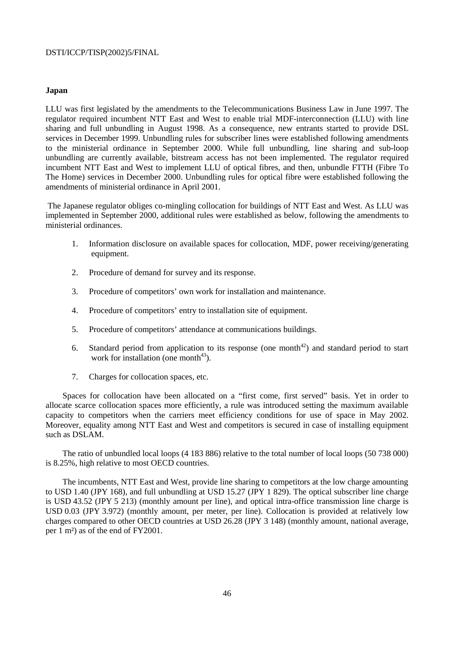### **Japan**

LLU was first legislated by the amendments to the Telecommunications Business Law in June 1997. The regulator required incumbent NTT East and West to enable trial MDF-interconnection (LLU) with line sharing and full unbundling in August 1998. As a consequence, new entrants started to provide DSL services in December 1999. Unbundling rules for subscriber lines were established following amendments to the ministerial ordinance in September 2000. While full unbundling, line sharing and sub-loop unbundling are currently available, bitstream access has not been implemented. The regulator required incumbent NTT East and West to implement LLU of optical fibres, and then, unbundle FTTH (Fibre To The Home) services in December 2000. Unbundling rules for optical fibre were established following the amendments of ministerial ordinance in April 2001.

 The Japanese regulator obliges co-mingling collocation for buildings of NTT East and West. As LLU was implemented in September 2000, additional rules were established as below, following the amendments to ministerial ordinances.

- 1. Information disclosure on available spaces for collocation, MDF, power receiving/generating equipment.
- 2. Procedure of demand for survey and its response.
- 3. Procedure of competitors' own work for installation and maintenance.
- 4. Procedure of competitors' entry to installation site of equipment.
- 5. Procedure of competitors' attendance at communications buildings.
- 6. Standard period from application to its response (one month<sup>42</sup>) and standard period to start work for installation (one month<sup>43</sup>).
- 7. Charges for collocation spaces, etc.

Spaces for collocation have been allocated on a "first come, first served" basis. Yet in order to allocate scarce collocation spaces more efficiently, a rule was introduced setting the maximum available capacity to competitors when the carriers meet efficiency conditions for use of space in May 2002. Moreover, equality among NTT East and West and competitors is secured in case of installing equipment such as DSLAM.

The ratio of unbundled local loops (4 183 886) relative to the total number of local loops (50 738 000) is 8.25%, high relative to most OECD countries.

The incumbents, NTT East and West, provide line sharing to competitors at the low charge amounting to USD 1.40 (JPY 168), and full unbundling at USD 15.27 (JPY 1 829). The optical subscriber line charge is USD 43.52 (JPY 5 213) (monthly amount per line), and optical intra-office transmission line charge is USD 0.03 (JPY 3.972) (monthly amount, per meter, per line). Collocation is provided at relatively low charges compared to other OECD countries at USD 26.28 (JPY 3 148) (monthly amount, national average, per 1 m²) as of the end of FY2001.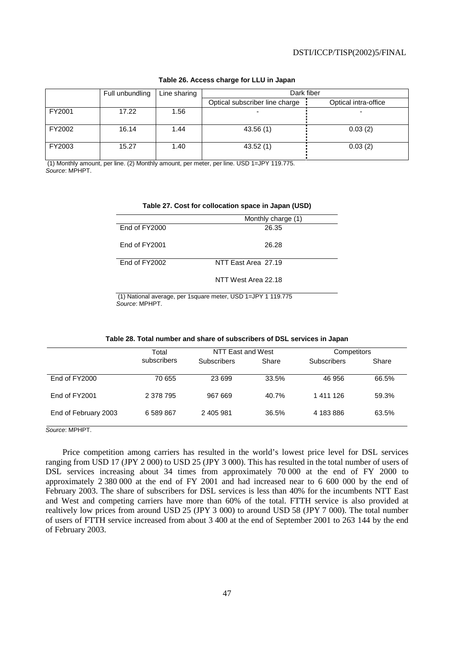|        | Full unbundling | Line sharing | Dark fiber                     |                      |
|--------|-----------------|--------------|--------------------------------|----------------------|
|        |                 |              | Optical subscriber line charge | Optical intra-office |
| FY2001 | 17.22           | .56          |                                |                      |
| FY2002 | 16.14           | 1.44         | 43.56(1)                       | 0.03(2)              |
| FY2003 | 15.27           | 1.40         | 43.52(1)                       | 0.03(2)              |

### **Table 26. Access charge for LLU in Japan**

 (1) Monthly amount, per line. (2) Monthly amount, per meter, per line. USD 1=JPY 119.775. Source: MPHPT.

|               | Monthly charge (1)  |
|---------------|---------------------|
| End of FY2000 | 26.35               |
| End of FY2001 | 26.28               |
| End of FY2002 | NTT East Area 27.19 |
|               | NTT West Area 22.18 |

### **Table 27. Cost for collocation space in Japan (USD)**

 (1) National average, per 1square meter, USD 1=JPY 1 119.775 Source: MPHPT.

| Table 28. Total number and share of subscribers of DSL services in Japan |  |  |
|--------------------------------------------------------------------------|--|--|
|--------------------------------------------------------------------------|--|--|

|                      | Total       | NTT East and West  |       | Competitors |       |
|----------------------|-------------|--------------------|-------|-------------|-------|
|                      | subscribers | <b>Subscribers</b> | Share | Subscribers | Share |
| End of FY2000        | 70 655      | 23 699             | 33.5% | 46 956      | 66.5% |
| End of FY2001        | 2 378 795   | 967 669            | 40.7% | 1411126     | 59.3% |
| End of February 2003 | 6 589 867   | 2 405 981          | 36.5% | 4 183 886   | 63.5% |

Source: MPHPT.

Price competition among carriers has resulted in the world's lowest price level for DSL services ranging from USD 17 (JPY 2 000) to USD 25 (JPY 3 000). This has resulted in the total number of users of DSL services increasing about 34 times from approximately 70 000 at the end of FY 2000 to approximately 2 380 000 at the end of FY 2001 and had increased near to 6 600 000 by the end of February 2003. The share of subscribers for DSL services is less than 40% for the incumbents NTT East and West and competing carriers have more than 60% of the total. FTTH service is also provided at realtively low prices from around USD 25 (JPY 3 000) to around USD 58 (JPY 7 000). The total number of users of FTTH service increased from about 3 400 at the end of September 2001 to 263 144 by the end of February 2003.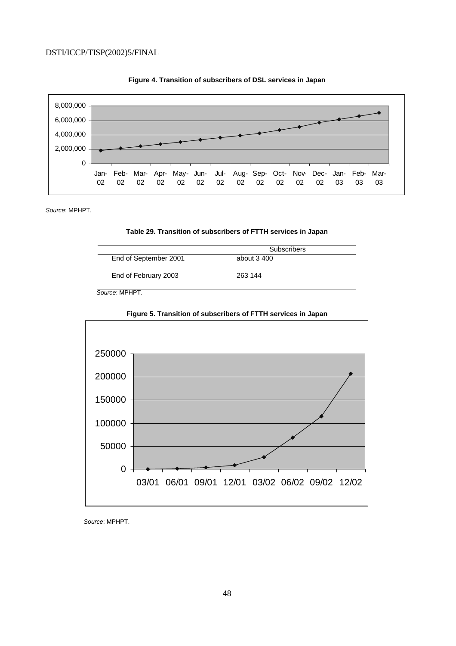



Source: MPHPT.



|                       | <b>Subscribers</b> |
|-----------------------|--------------------|
| End of September 2001 | about 3 400        |
| End of February 2003  | 263 144            |

Source: MPHPT.



**Figure 5. Transition of subscribers of FTTH services in Japan** 

Source: MPHPT.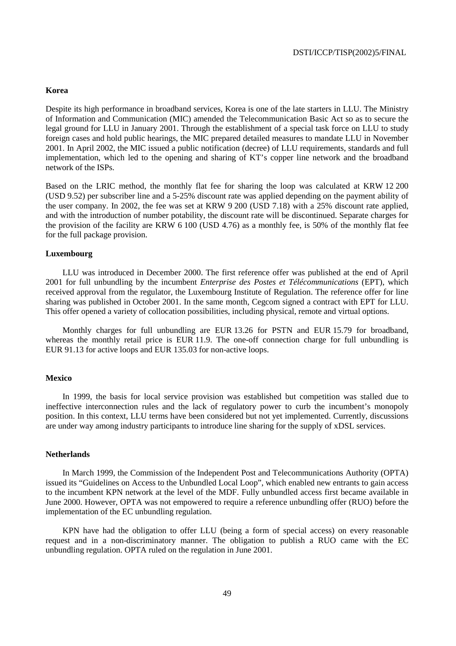### **Korea**

Despite its high performance in broadband services, Korea is one of the late starters in LLU. The Ministry of Information and Communication (MIC) amended the Telecommunication Basic Act so as to secure the legal ground for LLU in January 2001. Through the establishment of a special task force on LLU to study foreign cases and hold public hearings, the MIC prepared detailed measures to mandate LLU in November 2001. In April 2002, the MIC issued a public notification (decree) of LLU requirements, standards and full implementation, which led to the opening and sharing of KT's copper line network and the broadband network of the ISPs.

Based on the LRIC method, the monthly flat fee for sharing the loop was calculated at KRW 12 200 (USD 9.52) per subscriber line and a 5-25% discount rate was applied depending on the payment ability of the user company. In 2002, the fee was set at KRW 9 200 (USD 7.18) with a 25% discount rate applied, and with the introduction of number potability, the discount rate will be discontinued. Separate charges for the provision of the facility are KRW 6 100 (USD 4.76) as a monthly fee, is 50% of the monthly flat fee for the full package provision.

### **Luxembourg**

LLU was introduced in December 2000. The first reference offer was published at the end of April 2001 for full unbundling by the incumbent *Enterprise des Postes et Télécommunications* (EPT), which received approval from the regulator, the Luxembourg Institute of Regulation. The reference offer for line sharing was published in October 2001. In the same month, Cegcom signed a contract with EPT for LLU. This offer opened a variety of collocation possibilities, including physical, remote and virtual options.

Monthly charges for full unbundling are EUR 13.26 for PSTN and EUR 15.79 for broadband, whereas the monthly retail price is EUR 11.9. The one-off connection charge for full unbundling is EUR 91.13 for active loops and EUR 135.03 for non-active loops.

### **Mexico**

In 1999, the basis for local service provision was established but competition was stalled due to ineffective interconnection rules and the lack of regulatory power to curb the incumbent's monopoly position. In this context, LLU terms have been considered but not yet implemented. Currently, discussions are under way among industry participants to introduce line sharing for the supply of xDSL services.

### **Netherlands**

In March 1999, the Commission of the Independent Post and Telecommunications Authority (OPTA) issued its "Guidelines on Access to the Unbundled Local Loop", which enabled new entrants to gain access to the incumbent KPN network at the level of the MDF. Fully unbundled access first became available in June 2000. However, OPTA was not empowered to require a reference unbundling offer (RUO) before the implementation of the EC unbundling regulation.

KPN have had the obligation to offer LLU (being a form of special access) on every reasonable request and in a non-discriminatory manner. The obligation to publish a RUO came with the EC unbundling regulation. OPTA ruled on the regulation in June 2001.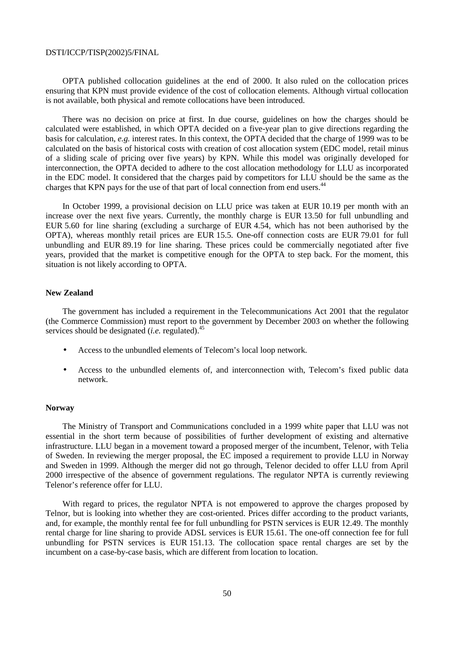OPTA published collocation guidelines at the end of 2000. It also ruled on the collocation prices ensuring that KPN must provide evidence of the cost of collocation elements. Although virtual collocation is not available, both physical and remote collocations have been introduced.

There was no decision on price at first. In due course, guidelines on how the charges should be calculated were established, in which OPTA decided on a five-year plan to give directions regarding the basis for calculation, *e.g.* interest rates. In this context, the OPTA decided that the charge of 1999 was to be calculated on the basis of historical costs with creation of cost allocation system (EDC model, retail minus of a sliding scale of pricing over five years) by KPN. While this model was originally developed for interconnection, the OPTA decided to adhere to the cost allocation methodology for LLU as incorporated in the EDC model. It considered that the charges paid by competitors for LLU should be the same as the charges that KPN pays for the use of that part of local connection from end users.<sup>44</sup>

In October 1999, a provisional decision on LLU price was taken at EUR 10.19 per month with an increase over the next five years. Currently, the monthly charge is EUR 13.50 for full unbundling and EUR 5.60 for line sharing (excluding a surcharge of EUR 4.54, which has not been authorised by the OPTA), whereas monthly retail prices are EUR 15.5. One-off connection costs are EUR 79.01 for full unbundling and EUR 89.19 for line sharing. These prices could be commercially negotiated after five years, provided that the market is competitive enough for the OPTA to step back. For the moment, this situation is not likely according to OPTA.

### **New Zealand**

The government has included a requirement in the Telecommunications Act 2001 that the regulator (the Commerce Commission) must report to the government by December 2003 on whether the following services should be designated (*i.e.* regulated).<sup>45</sup>

- Access to the unbundled elements of Telecom's local loop network.
- Access to the unbundled elements of, and interconnection with, Telecom's fixed public data network.

### **Norway**

The Ministry of Transport and Communications concluded in a 1999 white paper that LLU was not essential in the short term because of possibilities of further development of existing and alternative infrastructure. LLU began in a movement toward a proposed merger of the incumbent, Telenor, with Telia of Sweden. In reviewing the merger proposal, the EC imposed a requirement to provide LLU in Norway and Sweden in 1999. Although the merger did not go through, Telenor decided to offer LLU from April 2000 irrespective of the absence of government regulations. The regulator NPTA is currently reviewing Telenor's reference offer for LLU.

With regard to prices, the regulator NPTA is not empowered to approve the charges proposed by Telnor, but is looking into whether they are cost-oriented. Prices differ according to the product variants, and, for example, the monthly rental fee for full unbundling for PSTN services is EUR 12.49. The monthly rental charge for line sharing to provide ADSL services is EUR 15.61. The one-off connection fee for full unbundling for PSTN services is EUR 151.13. The collocation space rental charges are set by the incumbent on a case-by-case basis, which are different from location to location.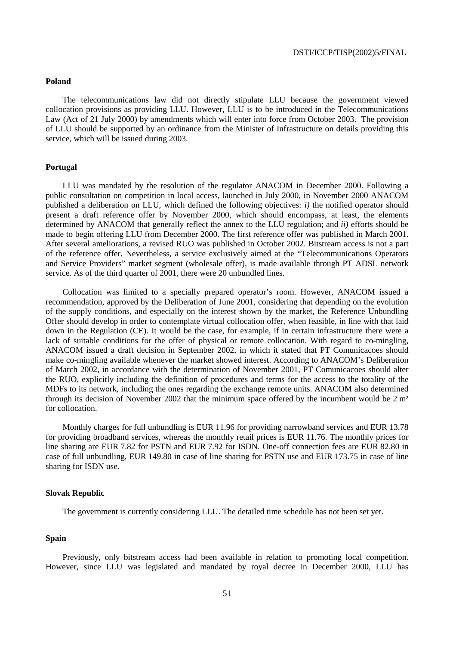### **Poland**

The telecommunications law did not directly stipulate LLU because the government viewed collocation provisions as providing LLU. However, LLU is to be introduced in the Telecommunications Law (Act of 21 July 2000) by amendments which will enter into force from October 2003. The provision of LLU should be supported by an ordinance from the Minister of Infrastructure on details providing this service, which will be issued during 2003.

### **Portugal**

LLU was mandated by the resolution of the regulator ANACOM in December 2000. Following a public consultation on competition in local access, launched in July 2000, in November 2000 ANACOM published a deliberation on LLU, which defined the following objectives: *i)* the notified operator should present a draft reference offer by November 2000, which should encompass, at least, the elements determined by ANACOM that generally reflect the annex to the LLU regulation; and *ii)* efforts should be made to begin offering LLU from December 2000. The first reference offer was published in March 2001. After several ameliorations, a revised RUO was published in October 2002. Bitstream access is not a part of the reference offer. Nevertheless, a service exclusively aimed at the "Telecommunications Operators and Service Providers" market segment (wholesale offer), is made available through PT ADSL network service. As of the third quarter of 2001, there were 20 unbundled lines.

Collocation was limited to a specially prepared operator's room. However, ANACOM issued a recommendation, approved by the Deliberation of June 2001, considering that depending on the evolution of the supply conditions, and especially on the interest shown by the market, the Reference Unbundling Offer should develop in order to contemplate virtual collocation offer, when feasible, in line with that laid down in the Regulation (CE). It would be the case, for example, if in certain infrastructure there were a lack of suitable conditions for the offer of physical or remote collocation. With regard to co-mingling, ANACOM issued a draft decision in September 2002, in which it stated that PT Comunicacoes should make co-mingling available whenever the market showed interest. According to ANACOM's Deliberation of March 2002, in accordance with the determination of November 2001, PT Comunicacoes should alter the RUO, explicitly including the definition of procedures and terms for the access to the totality of the MDFs to its network, including the ones regarding the exchange remote units. ANACOM also determined through its decision of November 2002 that the minimum space offered by the incumbent would be 2 m² for collocation.

Monthly charges for full unbundling is EUR 11.96 for providing narrowband services and EUR 13.78 for providing broadband services, whereas the monthly retail prices is EUR 11.76. The monthly prices for line sharing are EUR 7.82 for PSTN and EUR 7.92 for ISDN. One-off connection fees are EUR 82.80 in case of full unbundling, EUR 149.80 in case of line sharing for PSTN use and EUR 173.75 in case of line sharing for ISDN use.

### **Slovak Republic**

The government is currently considering LLU. The detailed time schedule has not been set yet.

# **Spain**

Previously, only bitstream access had been available in relation to promoting local competition. However, since LLU was legislated and mandated by royal decree in December 2000, LLU has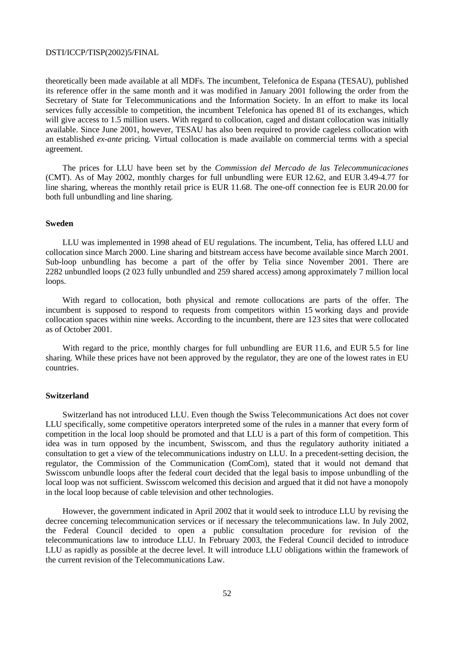theoretically been made available at all MDFs. The incumbent, Telefonica de Espana (TESAU), published its reference offer in the same month and it was modified in January 2001 following the order from the Secretary of State for Telecommunications and the Information Society. In an effort to make its local services fully accessible to competition, the incumbent Telefonica has opened 81 of its exchanges, which will give access to 1.5 million users. With regard to collocation, caged and distant collocation was initially available. Since June 2001, however, TESAU has also been required to provide cageless collocation with an established *ex-ante* pricing. Virtual collocation is made available on commercial terms with a special agreement.

The prices for LLU have been set by the *Commission del Mercado de las Telecommunicaciones* (CMT). As of May 2002, monthly charges for full unbundling were EUR 12.62, and EUR 3.49-4.77 for line sharing, whereas the monthly retail price is EUR 11.68. The one-off connection fee is EUR 20.00 for both full unbundling and line sharing.

### **Sweden**

LLU was implemented in 1998 ahead of EU regulations. The incumbent, Telia, has offered LLU and collocation since March 2000. Line sharing and bitstream access have become available since March 2001. Sub-loop unbundling has become a part of the offer by Telia since November 2001. There are 2282 unbundled loops (2 023 fully unbundled and 259 shared access) among approximately 7 million local loops.

With regard to collocation, both physical and remote collocations are parts of the offer. The incumbent is supposed to respond to requests from competitors within 15 working days and provide collocation spaces within nine weeks. According to the incumbent, there are 123 sites that were collocated as of October 2001.

With regard to the price, monthly charges for full unbundling are EUR 11.6, and EUR 5.5 for line sharing. While these prices have not been approved by the regulator, they are one of the lowest rates in EU countries.

#### **Switzerland**

Switzerland has not introduced LLU. Even though the Swiss Telecommunications Act does not cover LLU specifically, some competitive operators interpreted some of the rules in a manner that every form of competition in the local loop should be promoted and that LLU is a part of this form of competition. This idea was in turn opposed by the incumbent, Swisscom, and thus the regulatory authority initiated a consultation to get a view of the telecommunications industry on LLU. In a precedent-setting decision, the regulator, the Commission of the Communication (ComCom), stated that it would not demand that Swisscom unbundle loops after the federal court decided that the legal basis to impose unbundling of the local loop was not sufficient. Swisscom welcomed this decision and argued that it did not have a monopoly in the local loop because of cable television and other technologies.

However, the government indicated in April 2002 that it would seek to introduce LLU by revising the decree concerning telecommunication services or if necessary the telecommunications law. In July 2002, the Federal Council decided to open a public consultation procedure for revision of the telecommunications law to introduce LLU. In February 2003, the Federal Council decided to introduce LLU as rapidly as possible at the decree level. It will introduce LLU obligations within the framework of the current revision of the Telecommunications Law.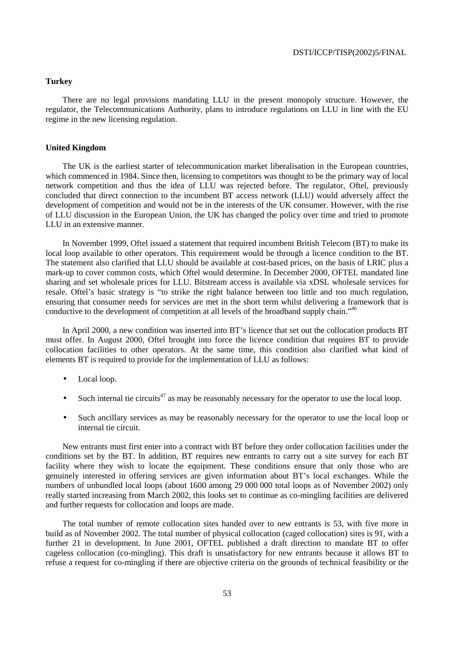# **Turkey**

There are no legal provisions mandating LLU in the present monopoly structure. However, the regulator, the Telecommunications Authority, plans to introduce regulations on LLU in line with the EU regime in the new licensing regulation.

# **United Kingdom**

The UK is the earliest starter of telecommunication market liberalisation in the European countries, which commenced in 1984. Since then, licensing to competitors was thought to be the primary way of local network competition and thus the idea of LLU was rejected before. The regulator, Oftel, previously concluded that direct connection to the incumbent BT access network (LLU) would adversely affect the development of competition and would not be in the interests of the UK consumer. However, with the rise of LLU discussion in the European Union, the UK has changed the policy over time and tried to promote LLU in an extensive manner.

In November 1999, Oftel issued a statement that required incumbent British Telecom (BT) to make its local loop available to other operators. This requirement would be through a licence condition to the BT. The statement also clarified that LLU should be available at cost-based prices, on the basis of LRIC plus a mark-up to cover common costs, which Oftel would determine. In December 2000, OFTEL mandated line sharing and set wholesale prices for LLU. Bitstream access is available via xDSL wholesale services for resale. Oftel's basic strategy is "to strike the right balance between too little and too much regulation, ensuring that consumer needs for services are met in the short term whilst delivering a framework that is conductive to the development of competition at all levels of the broadband supply chain."<sup>46</sup>

In April 2000, a new condition was inserted into BT's licence that set out the collocation products BT must offer. In August 2000, Oftel brought into force the licence condition that requires BT to provide collocation facilities to other operators. At the same time, this condition also clarified what kind of elements BT is required to provide for the implementation of LLU as follows:

- Local loop.
- Such internal tie circuits<sup>47</sup> as may be reasonably necessary for the operator to use the local loop.
- Such ancillary services as may be reasonably necessary for the operator to use the local loop or internal tie circuit.

New entrants must first enter into a contract with BT before they order collocation facilities under the conditions set by the BT. In addition, BT requires new entrants to carry out a site survey for each BT facility where they wish to locate the equipment. These conditions ensure that only those who are genuinely interested in offering services are given information about BT's local exchanges. While the numbers of unbundled local loops (about 1600 among 29 000 000 total loops as of November 2002) only really started increasing from March 2002, this looks set to continue as co-mingling facilities are delivered and further requests for collocation and loops are made.

The total number of remote collocation sites handed over to new entrants is 53, with five more in build as of November 2002. The total number of physical collocation (caged collocation) sites is 91, with a further 21 in development. In June 2001, OFTEL published a draft direction to mandate BT to offer cageless collocation (co-mingling). This draft is unsatisfactory for new entrants because it allows BT to refuse a request for co-mingling if there are objective criteria on the grounds of technical feasibility or the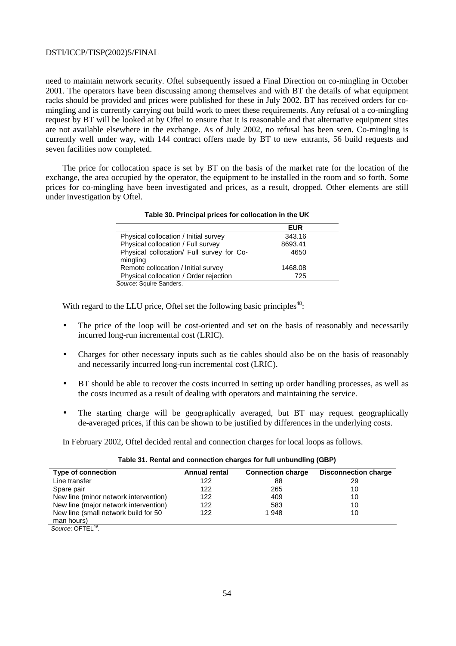need to maintain network security. Oftel subsequently issued a Final Direction on co-mingling in October 2001. The operators have been discussing among themselves and with BT the details of what equipment racks should be provided and prices were published for these in July 2002. BT has received orders for comingling and is currently carrying out build work to meet these requirements. Any refusal of a co-mingling request by BT will be looked at by Oftel to ensure that it is reasonable and that alternative equipment sites are not available elsewhere in the exchange. As of July 2002, no refusal has been seen. Co-mingling is currently well under way, with 144 contract offers made by BT to new entrants, 56 build requests and seven facilities now completed.

The price for collocation space is set by BT on the basis of the market rate for the location of the exchange, the area occupied by the operator, the equipment to be installed in the room and so forth. Some prices for co-mingling have been investigated and prices, as a result, dropped. Other elements are still under investigation by Oftel.

**Table 30. Principal prices for collocation in the UK** 

|                                                       | <b>EUR</b> |  |
|-------------------------------------------------------|------------|--|
| Physical collocation / Initial survey                 | 343.16     |  |
| Physical collocation / Full survey                    | 8693.41    |  |
| Physical collocation/ Full survey for Co-<br>mingling | 4650       |  |
| Remote collocation / Initial survey                   | 1468.08    |  |
| Physical collocation / Order rejection                | 725        |  |

Source: Squire Sanders.

With regard to the LLU price, Oftel set the following basic principles<sup>48</sup>:

- The price of the loop will be cost-oriented and set on the basis of reasonably and necessarily incurred long-run incremental cost (LRIC).
- Charges for other necessary inputs such as tie cables should also be on the basis of reasonably and necessarily incurred long-run incremental cost (LRIC).
- BT should be able to recover the costs incurred in setting up order handling processes, as well as the costs incurred as a result of dealing with operators and maintaining the service.
- The starting charge will be geographically averaged, but BT may request geographically de-averaged prices, if this can be shown to be justified by differences in the underlying costs.

In February 2002, Oftel decided rental and connection charges for local loops as follows.

| Type of connection                    | <b>Annual rental</b> | <b>Connection charge</b> | <b>Disconnection charge</b> |
|---------------------------------------|----------------------|--------------------------|-----------------------------|
| Line transfer                         | 122                  | 88                       | 29                          |
| Spare pair                            | 122                  | 265                      | 10                          |
| New line (minor network intervention) | 122                  | 409                      | 10                          |
| New line (major network intervention) | 122                  | 583                      | 10                          |
| New line (small network build for 50  | 122                  | 1948                     | 10                          |
| man hours)<br>$\sim$ $  \sim$ $10$    |                      |                          |                             |

Source: OFTEL<sup>49</sup>.

 $\overline{a}$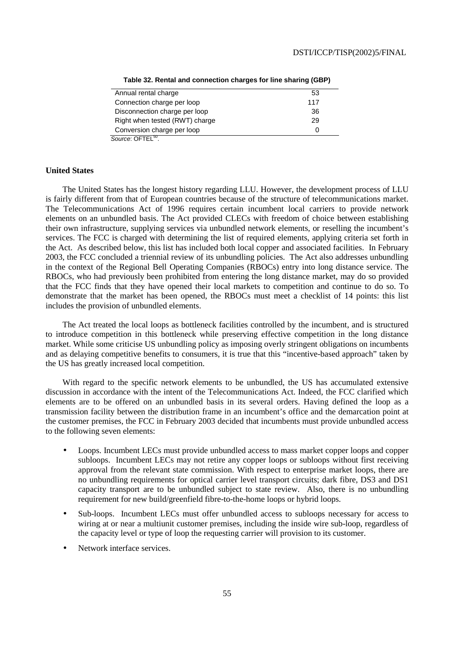| Annual rental charge           | 53           |
|--------------------------------|--------------|
| Connection charge per loop     | 117          |
| Disconnection charge per loop  | 36           |
| Right when tested (RWT) charge | 29           |
| Conversion charge per loop     | $\mathbf{0}$ |
| Source: OFTEL <sup>50</sup> .  |              |

**Table 32. Rental and connection charges for line sharing (GBP)** 

### **United States**

The United States has the longest history regarding LLU. However, the development process of LLU is fairly different from that of European countries because of the structure of telecommunications market. The Telecommunications Act of 1996 requires certain incumbent local carriers to provide network elements on an unbundled basis. The Act provided CLECs with freedom of choice between establishing their own infrastructure, supplying services via unbundled network elements, or reselling the incumbent's services. The FCC is charged with determining the list of required elements, applying criteria set forth in the Act. As described below, this list has included both local copper and associated facilities. In February 2003, the FCC concluded a triennial review of its unbundling policies. The Act also addresses unbundling in the context of the Regional Bell Operating Companies (RBOCs) entry into long distance service. The RBOCs, who had previously been prohibited from entering the long distance market, may do so provided that the FCC finds that they have opened their local markets to competition and continue to do so. To demonstrate that the market has been opened, the RBOCs must meet a checklist of 14 points: this list includes the provision of unbundled elements.

The Act treated the local loops as bottleneck facilities controlled by the incumbent, and is structured to introduce competition in this bottleneck while preserving effective competition in the long distance market. While some criticise US unbundling policy as imposing overly stringent obligations on incumbents and as delaying competitive benefits to consumers, it is true that this "incentive-based approach" taken by the US has greatly increased local competition.

With regard to the specific network elements to be unbundled, the US has accumulated extensive discussion in accordance with the intent of the Telecommunications Act. Indeed, the FCC clarified which elements are to be offered on an unbundled basis in its several orders. Having defined the loop as a transmission facility between the distribution frame in an incumbent's office and the demarcation point at the customer premises, the FCC in February 2003 decided that incumbents must provide unbundled access to the following seven elements:

- Loops. Incumbent LECs must provide unbundled access to mass market copper loops and copper subloops. Incumbent LECs may not retire any copper loops or subloops without first receiving approval from the relevant state commission. With respect to enterprise market loops, there are no unbundling requirements for optical carrier level transport circuits; dark fibre, DS3 and DS1 capacity transport are to be unbundled subject to state review. Also, there is no unbundling requirement for new build/greenfield fibre-to-the-home loops or hybrid loops.
- Sub-loops. Incumbent LECs must offer unbundled access to subloops necessary for access to wiring at or near a multiunit customer premises, including the inside wire sub-loop, regardless of the capacity level or type of loop the requesting carrier will provision to its customer.
- Network interface services.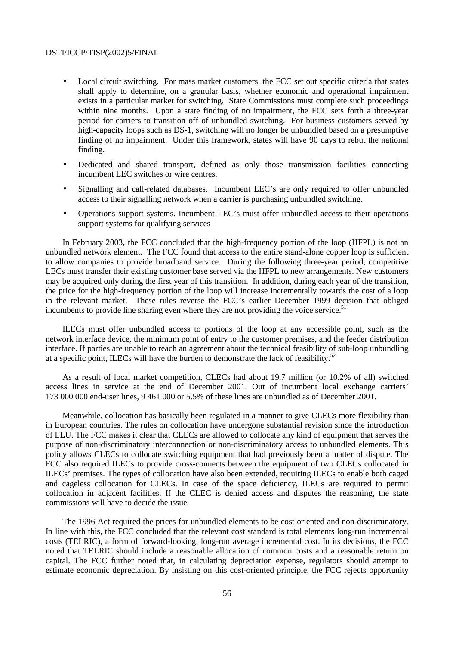- Local circuit switching. For mass market customers, the FCC set out specific criteria that states shall apply to determine, on a granular basis, whether economic and operational impairment exists in a particular market for switching. State Commissions must complete such proceedings within nine months. Upon a state finding of no impairment, the FCC sets forth a three-year period for carriers to transition off of unbundled switching. For business customers served by high-capacity loops such as DS-1, switching will no longer be unbundled based on a presumptive finding of no impairment. Under this framework, states will have 90 days to rebut the national finding.
- Dedicated and shared transport, defined as only those transmission facilities connecting incumbent LEC switches or wire centres.
- Signalling and call-related databases. Incumbent LEC's are only required to offer unbundled access to their signalling network when a carrier is purchasing unbundled switching.
- Operations support systems. Incumbent LEC's must offer unbundled access to their operations support systems for qualifying services

In February 2003, the FCC concluded that the high-frequency portion of the loop (HFPL) is not an unbundled network element. The FCC found that access to the entire stand-alone copper loop is sufficient to allow companies to provide broadband service. During the following three-year period, competitive LECs must transfer their existing customer base served via the HFPL to new arrangements. New customers may be acquired only during the first year of this transition. In addition, during each year of the transition, the price for the high-frequency portion of the loop will increase incrementally towards the cost of a loop in the relevant market. These rules reverse the FCC's earlier December 1999 decision that obliged incumbents to provide line sharing even where they are not providing the voice service.<sup>51</sup>

ILECs must offer unbundled access to portions of the loop at any accessible point, such as the network interface device, the minimum point of entry to the customer premises, and the feeder distribution interface. If parties are unable to reach an agreement about the technical feasibility of sub-loop unbundling at a specific point, ILECs will have the burden to demonstrate the lack of feasibility.<sup>52</sup>

As a result of local market competition, CLECs had about 19.7 million (or 10.2% of all) switched access lines in service at the end of December 2001. Out of incumbent local exchange carriers' 173 000 000 end-user lines, 9 461 000 or 5.5% of these lines are unbundled as of December 2001.

Meanwhile, collocation has basically been regulated in a manner to give CLECs more flexibility than in European countries. The rules on collocation have undergone substantial revision since the introduction of LLU. The FCC makes it clear that CLECs are allowed to collocate any kind of equipment that serves the purpose of non-discriminatory interconnection or non-discriminatory access to unbundled elements. This policy allows CLECs to collocate switching equipment that had previously been a matter of dispute. The FCC also required ILECs to provide cross-connects between the equipment of two CLECs collocated in ILECs' premises. The types of collocation have also been extended, requiring ILECs to enable both caged and cageless collocation for CLECs. In case of the space deficiency, ILECs are required to permit collocation in adjacent facilities. If the CLEC is denied access and disputes the reasoning, the state commissions will have to decide the issue.

The 1996 Act required the prices for unbundled elements to be cost oriented and non-discriminatory. In line with this, the FCC concluded that the relevant cost standard is total elements long-run incremental costs (TELRIC), a form of forward-looking, long-run average incremental cost. In its decisions, the FCC noted that TELRIC should include a reasonable allocation of common costs and a reasonable return on capital. The FCC further noted that, in calculating depreciation expense, regulators should attempt to estimate economic depreciation. By insisting on this cost-oriented principle, the FCC rejects opportunity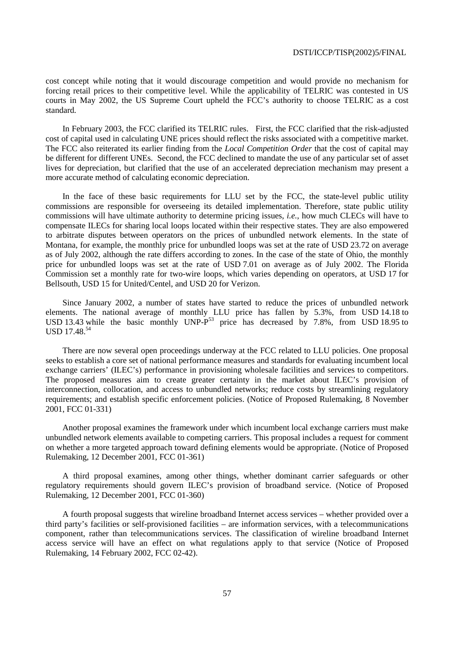cost concept while noting that it would discourage competition and would provide no mechanism for forcing retail prices to their competitive level. While the applicability of TELRIC was contested in US courts in May 2002, the US Supreme Court upheld the FCC's authority to choose TELRIC as a cost standard.

In February 2003, the FCC clarified its TELRIC rules. First, the FCC clarified that the risk-adjusted cost of capital used in calculating UNE prices should reflect the risks associated with a competitive market. The FCC also reiterated its earlier finding from the *Local Competition Order* that the cost of capital may be different for different UNEs. Second, the FCC declined to mandate the use of any particular set of asset lives for depreciation, but clarified that the use of an accelerated depreciation mechanism may present a more accurate method of calculating economic depreciation.

In the face of these basic requirements for LLU set by the FCC, the state-level public utility commissions are responsible for overseeing its detailed implementation. Therefore, state public utility commissions will have ultimate authority to determine pricing issues, *i.e.*, how much CLECs will have to compensate ILECs for sharing local loops located within their respective states. They are also empowered to arbitrate disputes between operators on the prices of unbundled network elements. In the state of Montana, for example, the monthly price for unbundled loops was set at the rate of USD 23.72 on average as of July 2002, although the rate differs according to zones. In the case of the state of Ohio, the monthly price for unbundled loops was set at the rate of USD 7.01 on average as of July 2002. The Florida Commission set a monthly rate for two-wire loops, which varies depending on operators, at USD 17 for Bellsouth, USD 15 for United/Centel, and USD 20 for Verizon.

Since January 2002, a number of states have started to reduce the prices of unbundled network elements. The national average of monthly LLU price has fallen by 5.3%, from USD 14.18 to USD 13.43 while the basic monthly UNP- $P^{53}$  price has decreased by 7.8%, from USD 18.95 to USD 17.48.<sup>54</sup>

There are now several open proceedings underway at the FCC related to LLU policies. One proposal seeks to establish a core set of national performance measures and standards for evaluating incumbent local exchange carriers' (ILEC's) performance in provisioning wholesale facilities and services to competitors. The proposed measures aim to create greater certainty in the market about ILEC's provision of interconnection, collocation, and access to unbundled networks; reduce costs by streamlining regulatory requirements; and establish specific enforcement policies. (Notice of Proposed Rulemaking, 8 November 2001, FCC 01-331)

Another proposal examines the framework under which incumbent local exchange carriers must make unbundled network elements available to competing carriers. This proposal includes a request for comment on whether a more targeted approach toward defining elements would be appropriate. (Notice of Proposed Rulemaking, 12 December 2001, FCC 01-361)

A third proposal examines, among other things, whether dominant carrier safeguards or other regulatory requirements should govern ILEC's provision of broadband service. (Notice of Proposed Rulemaking, 12 December 2001, FCC 01-360)

A fourth proposal suggests that wireline broadband Internet access services – whether provided over a third party's facilities or self-provisioned facilities – are information services, with a telecommunications component, rather than telecommunications services. The classification of wireline broadband Internet access service will have an effect on what regulations apply to that service (Notice of Proposed Rulemaking, 14 February 2002, FCC 02-42).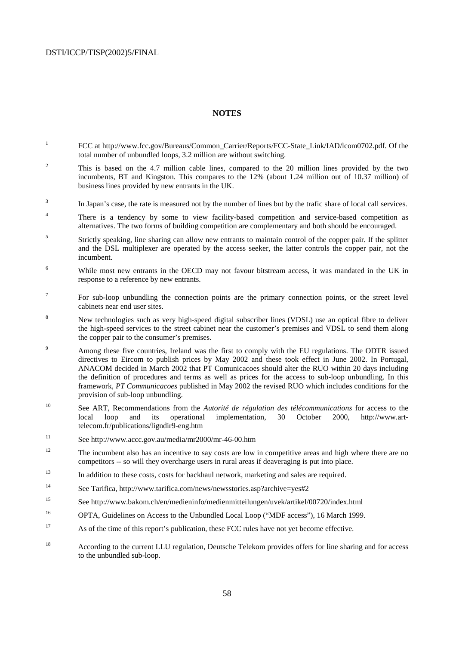### **NOTES**

- 1 FCC at http://www.fcc.gov/Bureaus/Common\_Carrier/Reports/FCC-State\_Link/IAD/lcom0702.pdf. Of the total number of unbundled loops, 3.2 million are without switching.
- 2 This is based on the 4.7 million cable lines, compared to the 20 million lines provided by the two incumbents, BT and Kingston. This compares to the 12% (about 1.24 million out of 10.37 million) of business lines provided by new entrants in the UK.
- <sup>3</sup> In Japan's case, the rate is measured not by the number of lines but by the trafic share of local call services.
- <sup>4</sup> There is a tendency by some to view facility-based competition and service-based competition as alternatives. The two forms of building competition are complementary and both should be encouraged.
- 5 Strictly speaking, line sharing can allow new entrants to maintain control of the copper pair. If the splitter and the DSL multiplexer are operated by the access seeker, the latter controls the copper pair, not the incumbent.
- 6 While most new entrants in the OECD may not favour bitstream access, it was mandated in the UK in response to a reference by new entrants.
- 7 For sub-loop unbundling the connection points are the primary connection points, or the street level cabinets near end user sites.
- 8 New technologies such as very high-speed digital subscriber lines (VDSL) use an optical fibre to deliver the high-speed services to the street cabinet near the customer's premises and VDSL to send them along the copper pair to the consumer's premises.
- $\overline{Q}$  Among these five countries, Ireland was the first to comply with the EU regulations. The ODTR issued directives to Eircom to publish prices by May 2002 and these took effect in June 2002. In Portugal, ANACOM decided in March 2002 that PT Comunicacoes should alter the RUO within 20 days including the definition of procedures and terms as well as prices for the access to sub-loop unbundling. In this framework, *PT Communicacoes* published in May 2002 the revised RUO which includes conditions for the provision of sub-loop unbundling.
- 10 See ART, Recommendations from the *Autorité de régulation des télécommunications* for access to the local loop and its operational implementation, 30 October 2000, http://www.arttelecom.fr/publications/ligndir9-eng.htm
- 11 See http://www.accc.gov.au/media/mr2000/mr-46-00.htm
- <sup>12</sup> The incumbent also has an incentive to say costs are low in competitive areas and high where there are no competitors -- so will they overcharge users in rural areas if deaveraging is put into place.
- <sup>13</sup> In addition to these costs, costs for backhaul network, marketing and sales are required.
- 14 See Tarifica, http://www.tarifica.com/news/newsstories.asp?archive=yes#2
- 15 See http://www.bakom.ch/en/medieninfo/medienmitteilungen/uvek/artikel/00720/index.html
- 16 OPTA, Guidelines on Access to the Unbundled Local Loop ("MDF access"), 16 March 1999.
- <sup>17</sup> As of the time of this report's publication, these FCC rules have not yet become effective.
- 18 According to the current LLU regulation, Deutsche Telekom provides offers for line sharing and for access to the unbundled sub-loop.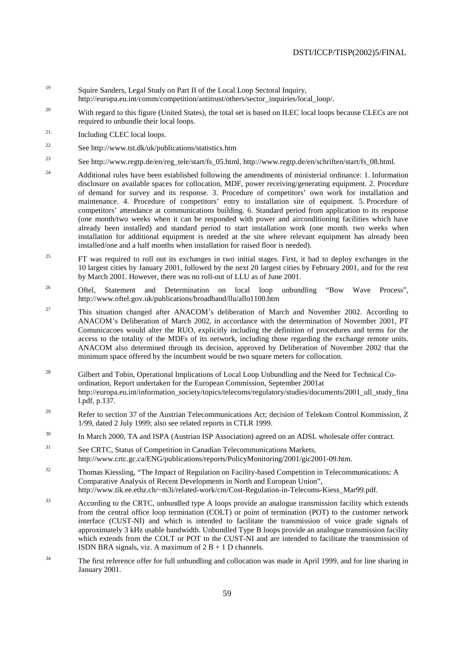- 19 Squire Sanders, Legal Study on Part II of the Local Loop Sectoral Inquiry, http://europa.eu.int/comm/competition/antitrust/others/sector\_inquiries/local\_loop/.
- <sup>20</sup> With regard to this figure (United States), the total set is based on ILEC local loops because CLECs are not required to unbundle their local loops.
- 21. Including CLEC local loops.
- 22 See http://www.tst.dk/uk/publications/statistics.htm
- <sup>23</sup> See http://www.regtp.de/en/reg\_tele/start/fs\_05.html, http://www.regtp.de/en/schriften/start/fs\_08.html.
- <sup>24</sup> Additional rules have been established following the amendments of ministerial ordinance: 1. Information disclosure on available spaces for collocation, MDF, power receiving/generating equipment. 2. Procedure of demand for survey and its response. 3. Procedure of competitors' own work for installation and maintenance. 4. Procedure of competitors' entry to installation site of equipment. 5. Procedure of competitors' attendance at communications building. 6. Standard period from application to its response (one month/two weeks when it can be responded with power and airconditioning facilities which have already been installed) and standard period to start installation work (one month. two weeks when installation for additional equipment is needed at the site where relevant equipment has already been installed/one and a half months when installation for raised floor is needed).
- <sup>25</sup> FT was required to roll out its exchanges in two initial stages. First, it had to deploy exchanges in the 10 largest cities by January 2001, followed by the next 20 largest cities by February 2001, and for the rest by March 2001. However, there was no roll-out of LLU as of June 2001.
- <sup>26</sup> Oftel, Statement and Determination on local loop unbundling "Bow Wave Process", http://www.oftel.gov.uk/publications/broadband/llu/allo1100.htm
- <sup>27</sup> This situation changed after ANACOM's deliberation of March and November 2002. According to ANACOM's Deliberation of March 2002, in accordance with the determination of November 2001, PT Comunicacoes would alter the RUO, explicitly including the definition of procedures and terms for the access to the totality of the MDFs of its network, including those regarding the exchange remote units. ANACOM also determined through its decision, approved by Deliberation of November 2002 that the minimum space offered by the incumbent would be two square meters for collocation.
- <sup>28</sup> Gilbert and Tobin, Operational Implications of Local Loop Unbundling and the Need for Technical Coordination, Report undertaken for the European Commission, September 2001at http://europa.eu.int/information\_society/topics/telecoms/regulatory/studies/documents/2001\_ull\_study\_fina l.pdf, p.137.
- <sup>29</sup> Refer to section 37 of the Austrian Telecommunications Act; decision of Telekom Control Kommission, Z 1/99, dated 2 July 1999; also see related reports in CTLR 1999.
- <sup>30</sup> In March 2000, TA and ISPA (Austrian ISP Association) agreed on an ADSL wholesale offer contract.
- <sup>31</sup> See CRTC, Status of Competition in Canadian Telecommunications Markets, http://www.crtc.gc.ca/ENG/publications/reports/PolicyMonitoring/2001/gic2001-09.htm.
- 32 Thomas Kiessling, "The Impact of Regulation on Facility-based Competition in Telecommunications: A Comparative Analysis of Recent Developments in North and European Union", http://www.tik.ee.ethz.ch/~m3i/related-work/cm/Cost-Regulation-in-Telecoms-Kiess\_Mar99.pdf.
- 33 According to the CRTC, unbundled type A loops provide an analogue transmission facility which extends from the central office loop termination (COLT) or point of termination (POT) to the customer network interface (CUST-NI) and which is intended to facilitate the transmission of voice grade signals of approximately 3 kHz usable bandwidth. Unbundled Type B loops provide an analogue transmission facility which extends from the COLT or POT to the CUST-NI and are intended to facilitate the transmission of ISDN BRA signals, viz. A maximum of  $2 B + 1 D$  channels.
- <sup>34</sup> The first reference offer for full unbundling and collocation was made in April 1999, and for line sharing in January 2001.